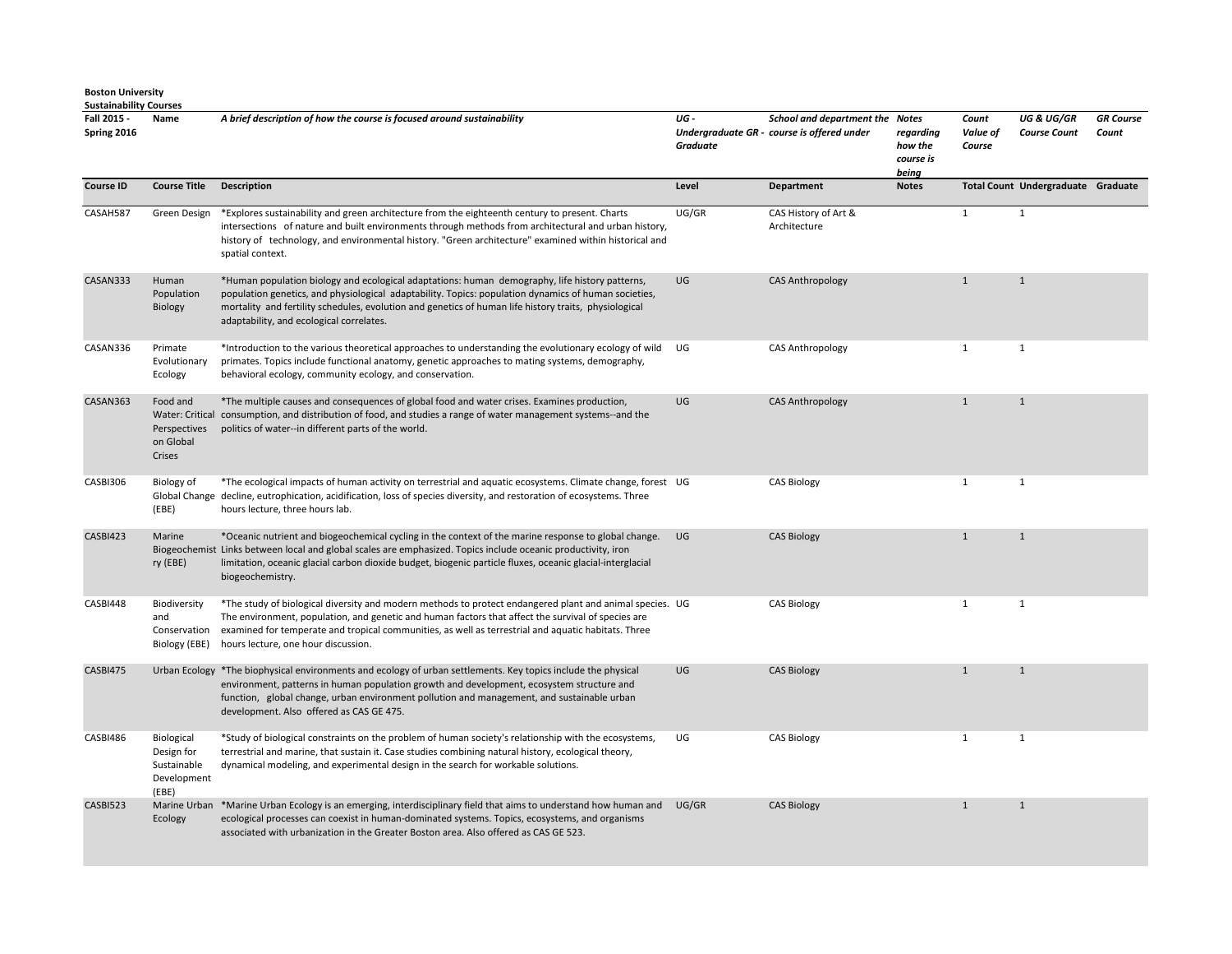| Fall 2015 -<br>Spring 2016 | Name                                                            | A brief description of how the course is focused around sustainability                                                                                                                                                                                                                                                                                       | UG-<br>Graduate | School and department the Notes<br>Undergraduate GR - course is offered under | regarding<br>how the<br>course is<br>being | Count<br>Value of<br>Course | <b>UG &amp; UG/GR</b><br><b>Course Count</b> | <b>GR</b> Course<br>Count |
|----------------------------|-----------------------------------------------------------------|--------------------------------------------------------------------------------------------------------------------------------------------------------------------------------------------------------------------------------------------------------------------------------------------------------------------------------------------------------------|-----------------|-------------------------------------------------------------------------------|--------------------------------------------|-----------------------------|----------------------------------------------|---------------------------|
| <b>Course ID</b>           | <b>Course Title</b>                                             | <b>Description</b>                                                                                                                                                                                                                                                                                                                                           | Level           | Department                                                                    | <b>Notes</b>                               |                             | Total Count Undergraduate Graduate           |                           |
| CASAH587                   | Green Design                                                    | *Explores sustainability and green architecture from the eighteenth century to present. Charts<br>intersections of nature and built environments through methods from architectural and urban history,<br>history of technology, and environmental history. "Green architecture" examined within historical and<br>spatial context.                          | UG/GR           | CAS History of Art &<br>Architecture                                          |                                            | $\mathbf{1}$                | $\mathbf{1}$                                 |                           |
| CASAN333                   | Human<br>Population<br>Biology                                  | *Human population biology and ecological adaptations: human demography, life history patterns,<br>population genetics, and physiological adaptability. Topics: population dynamics of human societies,<br>mortality and fertility schedules, evolution and genetics of human life history traits, physiological<br>adaptability, and ecological correlates.  | UG              | <b>CAS Anthropology</b>                                                       |                                            | $\mathbf{1}$                | $\mathbf{1}$                                 |                           |
| CASAN336                   | Primate<br>Evolutionary<br>Ecology                              | *Introduction to the various theoretical approaches to understanding the evolutionary ecology of wild<br>primates. Topics include functional anatomy, genetic approaches to mating systems, demography,<br>behavioral ecology, community ecology, and conservation.                                                                                          | UG              | <b>CAS Anthropology</b>                                                       |                                            | $\mathbf{1}$                | $\mathbf{1}$                                 |                           |
| CASAN363                   | Food and<br>Perspectives<br>on Global<br>Crises                 | *The multiple causes and consequences of global food and water crises. Examines production,<br>Water: Critical consumption, and distribution of food, and studies a range of water management systems--and the<br>politics of water--in different parts of the world.                                                                                        | UG              | <b>CAS Anthropology</b>                                                       |                                            | $\mathbf{1}$                | $\mathbf{1}$                                 |                           |
| CASBI306                   | Biology of<br>(EBE)                                             | *The ecological impacts of human activity on terrestrial and aquatic ecosystems. Climate change, forest UG<br>Global Change decline, eutrophication, acidification, loss of species diversity, and restoration of ecosystems. Three<br>hours lecture, three hours lab.                                                                                       |                 | <b>CAS Biology</b>                                                            |                                            | $\mathbf{1}$                | $\mathbf{1}$                                 |                           |
| CASBI423                   | Marine<br>ry (EBE)                                              | *Oceanic nutrient and biogeochemical cycling in the context of the marine response to global change.<br>Biogeochemist Links between local and global scales are emphasized. Topics include oceanic productivity, iron<br>limitation, oceanic glacial carbon dioxide budget, biogenic particle fluxes, oceanic glacial-interglacial<br>biogeochemistry.       | UG              | <b>CAS Biology</b>                                                            |                                            | $\mathbf{1}$                | $\mathbf{1}$                                 |                           |
| CASBI448                   | Biodiversity<br>and<br>Conservation<br>Biology (EBE)            | *The study of biological diversity and modern methods to protect endangered plant and animal species. UG<br>The environment, population, and genetic and human factors that affect the survival of species are<br>examined for temperate and tropical communities, as well as terrestrial and aquatic habitats. Three<br>hours lecture, one hour discussion. |                 | <b>CAS Biology</b>                                                            |                                            | $\mathbf{1}$                | $\mathbf{1}$                                 |                           |
| CASBI475                   |                                                                 | Urban Ecology *The biophysical environments and ecology of urban settlements. Key topics include the physical<br>environment, patterns in human population growth and development, ecosystem structure and<br>function, global change, urban environment pollution and management, and sustainable urban<br>development. Also offered as CAS GE 475.         | UG              | <b>CAS Biology</b>                                                            |                                            | $\mathbf{1}$                | $\mathbf{1}$                                 |                           |
| CASBI486                   | Biological<br>Design for<br>Sustainable<br>Development<br>(EBE) | *Study of biological constraints on the problem of human society's relationship with the ecosystems,<br>terrestrial and marine, that sustain it. Case studies combining natural history, ecological theory,<br>dynamical modeling, and experimental design in the search for workable solutions.                                                             | UG              | <b>CAS Biology</b>                                                            |                                            | $\mathbf{1}$                | $\mathbf{1}$                                 |                           |
| CASBI523                   | Ecology                                                         | Marine Urban *Marine Urban Ecology is an emerging, interdisciplinary field that aims to understand how human and<br>ecological processes can coexist in human-dominated systems. Topics, ecosystems, and organisms<br>associated with urbanization in the Greater Boston area. Also offered as CAS GE 523.                                                   | UG/GR           | <b>CAS Biology</b>                                                            |                                            | $\mathbf{1}$                | $\mathbf{1}$                                 |                           |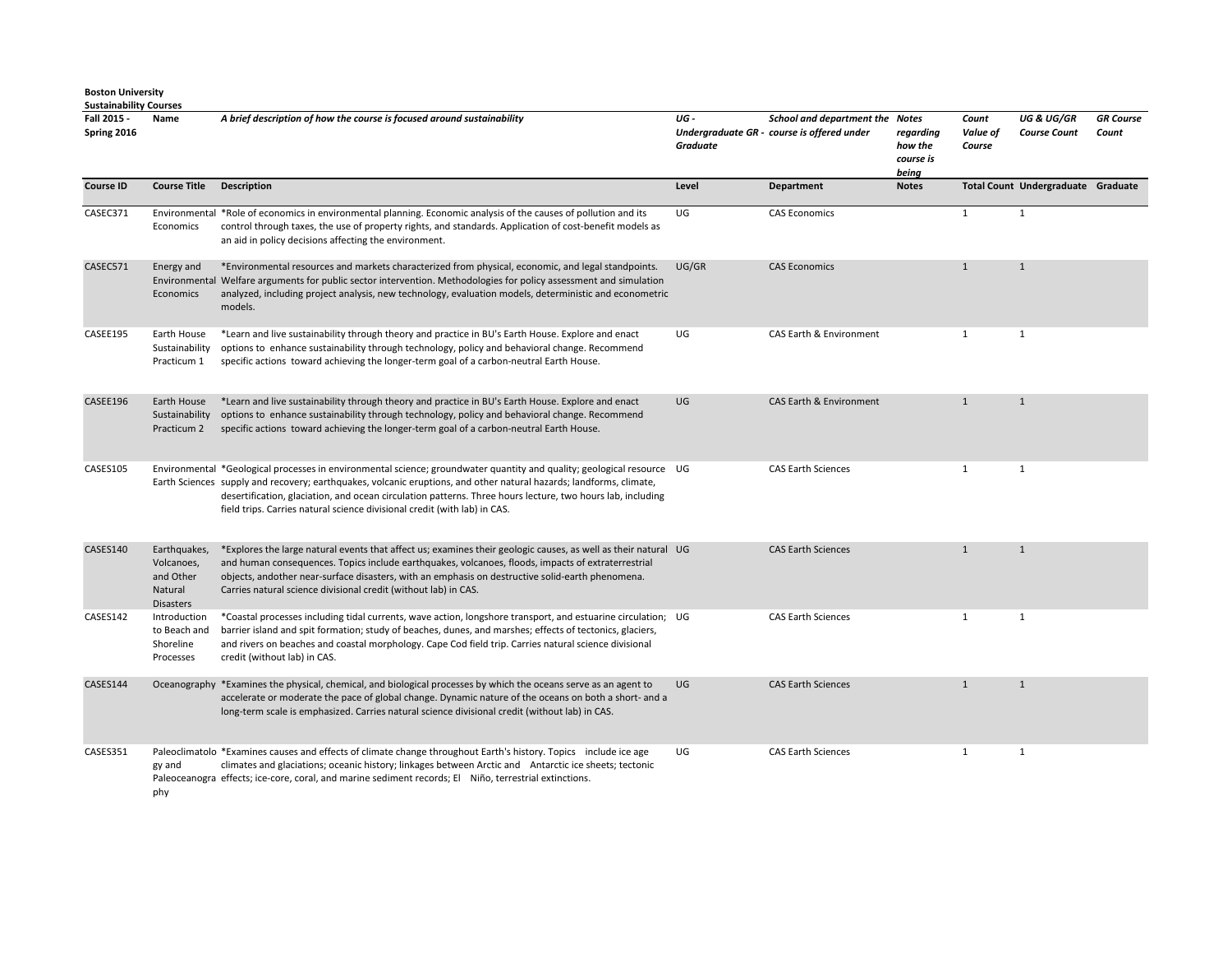| Fall 2015 -<br>Spring 2016 | Name                                                                   | A brief description of how the course is focused around sustainability                                                                                                                                                                                                                                                                                                                                                                   | UG-<br><b>Graduate</b> | School and department the Notes<br>Undergraduate GR - course is offered under | regarding<br>how the<br>course is<br>being | Count<br>Value of<br>Course | <b>UG &amp; UG/GR</b><br><b>Course Count</b> | <b>GR Course</b><br>Count |
|----------------------------|------------------------------------------------------------------------|------------------------------------------------------------------------------------------------------------------------------------------------------------------------------------------------------------------------------------------------------------------------------------------------------------------------------------------------------------------------------------------------------------------------------------------|------------------------|-------------------------------------------------------------------------------|--------------------------------------------|-----------------------------|----------------------------------------------|---------------------------|
| <b>Course ID</b>           | <b>Course Title</b>                                                    | Description                                                                                                                                                                                                                                                                                                                                                                                                                              | Level                  | Department                                                                    | <b>Notes</b>                               |                             | Total Count Undergraduate Graduate           |                           |
| CASEC371                   | Economics                                                              | Environmental *Role of economics in environmental planning. Economic analysis of the causes of pollution and its<br>control through taxes, the use of property rights, and standards. Application of cost-benefit models as<br>an aid in policy decisions affecting the environment.                                                                                                                                                     | UG                     | <b>CAS Economics</b>                                                          |                                            | $\mathbf{1}$                | $\mathbf{1}$                                 |                           |
| CASEC571                   | Energy and<br>Economics                                                | *Environmental resources and markets characterized from physical, economic, and legal standpoints.<br>Environmental Welfare arguments for public sector intervention. Methodologies for policy assessment and simulation<br>analyzed, including project analysis, new technology, evaluation models, deterministic and econometric<br>models.                                                                                            | UG/GR                  | <b>CAS Economics</b>                                                          |                                            | $\mathbf{1}$                | $\mathbf{1}$                                 |                           |
| CASEE195                   | Earth House<br>Sustainability<br>Practicum 1                           | *Learn and live sustainability through theory and practice in BU's Earth House. Explore and enact<br>options to enhance sustainability through technology, policy and behavioral change. Recommend<br>specific actions toward achieving the longer-term goal of a carbon-neutral Earth House.                                                                                                                                            | UG                     | CAS Earth & Environment                                                       |                                            | $\mathbf{1}$                | 1                                            |                           |
| CASEE196                   | Earth House<br>Practicum 2                                             | *Learn and live sustainability through theory and practice in BU's Earth House. Explore and enact<br>Sustainability options to enhance sustainability through technology, policy and behavioral change. Recommend<br>specific actions toward achieving the longer-term goal of a carbon-neutral Earth House.                                                                                                                             | UG                     | CAS Earth & Environment                                                       |                                            | 1                           | $\mathbf{1}$                                 |                           |
| CASES105                   |                                                                        | Environmental *Geological processes in environmental science; groundwater quantity and quality; geological resource UG<br>Earth Sciences supply and recovery; earthquakes, volcanic eruptions, and other natural hazards; landforms, climate,<br>desertification, glaciation, and ocean circulation patterns. Three hours lecture, two hours lab, including<br>field trips. Carries natural science divisional credit (with lab) in CAS. |                        | <b>CAS Earth Sciences</b>                                                     |                                            | $\mathbf{1}$                | 1                                            |                           |
| CASES140                   | Earthquakes,<br>Volcanoes,<br>and Other<br>Natural<br><b>Disasters</b> | *Explores the large natural events that affect us; examines their geologic causes, as well as their natural UG<br>and human consequences. Topics include earthquakes, volcanoes, floods, impacts of extraterrestrial<br>objects, andother near-surface disasters, with an emphasis on destructive solid-earth phenomena.<br>Carries natural science divisional credit (without lab) in CAS.                                              |                        | <b>CAS Earth Sciences</b>                                                     |                                            | $\mathbf{1}$                | $\mathbf{1}$                                 |                           |
| CASES142                   | Introduction<br>to Beach and<br>Shoreline<br>Processes                 | *Coastal processes including tidal currents, wave action, longshore transport, and estuarine circulation; UG<br>barrier island and spit formation; study of beaches, dunes, and marshes; effects of tectonics, glaciers,<br>and rivers on beaches and coastal morphology. Cape Cod field trip. Carries natural science divisional<br>credit (without lab) in CAS.                                                                        |                        | <b>CAS Earth Sciences</b>                                                     |                                            | $\mathbf{1}$                | $\mathbf{1}$                                 |                           |
| CASES144                   |                                                                        | Oceanography *Examines the physical, chemical, and biological processes by which the oceans serve as an agent to<br>accelerate or moderate the pace of global change. Dynamic nature of the oceans on both a short- and a<br>long-term scale is emphasized. Carries natural science divisional credit (without lab) in CAS.                                                                                                              | <b>UG</b>              | <b>CAS Earth Sciences</b>                                                     |                                            | $\mathbf{1}$                | $\mathbf{1}$                                 |                           |
| CASES351                   | gy and                                                                 | Paleoclimatolo *Examines causes and effects of climate change throughout Earth's history. Topics include ice age<br>climates and glaciations; oceanic history; linkages between Arctic and Antarctic ice sheets; tectonic<br>Paleoceanogra effects; ice-core, coral, and marine sediment records; El Niño, terrestrial extinctions.                                                                                                      | UG                     | <b>CAS Earth Sciences</b>                                                     |                                            | $\mathbf{1}$                | 1                                            |                           |

phy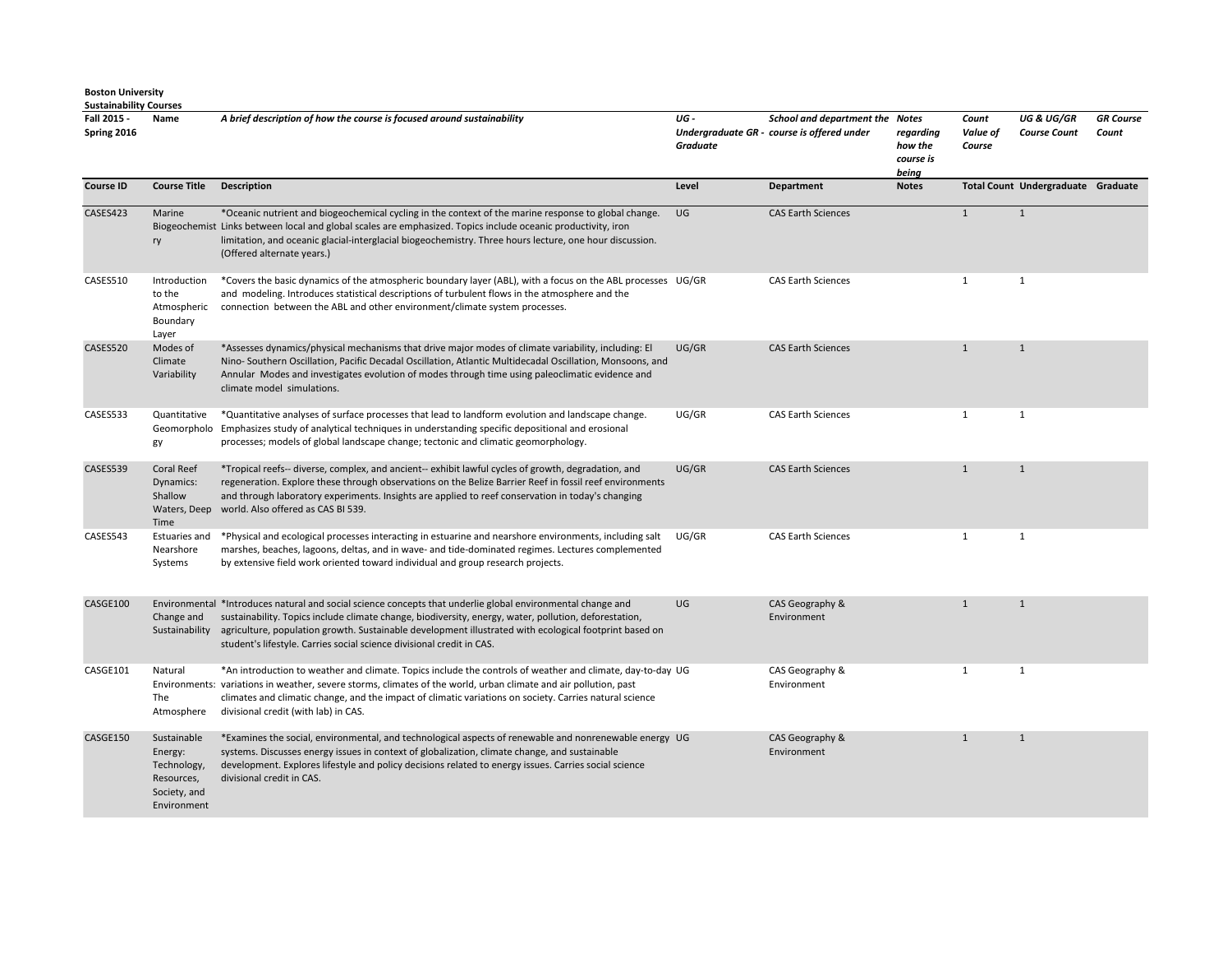| Fall 2015 -<br>Spring 2016 | Name                                                                               | A brief description of how the course is focused around sustainability                                                                                                                                                                                                                                                                                                                                  | UG-<br><b>Graduate</b> | School and department the Notes<br>Undergraduate GR - course is offered under | regarding<br>how the<br>course is<br>being | Count<br>Value of<br>Course | UG & UG/GR<br><b>Course Count</b>  | <b>GR</b> Course<br>Count |
|----------------------------|------------------------------------------------------------------------------------|---------------------------------------------------------------------------------------------------------------------------------------------------------------------------------------------------------------------------------------------------------------------------------------------------------------------------------------------------------------------------------------------------------|------------------------|-------------------------------------------------------------------------------|--------------------------------------------|-----------------------------|------------------------------------|---------------------------|
| <b>Course ID</b>           | <b>Course Title</b>                                                                | <b>Description</b>                                                                                                                                                                                                                                                                                                                                                                                      | Level                  | <b>Department</b>                                                             | <b>Notes</b>                               |                             | Total Count Undergraduate Graduate |                           |
| CASES423                   | Marine<br>ry                                                                       | *Oceanic nutrient and biogeochemical cycling in the context of the marine response to global change.<br>Biogeochemist Links between local and global scales are emphasized. Topics include oceanic productivity, iron<br>limitation, and oceanic glacial-interglacial biogeochemistry. Three hours lecture, one hour discussion.<br>(Offered alternate years.)                                          | UG                     | <b>CAS Earth Sciences</b>                                                     |                                            | 1                           | 1                                  |                           |
| CASES510                   | Introduction<br>to the<br>Atmospheric<br>Boundary<br>Layer                         | *Covers the basic dynamics of the atmospheric boundary layer (ABL), with a focus on the ABL processes UG/GR<br>and modeling. Introduces statistical descriptions of turbulent flows in the atmosphere and the<br>connection between the ABL and other environment/climate system processes.                                                                                                             |                        | <b>CAS Earth Sciences</b>                                                     |                                            | $\mathbf{1}$                | $\mathbf{1}$                       |                           |
| CASES520                   | Modes of<br>Climate<br>Variability                                                 | *Assesses dynamics/physical mechanisms that drive major modes of climate variability, including: El<br>Nino- Southern Oscillation, Pacific Decadal Oscillation, Atlantic Multidecadal Oscillation, Monsoons, and<br>Annular Modes and investigates evolution of modes through time using paleoclimatic evidence and<br>climate model simulations.                                                       | UG/GR                  | <b>CAS Earth Sciences</b>                                                     |                                            | $\mathbf{1}$                | 1                                  |                           |
| CASES533                   | Quantitative<br>gy                                                                 | *Quantitative analyses of surface processes that lead to landform evolution and landscape change.<br>Geomorpholo Emphasizes study of analytical techniques in understanding specific depositional and erosional<br>processes; models of global landscape change; tectonic and climatic geomorphology.                                                                                                   | UG/GR                  | <b>CAS Earth Sciences</b>                                                     |                                            | $\mathbf{1}$                | $\mathbf{1}$                       |                           |
| CASES539                   | <b>Coral Reef</b><br>Dynamics:<br>Shallow<br>Waters, Deep<br>Time                  | *Tropical reefs-- diverse, complex, and ancient-- exhibit lawful cycles of growth, degradation, and<br>regeneration. Explore these through observations on the Belize Barrier Reef in fossil reef environments<br>and through laboratory experiments. Insights are applied to reef conservation in today's changing<br>world. Also offered as CAS BI 539.                                               | UG/GR                  | <b>CAS Earth Sciences</b>                                                     |                                            | $\mathbf{1}$                | $\mathbf{1}$                       |                           |
| CASES543                   | <b>Estuaries and</b><br>Nearshore<br>Systems                                       | *Physical and ecological processes interacting in estuarine and nearshore environments, including salt<br>marshes, beaches, lagoons, deltas, and in wave- and tide-dominated regimes. Lectures complemented<br>by extensive field work oriented toward individual and group research projects.                                                                                                          | UG/GR                  | <b>CAS Earth Sciences</b>                                                     |                                            | $\mathbf{1}$                | $\mathbf{1}$                       |                           |
| CASGE100                   | Change and<br>Sustainability                                                       | Environmental *Introduces natural and social science concepts that underlie global environmental change and<br>sustainability. Topics include climate change, biodiversity, energy, water, pollution, deforestation,<br>agriculture, population growth. Sustainable development illustrated with ecological footprint based on<br>student's lifestyle. Carries social science divisional credit in CAS. | UG                     | CAS Geography &<br>Environment                                                |                                            | $\mathbf{1}$                | $\mathbf{1}$                       |                           |
| CASGE101                   | Natural<br>The<br>Atmosphere                                                       | *An introduction to weather and climate. Topics include the controls of weather and climate, day-to-day UG<br>Environments: variations in weather, severe storms, climates of the world, urban climate and air pollution, past<br>climates and climatic change, and the impact of climatic variations on society. Carries natural science<br>divisional credit (with lab) in CAS.                       |                        | CAS Geography &<br>Environment                                                |                                            | $\mathbf{1}$                | $\mathbf{1}$                       |                           |
| CASGE150                   | Sustainable<br>Energy:<br>Technology,<br>Resources,<br>Society, and<br>Environment | *Examines the social, environmental, and technological aspects of renewable and nonrenewable energy UG<br>systems. Discusses energy issues in context of globalization, climate change, and sustainable<br>development. Explores lifestyle and policy decisions related to energy issues. Carries social science<br>divisional credit in CAS.                                                           |                        | CAS Geography &<br>Environment                                                |                                            | $\mathbf{1}$                | $\mathbf{1}$                       |                           |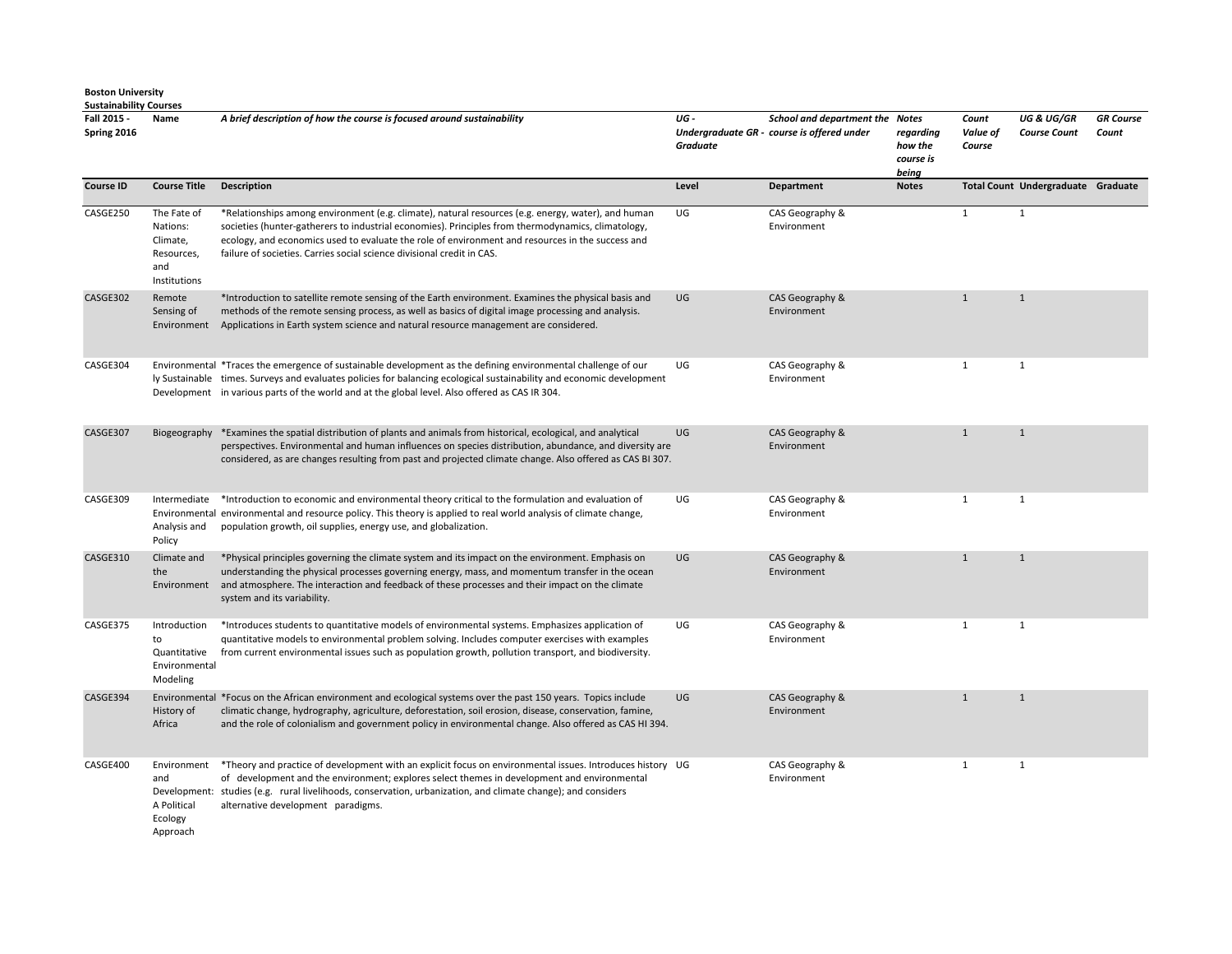**Fall 2015 - Spring 2016 Name** *A brief description of how the course is focused around sustainability UG - Undergraduate GR - course is offered under Graduate School and department the Notes regarding how the course is being Count Value of Course UG & UG/GR Course Count GR Course Count*  **Course ID Course Title Description Course Title Department** Department Notes Total Count Undergraduate Graduate CASGE250 The Fate of Nations: Climate, Resources, and Institutions \*Relationships among environment (e.g. climate), natural resources (e.g. energy, water), and human societies (hunter-gatherers to industrial economies). Principles from thermodynamics, climatology, ecology, and economics used to evaluate the role of environment and resources in the success and failure of societies. Carries social science divisional credit in CAS. UG CAS Geography & Environment 1 1 CASGE302 Remote Sensing of Environment \*Introduction to satellite remote sensing of the Earth environment. Examines the physical basis and methods of the remote sensing process, as well as basics of digital image processing and analysis. Applications in Earth system science and natural resource management are considered. UG CAS Geography & Environment 1 1 CASGE304 Environmental \*Traces the emergence of sustainable development as the defining environmental challenge of our ly Sustainable times. Surveys and evaluates policies for balancing ecological sustainability and economic development Development in various parts of the world and at the global level. Also offered as CAS IR 304. UG CAS Geography & Environment 1 1 CASGE307 Biogeography \*Examines the spatial distribution of plants and animals from historical, ecological, and analytical perspectives. Environmental and human influences on species distribution, abundance, and diversity are considered, as are changes resulting from past and projected climate change. Also offered as CAS BI 307. UG CAS Geography & Environment 1 1 CASGE309 Intermediate \*Introduction to economic and environmental theory critical to the formulation and evaluation of Environmental environmental and resource policy. This theory is applied to real world analysis of climate change, Analysis and Policy population growth, oil supplies, energy use, and globalization. UG CAS Geography & Environment 1 1 CASGE310 Climate and the Environment \*Physical principles governing the climate system and its impact on the environment. Emphasis on understanding the physical processes governing energy, mass, and momentum transfer in the ocean and atmosphere. The interaction and feedback of these processes and their impact on the climate system and its variability. UG CAS Geography & Environment 1 1 CASGE375 Introduction to Quantitative Environmental Modeling \*Introduces students to quantitative models of environmental systems. Emphasizes application of quantitative models to environmental problem solving. Includes computer exercises with examples from current environmental issues such as population growth, pollution transport, and biodiversity. UG CAS Geography & Environment 1 1 CASGE394 Environmental \*Focus on the African environment and ecological systems over the past 150 years. Topics include History of Africa climatic change, hydrography, agriculture, deforestation, soil erosion, disease, conservation, famine, and the role of colonialism and government policy in environmental change. Also offered as CAS HI 394. UG CAS Geography & Environment 1 1 CASGE400 Environment and Development: studies (e.g. rural livelihoods, conservation, urbanization, and climate change); and considers A Political Ecology \*Theory and practice of development with an explicit focus on environmental issues. Introduces history of development and the environment; explores select themes in development and environmental alternative development paradigms. CAS Geography & Environment 1 1

Approach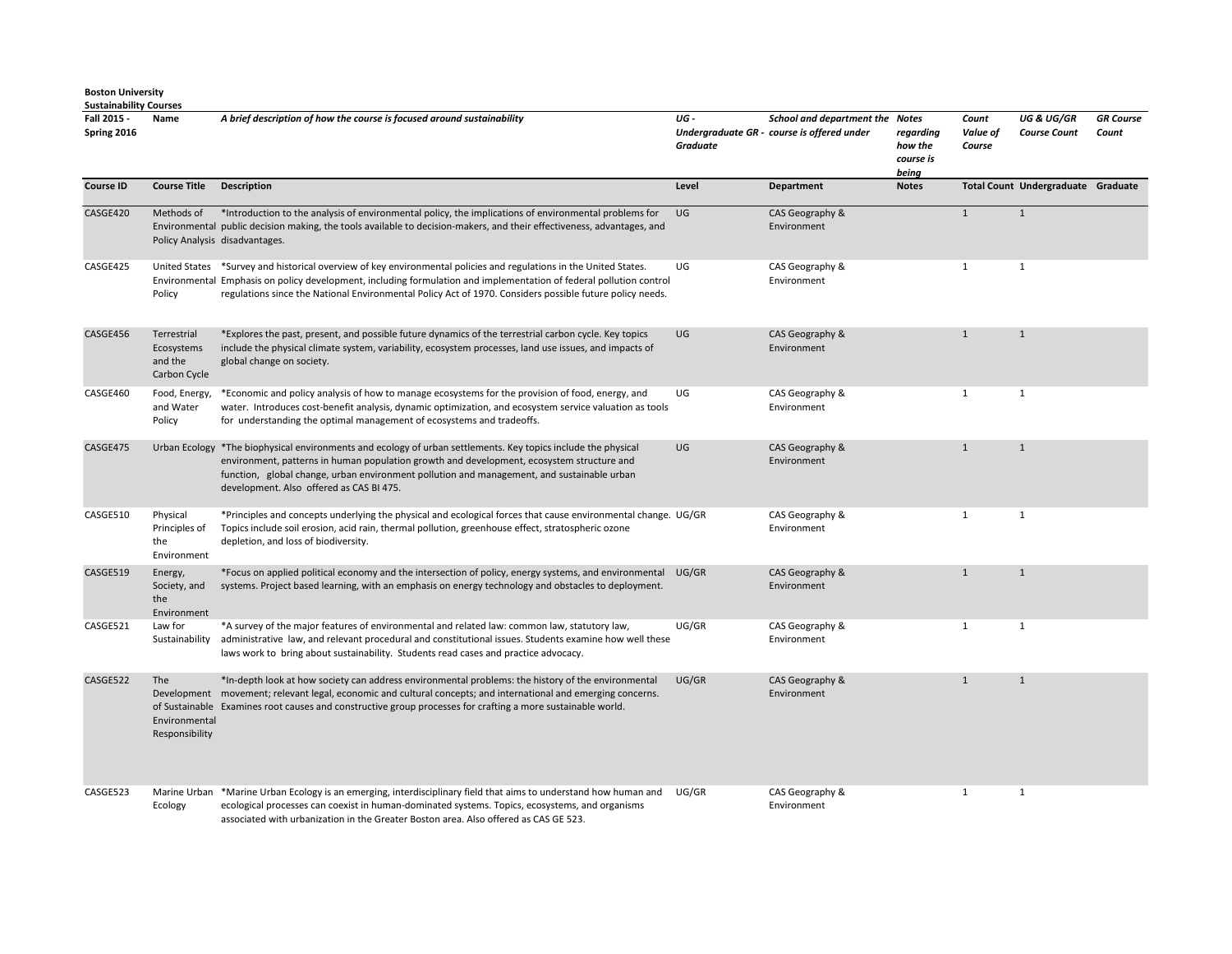| Fall 2015 -<br>Spring 2016 | Name                                                 | A brief description of how the course is focused around sustainability                                                                                                                                                                                                                                                                               | UG-<br>Graduate | School and department the Notes<br>Undergraduate GR - course is offered under | regarding<br>how the<br>course is<br>being | Count<br>Value of<br>Course | <b>UG &amp; UG/GR</b><br><b>Course Count</b> | <b>GR</b> Course<br>Count |
|----------------------------|------------------------------------------------------|------------------------------------------------------------------------------------------------------------------------------------------------------------------------------------------------------------------------------------------------------------------------------------------------------------------------------------------------------|-----------------|-------------------------------------------------------------------------------|--------------------------------------------|-----------------------------|----------------------------------------------|---------------------------|
| <b>Course ID</b>           | <b>Course Title</b>                                  | <b>Description</b>                                                                                                                                                                                                                                                                                                                                   | Level           | <b>Department</b>                                                             | <b>Notes</b>                               |                             | Total Count Undergraduate Graduate           |                           |
| CASGE420                   | Methods of                                           | *Introduction to the analysis of environmental policy, the implications of environmental problems for<br>Environmental public decision making, the tools available to decision-makers, and their effectiveness, advantages, and<br>Policy Analysis disadvantages.                                                                                    | UG              | CAS Geography &<br>Environment                                                |                                            | $\mathbf{1}$                | $\mathbf{1}$                                 |                           |
| CASGE425                   | Policy                                               | United States *Survey and historical overview of key environmental policies and regulations in the United States.<br>Environmental Emphasis on policy development, including formulation and implementation of federal pollution control<br>regulations since the National Environmental Policy Act of 1970. Considers possible future policy needs. | UG              | CAS Geography &<br>Environment                                                |                                            | $\mathbf{1}$                | $\mathbf{1}$                                 |                           |
| CASGE456                   | Terrestrial<br>Ecosystems<br>and the<br>Carbon Cycle | *Explores the past, present, and possible future dynamics of the terrestrial carbon cycle. Key topics<br>include the physical climate system, variability, ecosystem processes, land use issues, and impacts of<br>global change on society.                                                                                                         | UG              | CAS Geography &<br>Environment                                                |                                            | $\mathbf{1}$                | $\mathbf{1}$                                 |                           |
| CASGE460                   | Food, Energy,<br>and Water<br>Policy                 | *Economic and policy analysis of how to manage ecosystems for the provision of food, energy, and<br>water. Introduces cost-benefit analysis, dynamic optimization, and ecosystem service valuation as tools<br>for understanding the optimal management of ecosystems and tradeoffs.                                                                 | UG              | CAS Geography &<br>Environment                                                |                                            | $\mathbf{1}$                | $\mathbf{1}$                                 |                           |
| CASGE475                   |                                                      | Urban Ecology *The biophysical environments and ecology of urban settlements. Key topics include the physical<br>environment, patterns in human population growth and development, ecosystem structure and<br>function, global change, urban environment pollution and management, and sustainable urban<br>development. Also offered as CAS BI 475. | UG              | CAS Geography &<br>Environment                                                |                                            | $\mathbf{1}$                | 1                                            |                           |
| CASGE510                   | Physical<br>Principles of<br>the<br>Environment      | *Principles and concepts underlying the physical and ecological forces that cause environmental change. UG/GR<br>Topics include soil erosion, acid rain, thermal pollution, greenhouse effect, stratospheric ozone<br>depletion, and loss of biodiversity.                                                                                           |                 | CAS Geography &<br>Environment                                                |                                            | $\mathbf{1}$                | $\mathbf{1}$                                 |                           |
| CASGE519                   | Energy,<br>Society, and<br>the<br>Environment        | *Focus on applied political economy and the intersection of policy, energy systems, and environmental<br>systems. Project based learning, with an emphasis on energy technology and obstacles to deployment.                                                                                                                                         | UG/GR           | CAS Geography &<br>Environment                                                |                                            | $\mathbf{1}$                | $\mathbf{1}$                                 |                           |
| CASGE521                   | Law for                                              | *A survey of the major features of environmental and related law: common law, statutory law,<br>Sustainability administrative law, and relevant procedural and constitutional issues. Students examine how well these<br>laws work to bring about sustainability. Students read cases and practice advocacy.                                         | UG/GR           | CAS Geography &<br>Environment                                                |                                            | $\mathbf{1}$                | 1                                            |                           |
| CASGE522                   | The<br>Environmental<br>Responsibility               | *In-depth look at how society can address environmental problems: the history of the environmental<br>Development movement; relevant legal, economic and cultural concepts; and international and emerging concerns.<br>of Sustainable Examines root causes and constructive group processes for crafting a more sustainable world.                  | UG/GR           | CAS Geography &<br>Environment                                                |                                            | $\mathbf{1}$                | $\mathbf{1}$                                 |                           |
| CASGE523                   | Ecology                                              | Marine Urban *Marine Urban Ecology is an emerging, interdisciplinary field that aims to understand how human and<br>ecological processes can coexist in human-dominated systems. Topics, ecosystems, and organisms<br>associated with urbanization in the Greater Boston area. Also offered as CAS GE 523.                                           | UG/GR           | CAS Geography &<br>Environment                                                |                                            | $\mathbf{1}$                | $\mathbf{1}$                                 |                           |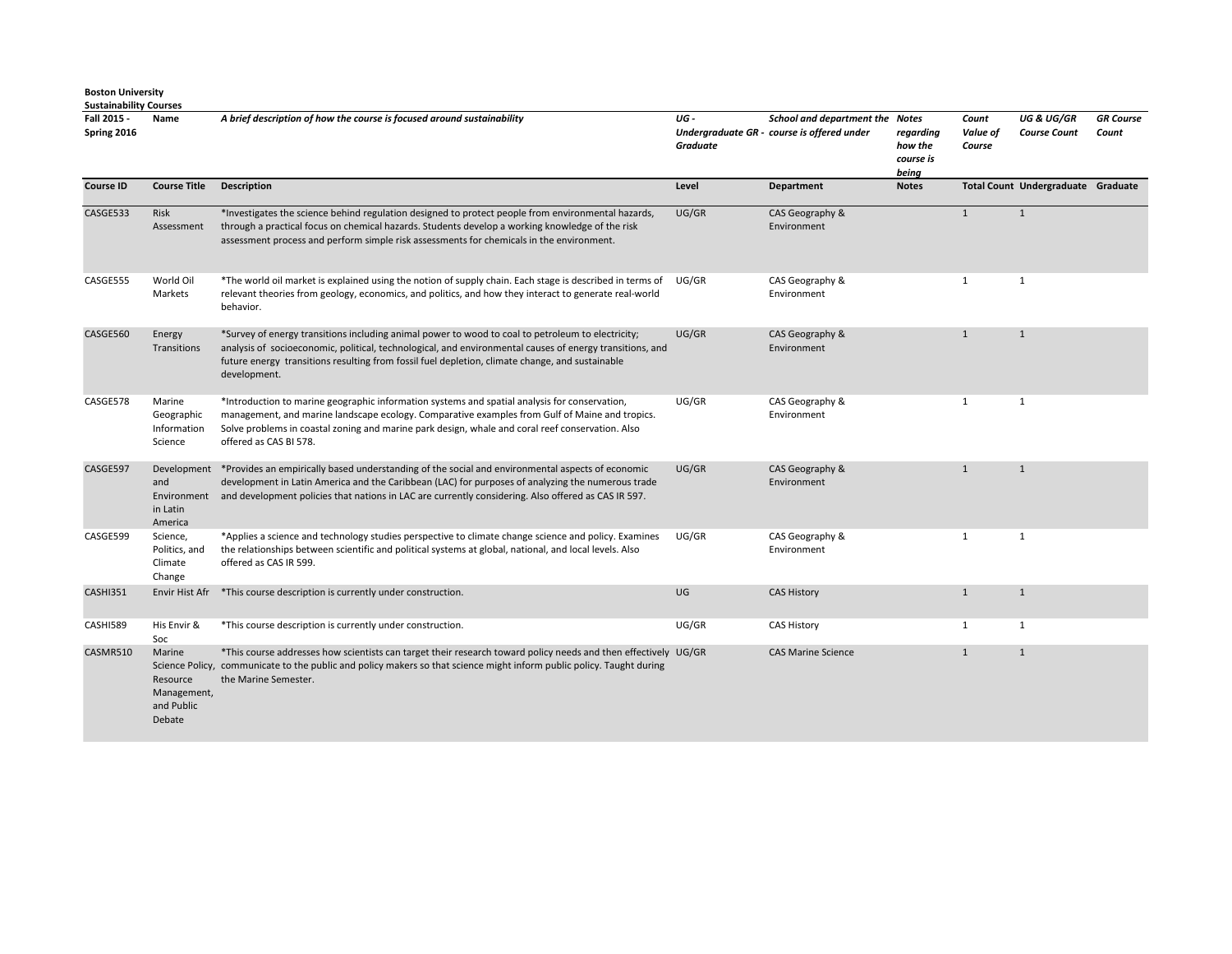| Fall 2015 -<br>Spring 2016 | Name                                                      | A brief description of how the course is focused around sustainability                                                                                                                                                                                                                                                           | UG-<br>Graduate | School and department the Notes<br>Undergraduate GR - course is offered under | regarding<br>how the<br>course is<br>being | Count<br>Value of<br>Course | <b>UG &amp; UG/GR</b><br><b>Course Count</b> | <b>GR</b> Course<br>Count |
|----------------------------|-----------------------------------------------------------|----------------------------------------------------------------------------------------------------------------------------------------------------------------------------------------------------------------------------------------------------------------------------------------------------------------------------------|-----------------|-------------------------------------------------------------------------------|--------------------------------------------|-----------------------------|----------------------------------------------|---------------------------|
| <b>Course ID</b>           | <b>Course Title</b>                                       | <b>Description</b>                                                                                                                                                                                                                                                                                                               | Level           | <b>Department</b>                                                             | <b>Notes</b>                               |                             | Total Count Undergraduate Graduate           |                           |
| CASGE533                   | Risk<br>Assessment                                        | *Investigates the science behind regulation designed to protect people from environmental hazards,<br>through a practical focus on chemical hazards. Students develop a working knowledge of the risk<br>assessment process and perform simple risk assessments for chemicals in the environment.                                | UG/GR           | CAS Geography &<br>Environment                                                |                                            | $\mathbf{1}$                | $\mathbf{1}$                                 |                           |
| CASGE555                   | World Oil<br>Markets                                      | *The world oil market is explained using the notion of supply chain. Each stage is described in terms of<br>relevant theories from geology, economics, and politics, and how they interact to generate real-world<br>behavior.                                                                                                   | UG/GR           | CAS Geography &<br>Environment                                                |                                            | $\mathbf{1}$                | $\mathbf{1}$                                 |                           |
| CASGE560                   | Energy<br>Transitions                                     | *Survey of energy transitions including animal power to wood to coal to petroleum to electricity;<br>analysis of socioeconomic, political, technological, and environmental causes of energy transitions, and<br>future energy transitions resulting from fossil fuel depletion, climate change, and sustainable<br>development. | UG/GR           | CAS Geography &<br>Environment                                                |                                            | $\mathbf{1}$                | $\mathbf{1}$                                 |                           |
| CASGE578                   | Marine<br>Geographic<br>Information<br>Science            | *Introduction to marine geographic information systems and spatial analysis for conservation,<br>management, and marine landscape ecology. Comparative examples from Gulf of Maine and tropics.<br>Solve problems in coastal zoning and marine park design, whale and coral reef conservation. Also<br>offered as CAS BI 578.    | UG/GR           | CAS Geography &<br>Environment                                                |                                            | $\mathbf{1}$                | $\mathbf{1}$                                 |                           |
| CASGE597                   | and<br>Environment<br>in Latin<br>America                 | Development *Provides an empirically based understanding of the social and environmental aspects of economic<br>development in Latin America and the Caribbean (LAC) for purposes of analyzing the numerous trade<br>and development policies that nations in LAC are currently considering. Also offered as CAS IR 597.         | UG/GR           | CAS Geography &<br>Environment                                                |                                            | $\mathbf{1}$                | $\mathbf{1}$                                 |                           |
| CASGE599                   | Science,<br>Politics, and<br>Climate<br>Change            | *Applies a science and technology studies perspective to climate change science and policy. Examines<br>the relationships between scientific and political systems at global, national, and local levels. Also<br>offered as CAS IR 599.                                                                                         | UG/GR           | CAS Geography &<br>Environment                                                |                                            | 1                           | $\mathbf{1}$                                 |                           |
| CASHI351                   | Envir Hist Afr                                            | *This course description is currently under construction.                                                                                                                                                                                                                                                                        | UG              | <b>CAS History</b>                                                            |                                            | $\mathbf{1}$                | $\mathbf{1}$                                 |                           |
| CASHI589                   | His Envir &<br>Soc                                        | *This course description is currently under construction.                                                                                                                                                                                                                                                                        | UG/GR           | <b>CAS History</b>                                                            |                                            | 1                           | $\mathbf{1}$                                 |                           |
| CASMR510                   | Marine<br>Resource<br>Management,<br>and Public<br>Debate | *This course addresses how scientists can target their research toward policy needs and then effectively UG/GR<br>Science Policy, communicate to the public and policy makers so that science might inform public policy. Taught during<br>the Marine Semester.                                                                  |                 | <b>CAS Marine Science</b>                                                     |                                            | $\mathbf{1}$                | $\mathbf{1}$                                 |                           |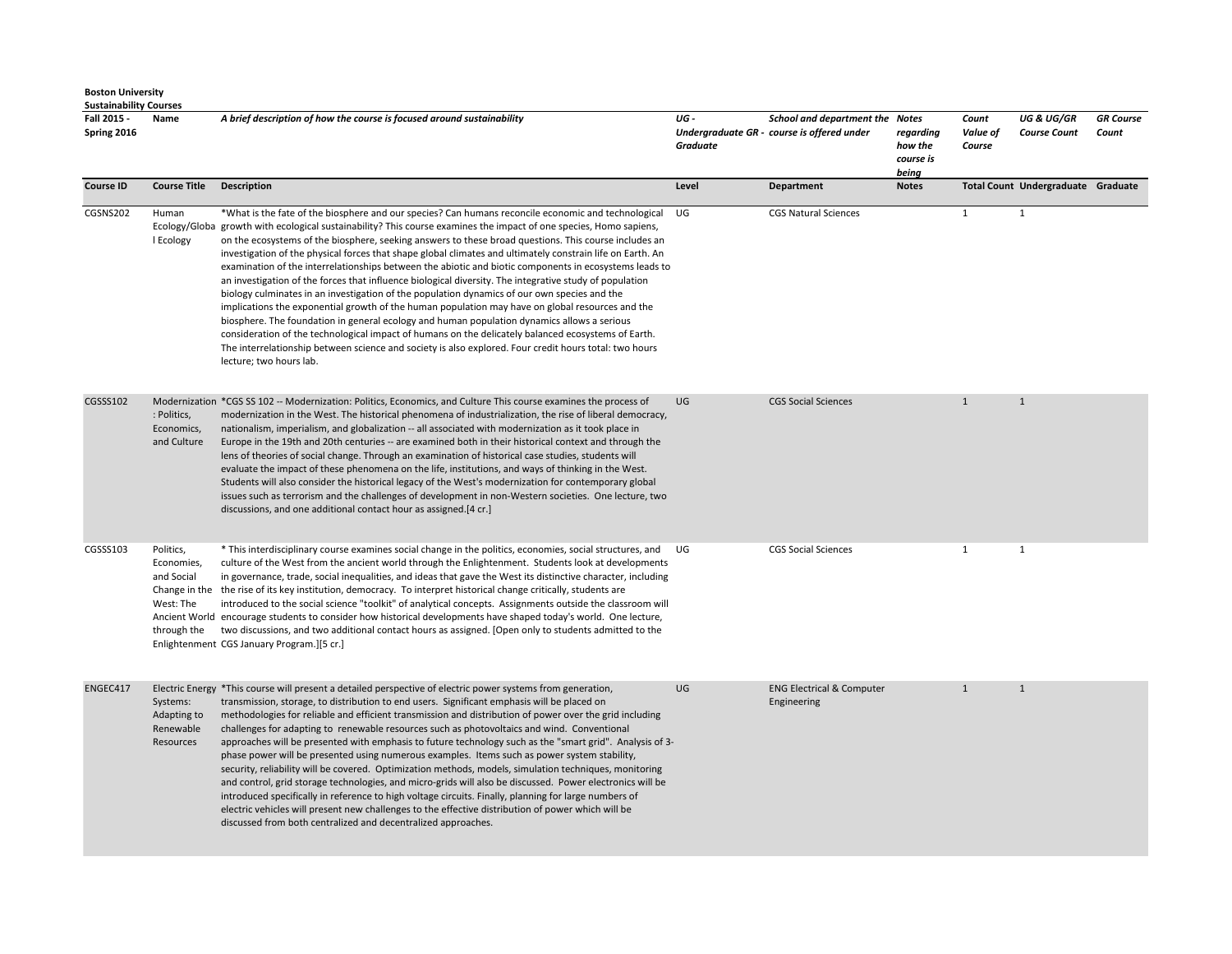| <b>Boston University</b>   | <b>Sustainability Courses</b>                                     |                                                                                                                                                                                                                                                                                                                                                                                                                                                                                                                                                                                                                                                                                                                                                                                                                                                                                                                                                                                                                                                                                                                                                                                                                      |                  |                                                                               |                                            |                             |                                              |                           |  |  |
|----------------------------|-------------------------------------------------------------------|----------------------------------------------------------------------------------------------------------------------------------------------------------------------------------------------------------------------------------------------------------------------------------------------------------------------------------------------------------------------------------------------------------------------------------------------------------------------------------------------------------------------------------------------------------------------------------------------------------------------------------------------------------------------------------------------------------------------------------------------------------------------------------------------------------------------------------------------------------------------------------------------------------------------------------------------------------------------------------------------------------------------------------------------------------------------------------------------------------------------------------------------------------------------------------------------------------------------|------------------|-------------------------------------------------------------------------------|--------------------------------------------|-----------------------------|----------------------------------------------|---------------------------|--|--|
| Fall 2015 -<br>Spring 2016 | Name                                                              | A brief description of how the course is focused around sustainability                                                                                                                                                                                                                                                                                                                                                                                                                                                                                                                                                                                                                                                                                                                                                                                                                                                                                                                                                                                                                                                                                                                                               | UG -<br>Graduate | School and department the Notes<br>Undergraduate GR - course is offered under | regarding<br>how the<br>course is<br>being | Count<br>Value of<br>Course | <b>UG &amp; UG/GR</b><br><b>Course Count</b> | <b>GR Course</b><br>Count |  |  |
| <b>Course ID</b>           | <b>Course Title</b>                                               | <b>Description</b>                                                                                                                                                                                                                                                                                                                                                                                                                                                                                                                                                                                                                                                                                                                                                                                                                                                                                                                                                                                                                                                                                                                                                                                                   | Level            | Department                                                                    | <b>Notes</b>                               |                             | Total Count Undergraduate Graduate           |                           |  |  |
| CGSNS202                   | Human<br>I Ecology                                                | *What is the fate of the biosphere and our species? Can humans reconcile economic and technological<br>Ecology/Globa growth with ecological sustainability? This course examines the impact of one species, Homo sapiens,<br>on the ecosystems of the biosphere, seeking answers to these broad questions. This course includes an<br>investigation of the physical forces that shape global climates and ultimately constrain life on Earth. An<br>examination of the interrelationships between the abiotic and biotic components in ecosystems leads to<br>an investigation of the forces that influence biological diversity. The integrative study of population<br>biology culminates in an investigation of the population dynamics of our own species and the<br>implications the exponential growth of the human population may have on global resources and the<br>biosphere. The foundation in general ecology and human population dynamics allows a serious<br>consideration of the technological impact of humans on the delicately balanced ecosystems of Earth.<br>The interrelationship between science and society is also explored. Four credit hours total: two hours<br>lecture; two hours lab. | UG               | <b>CGS Natural Sciences</b>                                                   |                                            | $\mathbf{1}$                | $\mathbf{1}$                                 |                           |  |  |
| CGSSS102                   | : Politics,<br>Economics,<br>and Culture                          | Modernization *CGS SS 102 -- Modernization: Politics, Economics, and Culture This course examines the process of<br>modernization in the West. The historical phenomena of industrialization, the rise of liberal democracy,<br>nationalism, imperialism, and globalization -- all associated with modernization as it took place in<br>Europe in the 19th and 20th centuries -- are examined both in their historical context and through the<br>lens of theories of social change. Through an examination of historical case studies, students will<br>evaluate the impact of these phenomena on the life, institutions, and ways of thinking in the West.<br>Students will also consider the historical legacy of the West's modernization for contemporary global<br>issues such as terrorism and the challenges of development in non-Western societies. One lecture, two<br>discussions, and one additional contact hour as assigned.[4 cr.]                                                                                                                                                                                                                                                                   | UG               | <b>CGS Social Sciences</b>                                                    |                                            | $\mathbf{1}$                | $\mathbf{1}$                                 |                           |  |  |
| CGSSS103                   | Politics,<br>Economies,<br>and Social<br>West: The<br>through the | * This interdisciplinary course examines social change in the politics, economies, social structures, and<br>culture of the West from the ancient world through the Enlightenment. Students look at developments<br>in governance, trade, social inequalities, and ideas that gave the West its distinctive character, including<br>Change in the the rise of its key institution, democracy. To interpret historical change critically, students are<br>introduced to the social science "toolkit" of analytical concepts. Assignments outside the classroom will<br>Ancient World encourage students to consider how historical developments have shaped today's world. One lecture,<br>two discussions, and two additional contact hours as assigned. [Open only to students admitted to the<br>Enlightenment CGS January Program.][5 cr.]                                                                                                                                                                                                                                                                                                                                                                        | UG               | <b>CGS Social Sciences</b>                                                    |                                            | $\mathbf{1}$                | $\mathbf{1}$                                 |                           |  |  |
| ENGEC417                   | Systems:<br>Adapting to<br>Renewable<br>Resources                 | Electric Energy *This course will present a detailed perspective of electric power systems from generation,<br>transmission, storage, to distribution to end users. Significant emphasis will be placed on<br>methodologies for reliable and efficient transmission and distribution of power over the grid including<br>challenges for adapting to renewable resources such as photovoltaics and wind. Conventional<br>approaches will be presented with emphasis to future technology such as the "smart grid". Analysis of 3-<br>phase power will be presented using numerous examples. Items such as power system stability,<br>security, reliability will be covered. Optimization methods, models, simulation techniques, monitoring<br>and control, grid storage technologies, and micro-grids will also be discussed. Power electronics will be<br>introduced specifically in reference to high voltage circuits. Finally, planning for large numbers of<br>electric vehicles will present new challenges to the effective distribution of power which will be<br>discussed from both centralized and decentralized approaches.                                                                              | UG               | <b>ENG Electrical &amp; Computer</b><br>Engineering                           |                                            | $\mathbf{1}$                | $\mathbf{1}$                                 |                           |  |  |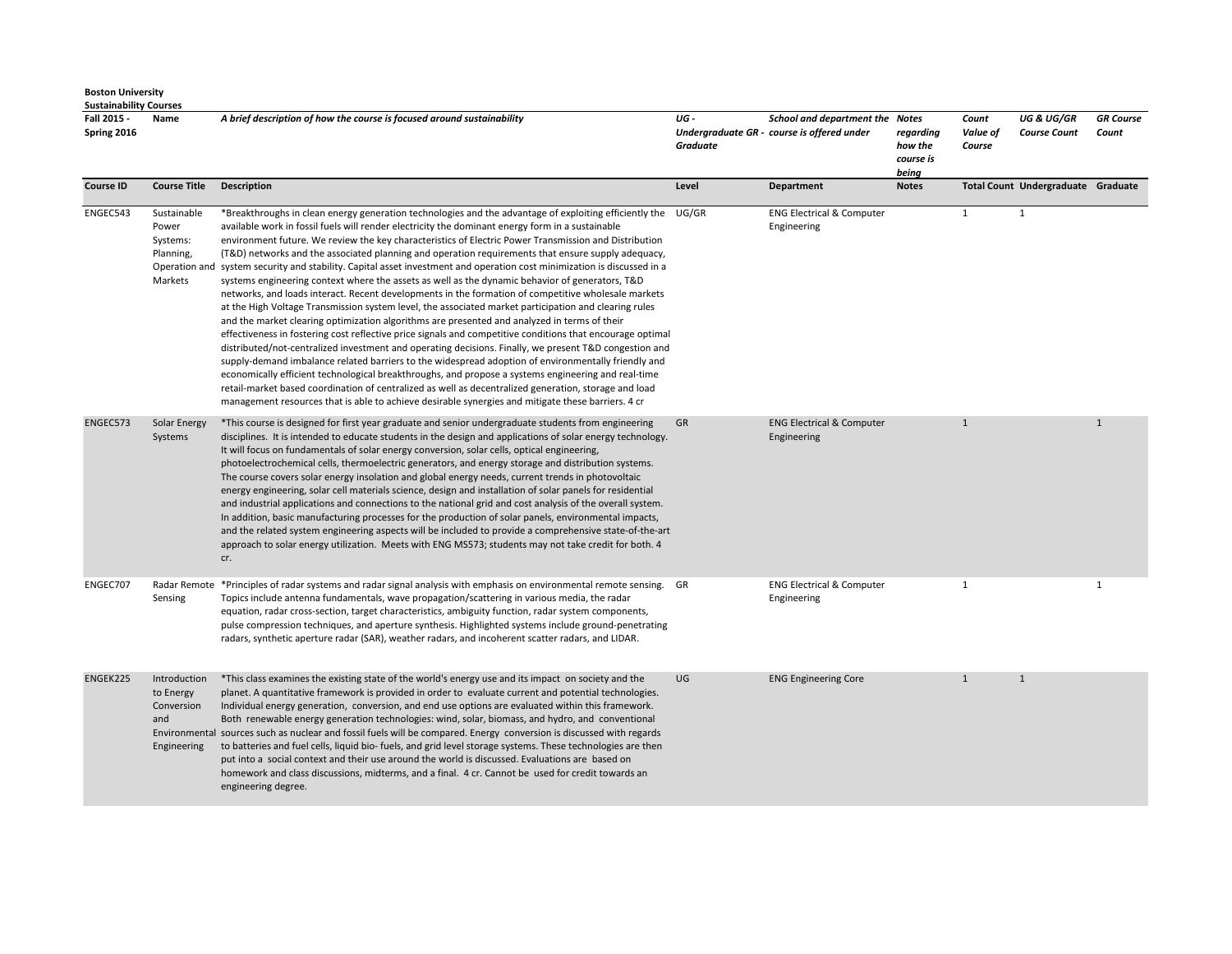| Justaniawint <sup>,</sup><br>Fall 2015 -<br>Spring 2016 | Name                                                          | A brief description of how the course is focused around sustainability                                                                                                                                                                                                                                                                                                                                                                                                                                                                                                                                                                                                                                                                                                                                                                                                                                                                                                                                                                                                                                                                                                                                                                                                                                                                                                                                                                                                                                                                                                                                                             | UG -<br>Graduate | School and department the Notes<br>Undergraduate GR - course is offered under | regarding<br>how the<br>course is<br>being | Count<br>Value of<br>Course | <b>UG &amp; UG/GR</b><br><b>Course Count</b> | <b>GR</b> Course<br>Count |
|---------------------------------------------------------|---------------------------------------------------------------|------------------------------------------------------------------------------------------------------------------------------------------------------------------------------------------------------------------------------------------------------------------------------------------------------------------------------------------------------------------------------------------------------------------------------------------------------------------------------------------------------------------------------------------------------------------------------------------------------------------------------------------------------------------------------------------------------------------------------------------------------------------------------------------------------------------------------------------------------------------------------------------------------------------------------------------------------------------------------------------------------------------------------------------------------------------------------------------------------------------------------------------------------------------------------------------------------------------------------------------------------------------------------------------------------------------------------------------------------------------------------------------------------------------------------------------------------------------------------------------------------------------------------------------------------------------------------------------------------------------------------------|------------------|-------------------------------------------------------------------------------|--------------------------------------------|-----------------------------|----------------------------------------------|---------------------------|
| <b>Course ID</b>                                        | <b>Course Title</b>                                           | Description                                                                                                                                                                                                                                                                                                                                                                                                                                                                                                                                                                                                                                                                                                                                                                                                                                                                                                                                                                                                                                                                                                                                                                                                                                                                                                                                                                                                                                                                                                                                                                                                                        | Level            | Department                                                                    | <b>Notes</b>                               |                             | Total Count Undergraduate Graduate           |                           |
| ENGEC543                                                | Sustainable<br>Power<br>Systems:<br>Planning,<br>Markets      | *Breakthroughs in clean energy generation technologies and the advantage of exploiting efficiently the UG/GR<br>available work in fossil fuels will render electricity the dominant energy form in a sustainable<br>environment future. We review the key characteristics of Electric Power Transmission and Distribution<br>(T&D) networks and the associated planning and operation requirements that ensure supply adequacy,<br>Operation and system security and stability. Capital asset investment and operation cost minimization is discussed in a<br>systems engineering context where the assets as well as the dynamic behavior of generators, T&D<br>networks, and loads interact. Recent developments in the formation of competitive wholesale markets<br>at the High Voltage Transmission system level, the associated market participation and clearing rules<br>and the market clearing optimization algorithms are presented and analyzed in terms of their<br>effectiveness in fostering cost reflective price signals and competitive conditions that encourage optimal<br>distributed/not-centralized investment and operating decisions. Finally, we present T&D congestion and<br>supply-demand imbalance related barriers to the widespread adoption of environmentally friendly and<br>economically efficient technological breakthroughs, and propose a systems engineering and real-time<br>retail-market based coordination of centralized as well as decentralized generation, storage and load<br>management resources that is able to achieve desirable synergies and mitigate these barriers. 4 cr |                  | <b>ENG Electrical &amp; Computer</b><br>Engineering                           |                                            | 1                           | 1                                            |                           |
| ENGEC573                                                | <b>Solar Energy</b><br>Systems                                | *This course is designed for first year graduate and senior undergraduate students from engineering<br>disciplines. It is intended to educate students in the design and applications of solar energy technology.<br>It will focus on fundamentals of solar energy conversion, solar cells, optical engineering,<br>photoelectrochemical cells, thermoelectric generators, and energy storage and distribution systems.<br>The course covers solar energy insolation and global energy needs, current trends in photovoltaic<br>energy engineering, solar cell materials science, design and installation of solar panels for residential<br>and industrial applications and connections to the national grid and cost analysis of the overall system.<br>In addition, basic manufacturing processes for the production of solar panels, environmental impacts,<br>and the related system engineering aspects will be included to provide a comprehensive state-of-the-art<br>approach to solar energy utilization. Meets with ENG MS573; students may not take credit for both. 4<br>cr.                                                                                                                                                                                                                                                                                                                                                                                                                                                                                                                                          | GR               | <b>ENG Electrical &amp; Computer</b><br>Engineering                           |                                            | $\mathbf{1}$                |                                              | $\mathbf{1}$              |
| ENGEC707                                                | Sensing                                                       | Radar Remote *Principles of radar systems and radar signal analysis with emphasis on environmental remote sensing. GR<br>Topics include antenna fundamentals, wave propagation/scattering in various media, the radar<br>equation, radar cross-section, target characteristics, ambiguity function, radar system components,<br>pulse compression techniques, and aperture synthesis. Highlighted systems include ground-penetrating<br>radars, synthetic aperture radar (SAR), weather radars, and incoherent scatter radars, and LIDAR.                                                                                                                                                                                                                                                                                                                                                                                                                                                                                                                                                                                                                                                                                                                                                                                                                                                                                                                                                                                                                                                                                          |                  | <b>ENG Electrical &amp; Computer</b><br>Engineering                           |                                            | $\mathbf{1}$                |                                              | $\mathbf{1}$              |
| ENGEK225                                                | Introduction<br>to Energy<br>Conversion<br>and<br>Engineering | *This class examines the existing state of the world's energy use and its impact on society and the<br>planet. A quantitative framework is provided in order to evaluate current and potential technologies.<br>Individual energy generation, conversion, and end use options are evaluated within this framework.<br>Both renewable energy generation technologies: wind, solar, biomass, and hydro, and conventional<br>Environmental sources such as nuclear and fossil fuels will be compared. Energy conversion is discussed with regards<br>to batteries and fuel cells, liquid bio- fuels, and grid level storage systems. These technologies are then<br>put into a social context and their use around the world is discussed. Evaluations are based on<br>homework and class discussions, midterms, and a final. 4 cr. Cannot be used for credit towards an<br>engineering degree.                                                                                                                                                                                                                                                                                                                                                                                                                                                                                                                                                                                                                                                                                                                                       | UG               | <b>ENG Engineering Core</b>                                                   |                                            | $\mathbf{1}$                | $\mathbf{1}$                                 |                           |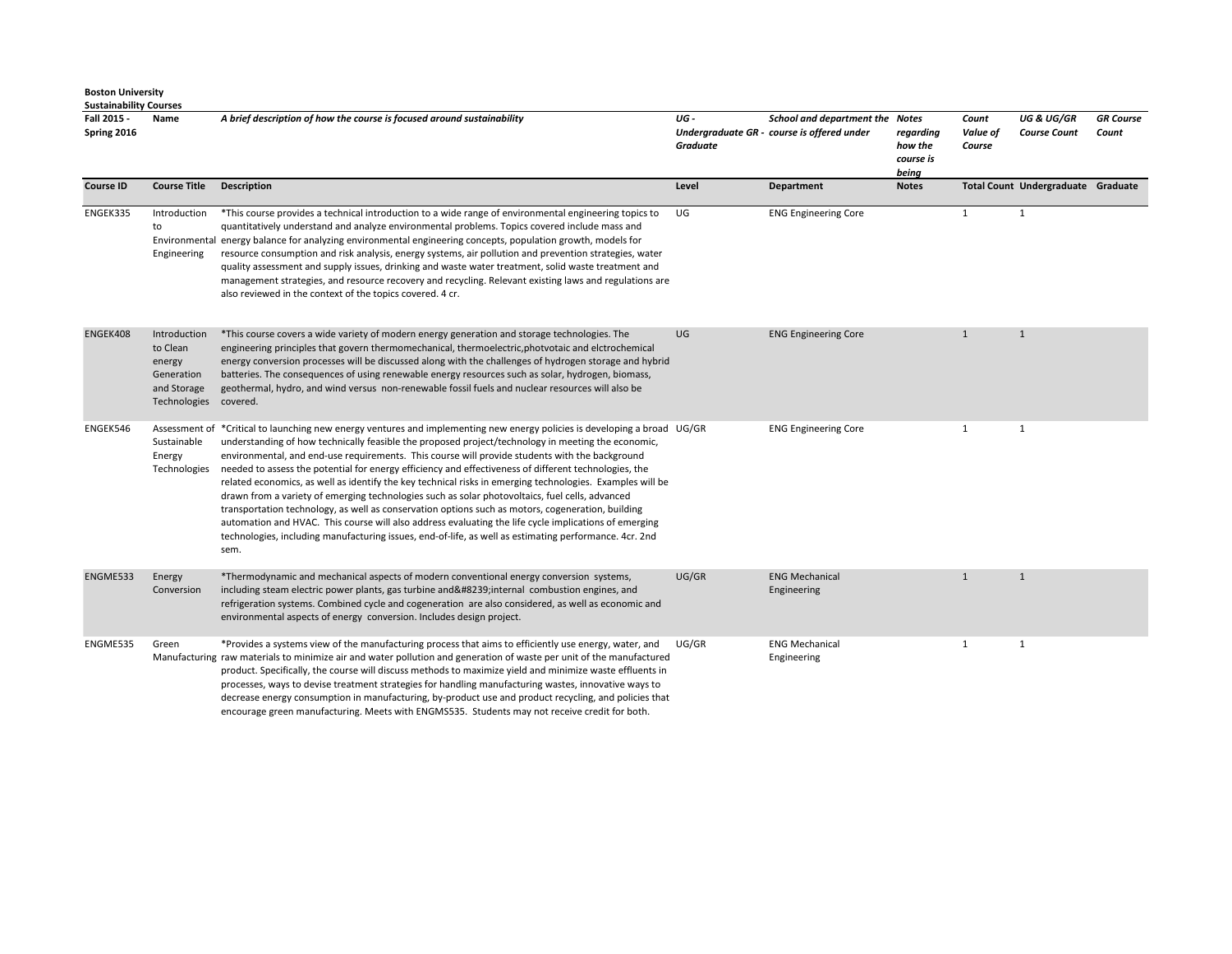| Fall 2015 -<br>Spring 2016 | Name                                                                                     | A brief description of how the course is focused around sustainability                                                                                                                                                                                                                                                                                                                                                                                                                                                                                                                                                                                                                                                                                                                                                                                                                                                                                                                     | UG -<br><b>Graduate</b> | <b>School and department the Notes</b><br>Undergraduate GR - course is offered under | regarding<br>how the<br>course is<br>being | Count<br>Value of<br>Course | <b>UG &amp; UG/GR</b><br><b>Course Count</b> | <b>GR</b> Course<br>Count |
|----------------------------|------------------------------------------------------------------------------------------|--------------------------------------------------------------------------------------------------------------------------------------------------------------------------------------------------------------------------------------------------------------------------------------------------------------------------------------------------------------------------------------------------------------------------------------------------------------------------------------------------------------------------------------------------------------------------------------------------------------------------------------------------------------------------------------------------------------------------------------------------------------------------------------------------------------------------------------------------------------------------------------------------------------------------------------------------------------------------------------------|-------------------------|--------------------------------------------------------------------------------------|--------------------------------------------|-----------------------------|----------------------------------------------|---------------------------|
| <b>Course ID</b>           | <b>Course Title</b>                                                                      | <b>Description</b>                                                                                                                                                                                                                                                                                                                                                                                                                                                                                                                                                                                                                                                                                                                                                                                                                                                                                                                                                                         | Level                   | <b>Department</b>                                                                    | <b>Notes</b>                               |                             | Total Count Undergraduate Graduate           |                           |
| ENGEK335                   | Introduction<br>to<br>Engineering                                                        | *This course provides a technical introduction to a wide range of environmental engineering topics to<br>quantitatively understand and analyze environmental problems. Topics covered include mass and<br>Environmental energy balance for analyzing environmental engineering concepts, population growth, models for<br>resource consumption and risk analysis, energy systems, air pollution and prevention strategies, water<br>quality assessment and supply issues, drinking and waste water treatment, solid waste treatment and<br>management strategies, and resource recovery and recycling. Relevant existing laws and regulations are<br>also reviewed in the context of the topics covered. 4 cr.                                                                                                                                                                                                                                                                             | UG                      | <b>ENG Engineering Core</b>                                                          |                                            | $\mathbf{1}$                | $\mathbf{1}$                                 |                           |
| ENGEK408                   | Introduction<br>to Clean<br>energy<br>Generation<br>and Storage<br>Technologies covered. | *This course covers a wide variety of modern energy generation and storage technologies. The<br>engineering principles that govern thermomechanical, thermoelectric, photvotaic and elctrochemical<br>energy conversion processes will be discussed along with the challenges of hydrogen storage and hybrid<br>batteries. The consequences of using renewable energy resources such as solar, hydrogen, biomass,<br>geothermal, hydro, and wind versus non-renewable fossil fuels and nuclear resources will also be                                                                                                                                                                                                                                                                                                                                                                                                                                                                      | UG                      | <b>ENG Engineering Core</b>                                                          |                                            | $\mathbf{1}$                | $\mathbf{1}$                                 |                           |
| ENGEK546                   | Sustainable<br>Energy<br>Technologies                                                    | Assessment of *Critical to launching new energy ventures and implementing new energy policies is developing a broad UG/GR<br>understanding of how technically feasible the proposed project/technology in meeting the economic,<br>environmental, and end-use requirements. This course will provide students with the background<br>needed to assess the potential for energy efficiency and effectiveness of different technologies, the<br>related economics, as well as identify the key technical risks in emerging technologies. Examples will be<br>drawn from a variety of emerging technologies such as solar photovoltaics, fuel cells, advanced<br>transportation technology, as well as conservation options such as motors, cogeneration, building<br>automation and HVAC. This course will also address evaluating the life cycle implications of emerging<br>technologies, including manufacturing issues, end-of-life, as well as estimating performance. 4cr. 2nd<br>sem. |                         | <b>ENG Engineering Core</b>                                                          |                                            | 1                           | $\mathbf{1}$                                 |                           |
| ENGME533                   | Energy<br>Conversion                                                                     | *Thermodynamic and mechanical aspects of modern conventional energy conversion systems,<br>including steam electric power plants, gas turbine and   internal combustion engines, and<br>refrigeration systems. Combined cycle and cogeneration are also considered, as well as economic and<br>environmental aspects of energy conversion. Includes design project.                                                                                                                                                                                                                                                                                                                                                                                                                                                                                                                                                                                                                        | UG/GR                   | <b>ENG Mechanical</b><br>Engineering                                                 |                                            | $\mathbf{1}$                | $\mathbf{1}$                                 |                           |
| ENGME535                   | Green                                                                                    | *Provides a systems view of the manufacturing process that aims to efficiently use energy, water, and<br>Manufacturing raw materials to minimize air and water pollution and generation of waste per unit of the manufactured<br>product. Specifically, the course will discuss methods to maximize yield and minimize waste effluents in<br>processes, ways to devise treatment strategies for handling manufacturing wastes, innovative ways to<br>decrease energy consumption in manufacturing, by-product use and product recycling, and policies that                                                                                                                                                                                                                                                                                                                                                                                                                                 | UG/GR                   | <b>ENG Mechanical</b><br>Engineering                                                 |                                            | $\mathbf{1}$                | $\mathbf{1}$                                 |                           |

encourage green manufacturing. Meets with ENGMS535. Students may not receive credit for both.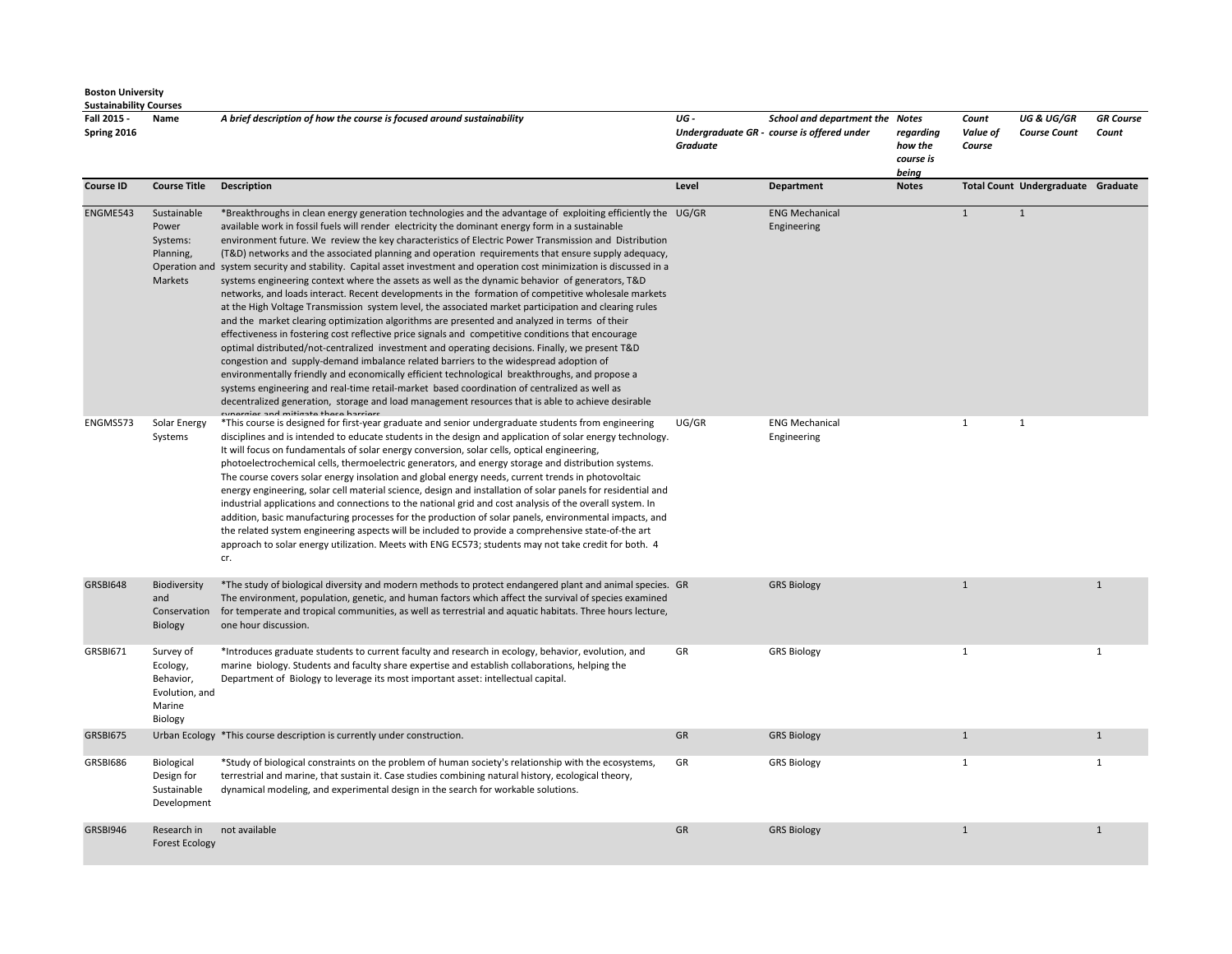| Fall 2015 -<br>Spring 2016 | Name                                                                      | A brief description of how the course is focused around sustainability                                                                                                                                                                                                                                                                                                                                                                                                                                                                                                                                                                                                                                                                                                                                                                                                                                                                                                                                                                                                                                                                                                                                                                                                                                                                                                                                                                                                                                                                                                                 | UG-<br><b>Graduate</b> | School and department the Notes<br>Undergraduate GR - course is offered under | regarding<br>how the<br>course is<br>being | Count<br>Value of<br>Course | <b>UG &amp; UG/GR</b><br><b>Course Count</b> | <b>GR</b> Course<br>Count |
|----------------------------|---------------------------------------------------------------------------|----------------------------------------------------------------------------------------------------------------------------------------------------------------------------------------------------------------------------------------------------------------------------------------------------------------------------------------------------------------------------------------------------------------------------------------------------------------------------------------------------------------------------------------------------------------------------------------------------------------------------------------------------------------------------------------------------------------------------------------------------------------------------------------------------------------------------------------------------------------------------------------------------------------------------------------------------------------------------------------------------------------------------------------------------------------------------------------------------------------------------------------------------------------------------------------------------------------------------------------------------------------------------------------------------------------------------------------------------------------------------------------------------------------------------------------------------------------------------------------------------------------------------------------------------------------------------------------|------------------------|-------------------------------------------------------------------------------|--------------------------------------------|-----------------------------|----------------------------------------------|---------------------------|
| <b>Course ID</b>           | <b>Course Title</b>                                                       | <b>Description</b>                                                                                                                                                                                                                                                                                                                                                                                                                                                                                                                                                                                                                                                                                                                                                                                                                                                                                                                                                                                                                                                                                                                                                                                                                                                                                                                                                                                                                                                                                                                                                                     | Level                  | Department                                                                    | <b>Notes</b>                               |                             | Total Count Undergraduate Graduate           |                           |
| ENGME543                   | Sustainable<br>Power<br>Systems:<br>Planning,<br>Markets                  | *Breakthroughs in clean energy generation technologies and the advantage of exploiting efficiently the UG/GR<br>available work in fossil fuels will render electricity the dominant energy form in a sustainable<br>environment future. We review the key characteristics of Electric Power Transmission and Distribution<br>(T&D) networks and the associated planning and operation requirements that ensure supply adequacy,<br>Operation and system security and stability. Capital asset investment and operation cost minimization is discussed in a<br>systems engineering context where the assets as well as the dynamic behavior of generators, T&D<br>networks, and loads interact. Recent developments in the formation of competitive wholesale markets<br>at the High Voltage Transmission system level, the associated market participation and clearing rules<br>and the market clearing optimization algorithms are presented and analyzed in terms of their<br>effectiveness in fostering cost reflective price signals and competitive conditions that encourage<br>optimal distributed/not-centralized investment and operating decisions. Finally, we present T&D<br>congestion and supply-demand imbalance related barriers to the widespread adoption of<br>environmentally friendly and economically efficient technological breakthroughs, and propose a<br>systems engineering and real-time retail-market based coordination of centralized as well as<br>decentralized generation, storage and load management resources that is able to achieve desirable |                        | <b>ENG Mechanical</b><br>Engineering                                          |                                            | $\mathbf{1}$                | $\mathbf{1}$                                 |                           |
| ENGMS573                   | Solar Energy<br>Systems                                                   | *This course is designed for first-year graduate and senior undergraduate students from engineering<br>disciplines and is intended to educate students in the design and application of solar energy technology.<br>It will focus on fundamentals of solar energy conversion, solar cells, optical engineering,<br>photoelectrochemical cells, thermoelectric generators, and energy storage and distribution systems.<br>The course covers solar energy insolation and global energy needs, current trends in photovoltaic<br>energy engineering, solar cell material science, design and installation of solar panels for residential and<br>industrial applications and connections to the national grid and cost analysis of the overall system. In<br>addition, basic manufacturing processes for the production of solar panels, environmental impacts, and<br>the related system engineering aspects will be included to provide a comprehensive state-of-the art<br>approach to solar energy utilization. Meets with ENG EC573; students may not take credit for both. 4<br>cr.                                                                                                                                                                                                                                                                                                                                                                                                                                                                                                | UG/GR                  | <b>ENG Mechanical</b><br>Engineering                                          |                                            | $\mathbf{1}$                | 1                                            |                           |
| GRSBI648                   | Biodiversity<br>and<br>Conservation<br><b>Biology</b>                     | *The study of biological diversity and modern methods to protect endangered plant and animal species. GR<br>The environment, population, genetic, and human factors which affect the survival of species examined<br>for temperate and tropical communities, as well as terrestrial and aquatic habitats. Three hours lecture,<br>one hour discussion.                                                                                                                                                                                                                                                                                                                                                                                                                                                                                                                                                                                                                                                                                                                                                                                                                                                                                                                                                                                                                                                                                                                                                                                                                                 |                        | <b>GRS Biology</b>                                                            |                                            | $\mathbf{1}$                |                                              | $\mathbf{1}$              |
| <b>GRSBI671</b>            | Survey of<br>Ecology,<br>Behavior,<br>Evolution, and<br>Marine<br>Biology | *Introduces graduate students to current faculty and research in ecology, behavior, evolution, and<br>marine biology. Students and faculty share expertise and establish collaborations, helping the<br>Department of Biology to leverage its most important asset: intellectual capital.                                                                                                                                                                                                                                                                                                                                                                                                                                                                                                                                                                                                                                                                                                                                                                                                                                                                                                                                                                                                                                                                                                                                                                                                                                                                                              | GR                     | <b>GRS Biology</b>                                                            |                                            | $\mathbf{1}$                |                                              | $\mathbf{1}$              |
| GRSBI675                   |                                                                           | Urban Ecology *This course description is currently under construction.                                                                                                                                                                                                                                                                                                                                                                                                                                                                                                                                                                                                                                                                                                                                                                                                                                                                                                                                                                                                                                                                                                                                                                                                                                                                                                                                                                                                                                                                                                                | GR                     | <b>GRS Biology</b>                                                            |                                            | $\mathbf{1}$                |                                              | $\mathbf{1}$              |
| GRSBI686                   | Biological<br>Design for<br>Sustainable<br>Development                    | *Study of biological constraints on the problem of human society's relationship with the ecosystems,<br>terrestrial and marine, that sustain it. Case studies combining natural history, ecological theory,<br>dynamical modeling, and experimental design in the search for workable solutions.                                                                                                                                                                                                                                                                                                                                                                                                                                                                                                                                                                                                                                                                                                                                                                                                                                                                                                                                                                                                                                                                                                                                                                                                                                                                                       | GR                     | <b>GRS Biology</b>                                                            |                                            | $\mathbf{1}$                |                                              | $\mathbf{1}$              |
| GRSBI946                   | Research in<br><b>Forest Ecology</b>                                      | not available                                                                                                                                                                                                                                                                                                                                                                                                                                                                                                                                                                                                                                                                                                                                                                                                                                                                                                                                                                                                                                                                                                                                                                                                                                                                                                                                                                                                                                                                                                                                                                          | GR                     | <b>GRS Biology</b>                                                            |                                            | $\mathbf{1}$                |                                              | $\mathbf{1}$              |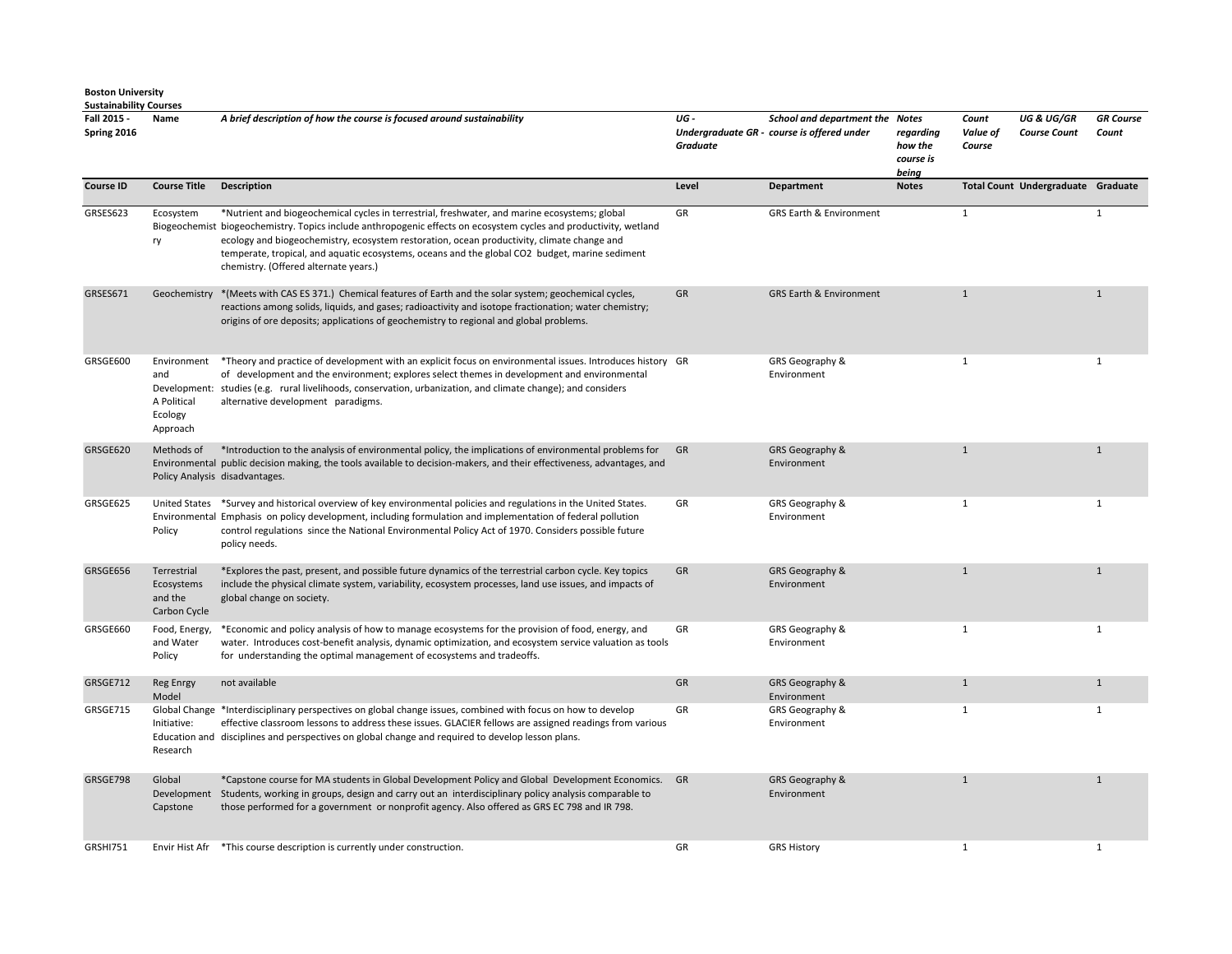| <b>Sustainability Courses</b> |                                                          |                                                                                                                                                                                                                                                                                                                                                                                                                                                             |                 |                                                                               |                                            |                             |                                              |                           |
|-------------------------------|----------------------------------------------------------|-------------------------------------------------------------------------------------------------------------------------------------------------------------------------------------------------------------------------------------------------------------------------------------------------------------------------------------------------------------------------------------------------------------------------------------------------------------|-----------------|-------------------------------------------------------------------------------|--------------------------------------------|-----------------------------|----------------------------------------------|---------------------------|
| Fall 2015 -<br>Spring 2016    | Name                                                     | A brief description of how the course is focused around sustainability                                                                                                                                                                                                                                                                                                                                                                                      | UG-<br>Graduate | School and department the Notes<br>Undergraduate GR - course is offered under | regarding<br>how the<br>course is<br>being | Count<br>Value of<br>Course | <b>UG &amp; UG/GR</b><br><b>Course Count</b> | <b>GR Course</b><br>Count |
| <b>Course ID</b>              | <b>Course Title</b>                                      | <b>Description</b>                                                                                                                                                                                                                                                                                                                                                                                                                                          | Level           | <b>Department</b>                                                             | <b>Notes</b>                               |                             | Total Count Undergraduate Graduate           |                           |
| GRSES623                      | Ecosystem<br>ry                                          | *Nutrient and biogeochemical cycles in terrestrial, freshwater, and marine ecosystems; global<br>Biogeochemist biogeochemistry. Topics include anthropogenic effects on ecosystem cycles and productivity, wetland<br>ecology and biogeochemistry, ecosystem restoration, ocean productivity, climate change and<br>temperate, tropical, and aquatic ecosystems, oceans and the global CO2 budget, marine sediment<br>chemistry. (Offered alternate years.) | GR              | <b>GRS Earth &amp; Environment</b>                                            |                                            | $\mathbf{1}$                |                                              | $\mathbf{1}$              |
| GRSES671                      |                                                          | Geochemistry * (Meets with CAS ES 371.) Chemical features of Earth and the solar system; geochemical cycles,<br>reactions among solids, liquids, and gases; radioactivity and isotope fractionation; water chemistry;<br>origins of ore deposits; applications of geochemistry to regional and global problems.                                                                                                                                             | GR              | <b>GRS Earth &amp; Environment</b>                                            |                                            | $\mathbf{1}$                |                                              | $\mathbf{1}$              |
| GRSGE600                      | Environment<br>and<br>A Political<br>Ecology<br>Approach | *Theory and practice of development with an explicit focus on environmental issues. Introduces history GR<br>of development and the environment; explores select themes in development and environmental<br>Development: studies (e.g. rural livelihoods, conservation, urbanization, and climate change); and considers<br>alternative development paradigms.                                                                                              |                 | GRS Geography &<br>Environment                                                |                                            | $\mathbf{1}$                |                                              | $\mathbf{1}$              |
| GRSGE620                      | Methods of                                               | *Introduction to the analysis of environmental policy, the implications of environmental problems for<br>Environmental public decision making, the tools available to decision-makers, and their effectiveness, advantages, and<br>Policy Analysis disadvantages.                                                                                                                                                                                           | GR              | GRS Geography &<br>Environment                                                |                                            | $\mathbf{1}$                |                                              | $\mathbf{1}$              |
| GRSGE625                      | Policy                                                   | United States *Survey and historical overview of key environmental policies and regulations in the United States.<br>Environmental Emphasis on policy development, including formulation and implementation of federal pollution<br>control regulations since the National Environmental Policy Act of 1970. Considers possible future<br>policy needs.                                                                                                     | GR              | GRS Geography &<br>Environment                                                |                                            | $\mathbf{1}$                |                                              | 1                         |
| GRSGE656                      | Terrestrial<br>Ecosystems<br>and the<br>Carbon Cycle     | *Explores the past, present, and possible future dynamics of the terrestrial carbon cycle. Key topics<br>include the physical climate system, variability, ecosystem processes, land use issues, and impacts of<br>global change on society.                                                                                                                                                                                                                | <b>GR</b>       | GRS Geography &<br>Environment                                                |                                            | $\mathbf{1}$                |                                              | $\mathbf{1}$              |
| GRSGE660                      | Food, Energy,<br>and Water<br>Policy                     | *Economic and policy analysis of how to manage ecosystems for the provision of food, energy, and<br>water. Introduces cost-benefit analysis, dynamic optimization, and ecosystem service valuation as tools<br>for understanding the optimal management of ecosystems and tradeoffs.                                                                                                                                                                        | GR              | GRS Geography &<br>Environment                                                |                                            | $\mathbf{1}$                |                                              | $\mathbf{1}$              |
| GRSGE712                      | Reg Enrgy<br>Model                                       | not available                                                                                                                                                                                                                                                                                                                                                                                                                                               | GR              | GRS Geography &<br>Environment                                                |                                            | $\mathbf{1}$                |                                              | $1\,$                     |
| GRSGE715                      | Initiative:<br>Research                                  | Global Change *Interdisciplinary perspectives on global change issues, combined with focus on how to develop<br>effective classroom lessons to address these issues. GLACIER fellows are assigned readings from various<br>Education and disciplines and perspectives on global change and required to develop lesson plans.                                                                                                                                | GR              | GRS Geography &<br>Environment                                                |                                            | $\mathbf{1}$                |                                              | $\mathbf{1}$              |
| GRSGE798                      | Global<br>Capstone                                       | *Capstone course for MA students in Global Development Policy and Global Development Economics. GR<br>Development Students, working in groups, design and carry out an interdisciplinary policy analysis comparable to<br>those performed for a government or nonprofit agency. Also offered as GRS EC 798 and IR 798.                                                                                                                                      |                 | GRS Geography &<br>Environment                                                |                                            | $\mathbf{1}$                |                                              | $\mathbf{1}$              |
| <b>GRSHI751</b>               |                                                          | Envir Hist Afr *This course description is currently under construction.                                                                                                                                                                                                                                                                                                                                                                                    | GR              | <b>GRS History</b>                                                            |                                            | $\mathbf{1}$                |                                              | $\mathbf{1}$              |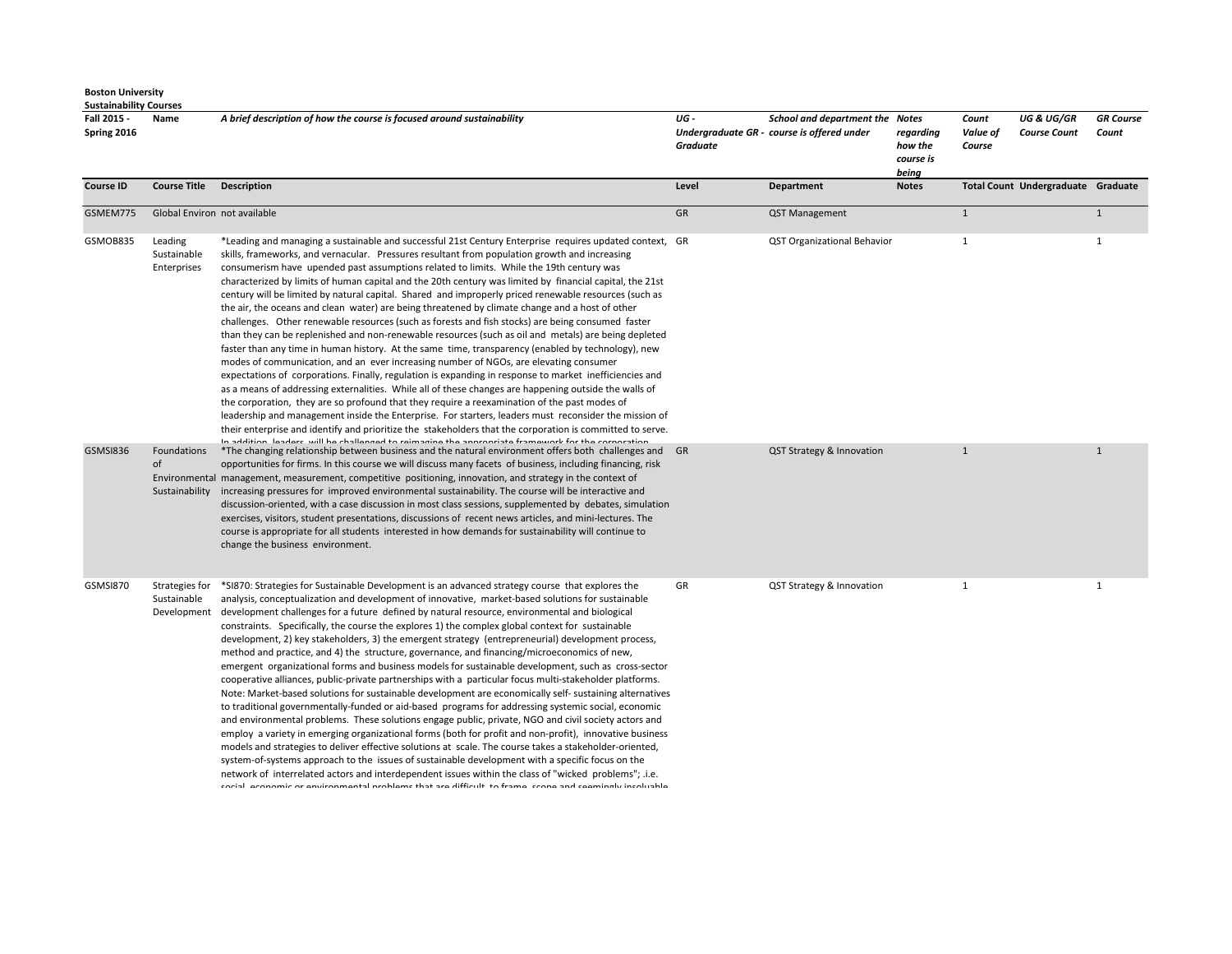| Fall 2015 -<br>Spring 2016 | Name                                         | A brief description of how the course is focused around sustainability                                                                                                                                                                                                                                                                                                                                                                                                                                                                                                                                                                                                                                                                                                                                                                                                                                                                                                                                                                                                                                                                                                                                                                                                                                                                                                                                                                                                                                                                                                                                                                                                                                 | UG -<br>Graduate | School and department the Notes<br>Undergraduate GR - course is offered under | regarding<br>how the<br>course is<br>being | Count<br>Value of<br>Course | <b>UG &amp; UG/GR</b><br><b>Course Count</b> | <b>GR</b> Course<br>Count |
|----------------------------|----------------------------------------------|--------------------------------------------------------------------------------------------------------------------------------------------------------------------------------------------------------------------------------------------------------------------------------------------------------------------------------------------------------------------------------------------------------------------------------------------------------------------------------------------------------------------------------------------------------------------------------------------------------------------------------------------------------------------------------------------------------------------------------------------------------------------------------------------------------------------------------------------------------------------------------------------------------------------------------------------------------------------------------------------------------------------------------------------------------------------------------------------------------------------------------------------------------------------------------------------------------------------------------------------------------------------------------------------------------------------------------------------------------------------------------------------------------------------------------------------------------------------------------------------------------------------------------------------------------------------------------------------------------------------------------------------------------------------------------------------------------|------------------|-------------------------------------------------------------------------------|--------------------------------------------|-----------------------------|----------------------------------------------|---------------------------|
| <b>Course ID</b>           | <b>Course Title</b>                          | <b>Description</b>                                                                                                                                                                                                                                                                                                                                                                                                                                                                                                                                                                                                                                                                                                                                                                                                                                                                                                                                                                                                                                                                                                                                                                                                                                                                                                                                                                                                                                                                                                                                                                                                                                                                                     | Level            | <b>Department</b>                                                             | <b>Notes</b>                               |                             | Total Count Undergraduate Graduate           |                           |
| GSMEM775                   | Global Environ not available                 |                                                                                                                                                                                                                                                                                                                                                                                                                                                                                                                                                                                                                                                                                                                                                                                                                                                                                                                                                                                                                                                                                                                                                                                                                                                                                                                                                                                                                                                                                                                                                                                                                                                                                                        | GR               | QST Management                                                                |                                            | 1                           |                                              | $\mathbf{1}$              |
| GSMOB835                   | Leading<br>Sustainable<br>Enterprises        | *Leading and managing a sustainable and successful 21st Century Enterprise requires updated context, GR<br>skills, frameworks, and vernacular. Pressures resultant from population growth and increasing<br>consumerism have upended past assumptions related to limits. While the 19th century was<br>characterized by limits of human capital and the 20th century was limited by financial capital, the 21st<br>century will be limited by natural capital. Shared and improperly priced renewable resources (such as<br>the air, the oceans and clean water) are being threatened by climate change and a host of other<br>challenges. Other renewable resources (such as forests and fish stocks) are being consumed faster<br>than they can be replenished and non-renewable resources (such as oil and metals) are being depleted<br>faster than any time in human history. At the same time, transparency (enabled by technology), new<br>modes of communication, and an ever increasing number of NGOs, are elevating consumer<br>expectations of corporations. Finally, regulation is expanding in response to market inefficiencies and<br>as a means of addressing externalities. While all of these changes are happening outside the walls of<br>the corporation, they are so profound that they require a reexamination of the past modes of<br>leadership and management inside the Enterprise. For starters, leaders must reconsider the mission of<br>their enterprise and identify and prioritize the stakeholders that the corporation is committed to serve.<br>In addition, loadare, will be challenged to reimagine the annonciate framework for the corneration                |                  | <b>QST Organizational Behavior</b>                                            |                                            | 1                           |                                              | $\mathbf{1}$              |
| GSMSI836                   | Foundations<br>of<br>Sustainability          | *The changing relationship between business and the natural environment offers both challenges and<br>opportunities for firms. In this course we will discuss many facets of business, including financing, risk<br>Environmental management, measurement, competitive positioning, innovation, and strategy in the context of<br>increasing pressures for improved environmental sustainability. The course will be interactive and<br>discussion-oriented, with a case discussion in most class sessions, supplemented by debates, simulation<br>exercises, visitors, student presentations, discussions of recent news articles, and mini-lectures. The<br>course is appropriate for all students interested in how demands for sustainability will continue to<br>change the business environment.                                                                                                                                                                                                                                                                                                                                                                                                                                                                                                                                                                                                                                                                                                                                                                                                                                                                                                 | GR               | QST Strategy & Innovation                                                     |                                            | $\mathbf{1}$                |                                              | $\mathbf{1}$              |
| GSMSI870                   | Strategies for<br>Sustainable<br>Development | *SI870: Strategies for Sustainable Development is an advanced strategy course that explores the<br>analysis, conceptualization and development of innovative, market-based solutions for sustainable<br>development challenges for a future defined by natural resource, environmental and biological<br>constraints. Specifically, the course the explores 1) the complex global context for sustainable<br>development, 2) key stakeholders, 3) the emergent strategy (entrepreneurial) development process,<br>method and practice, and 4) the structure, governance, and financing/microeconomics of new,<br>emergent organizational forms and business models for sustainable development, such as cross-sector<br>cooperative alliances, public-private partnerships with a particular focus multi-stakeholder platforms.<br>Note: Market-based solutions for sustainable development are economically self- sustaining alternatives<br>to traditional governmentally-funded or aid-based programs for addressing systemic social, economic<br>and environmental problems. These solutions engage public, private, NGO and civil society actors and<br>employ a variety in emerging organizational forms (both for profit and non-profit), innovative business<br>models and strategies to deliver effective solutions at scale. The course takes a stakeholder-oriented,<br>system-of-systems approach to the issues of sustainable development with a specific focus on the<br>network of interrelated actors and interdependent issues within the class of "wicked problems"; .i.e.<br>coolel coonamic ar anvironmental nrablame that are difficult to frame, coone and coomingly incoluable. | GR               | QST Strategy & Innovation                                                     |                                            | $\mathbf{1}$                |                                              | 1                         |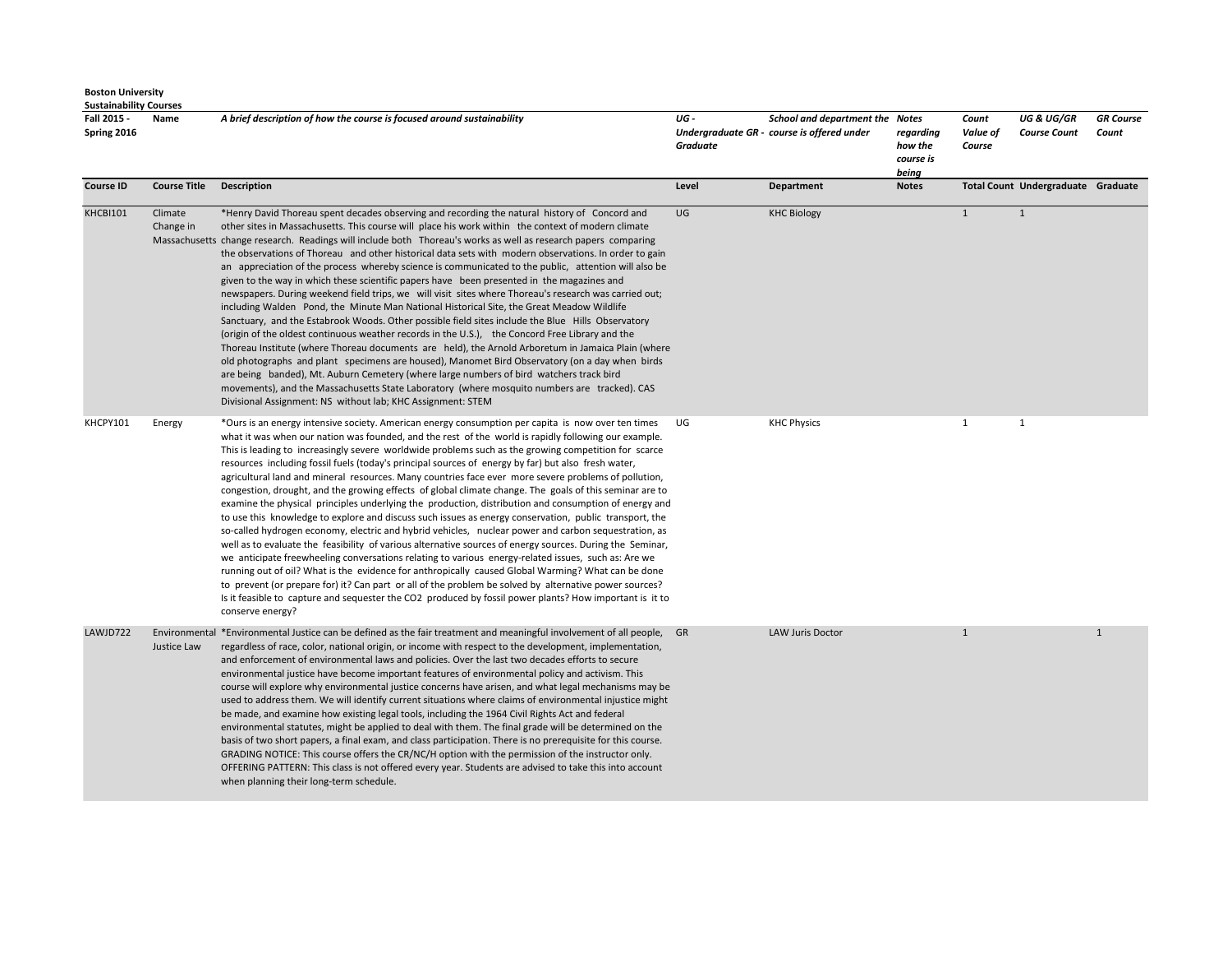| <b>Sustainability Courses</b> |                      |                                                                                                                                                                                                                                                                                                                                                                                                                                                                                                                                                                                                                                                                                                                                                                                                                                                                                                                                                                                                                                                                                                                                                                                                                                                                                                                                                                                                                                                                                                                                            |                         |                                                                               |                                            |                             |                                              |                           |
|-------------------------------|----------------------|--------------------------------------------------------------------------------------------------------------------------------------------------------------------------------------------------------------------------------------------------------------------------------------------------------------------------------------------------------------------------------------------------------------------------------------------------------------------------------------------------------------------------------------------------------------------------------------------------------------------------------------------------------------------------------------------------------------------------------------------------------------------------------------------------------------------------------------------------------------------------------------------------------------------------------------------------------------------------------------------------------------------------------------------------------------------------------------------------------------------------------------------------------------------------------------------------------------------------------------------------------------------------------------------------------------------------------------------------------------------------------------------------------------------------------------------------------------------------------------------------------------------------------------------|-------------------------|-------------------------------------------------------------------------------|--------------------------------------------|-----------------------------|----------------------------------------------|---------------------------|
| Fall 2015 -<br>Spring 2016    | Name                 | A brief description of how the course is focused around sustainability                                                                                                                                                                                                                                                                                                                                                                                                                                                                                                                                                                                                                                                                                                                                                                                                                                                                                                                                                                                                                                                                                                                                                                                                                                                                                                                                                                                                                                                                     | UG -<br><b>Graduate</b> | School and department the Notes<br>Undergraduate GR - course is offered under | regarding<br>how the<br>course is<br>being | Count<br>Value of<br>Course | <b>UG &amp; UG/GR</b><br><b>Course Count</b> | <b>GR</b> Course<br>Count |
| <b>Course ID</b>              | <b>Course Title</b>  | <b>Description</b>                                                                                                                                                                                                                                                                                                                                                                                                                                                                                                                                                                                                                                                                                                                                                                                                                                                                                                                                                                                                                                                                                                                                                                                                                                                                                                                                                                                                                                                                                                                         | Level                   | Department                                                                    | <b>Notes</b>                               |                             | Total Count Undergraduate Graduate           |                           |
| KHCBI101                      | Climate<br>Change in | *Henry David Thoreau spent decades observing and recording the natural history of Concord and<br>other sites in Massachusetts. This course will place his work within the context of modern climate<br>Massachusetts change research. Readings will include both Thoreau's works as well as research papers comparing<br>the observations of Thoreau and other historical data sets with modern observations. In order to gain<br>an appreciation of the process whereby science is communicated to the public, attention will also be<br>given to the way in which these scientific papers have been presented in the magazines and<br>newspapers. During weekend field trips, we will visit sites where Thoreau's research was carried out;<br>including Walden Pond, the Minute Man National Historical Site, the Great Meadow Wildlife<br>Sanctuary, and the Estabrook Woods. Other possible field sites include the Blue Hills Observatory<br>(origin of the oldest continuous weather records in the U.S.), the Concord Free Library and the<br>Thoreau Institute (where Thoreau documents are held), the Arnold Arboretum in Jamaica Plain (where<br>old photographs and plant specimens are housed), Manomet Bird Observatory (on a day when birds<br>are being banded), Mt. Auburn Cemetery (where large numbers of bird watchers track bird<br>movements), and the Massachusetts State Laboratory (where mosquito numbers are tracked). CAS<br>Divisional Assignment: NS without lab; KHC Assignment: STEM                       | UG                      | <b>KHC Biology</b>                                                            |                                            | $\mathbf{1}$                | $\mathbf{1}$                                 |                           |
| KHCPY101                      | Energy               | *Ours is an energy intensive society. American energy consumption per capita is now over ten times<br>what it was when our nation was founded, and the rest of the world is rapidly following our example.<br>This is leading to increasingly severe worldwide problems such as the growing competition for scarce<br>resources including fossil fuels (today's principal sources of energy by far) but also fresh water,<br>agricultural land and mineral resources. Many countries face ever more severe problems of pollution,<br>congestion, drought, and the growing effects of global climate change. The goals of this seminar are to<br>examine the physical principles underlying the production, distribution and consumption of energy and<br>to use this knowledge to explore and discuss such issues as energy conservation, public transport, the<br>so-called hydrogen economy, electric and hybrid vehicles, nuclear power and carbon sequestration, as<br>well as to evaluate the feasibility of various alternative sources of energy sources. During the Seminar,<br>we anticipate freewheeling conversations relating to various energy-related issues, such as: Are we<br>running out of oil? What is the evidence for anthropically caused Global Warming? What can be done<br>to prevent (or prepare for) it? Can part or all of the problem be solved by alternative power sources?<br>Is it feasible to capture and sequester the CO2 produced by fossil power plants? How important is it to<br>conserve energy? | UG                      | <b>KHC Physics</b>                                                            |                                            | $\mathbf{1}$                | 1                                            |                           |
| LAWJD722                      | Justice Law          | Environmental *Environmental Justice can be defined as the fair treatment and meaningful involvement of all people, GR<br>regardless of race, color, national origin, or income with respect to the development, implementation,<br>and enforcement of environmental laws and policies. Over the last two decades efforts to secure<br>environmental justice have become important features of environmental policy and activism. This<br>course will explore why environmental justice concerns have arisen, and what legal mechanisms may be<br>used to address them. We will identify current situations where claims of environmental injustice might<br>be made, and examine how existing legal tools, including the 1964 Civil Rights Act and federal<br>environmental statutes, might be applied to deal with them. The final grade will be determined on the<br>basis of two short papers, a final exam, and class participation. There is no prerequisite for this course.<br>GRADING NOTICE: This course offers the CR/NC/H option with the permission of the instructor only.<br>OFFERING PATTERN: This class is not offered every year. Students are advised to take this into account<br>when planning their long-term schedule.                                                                                                                                                                                                                                                                                              |                         | LAW Juris Doctor                                                              |                                            | $\mathbf{1}$                |                                              | $\mathbf{1}$              |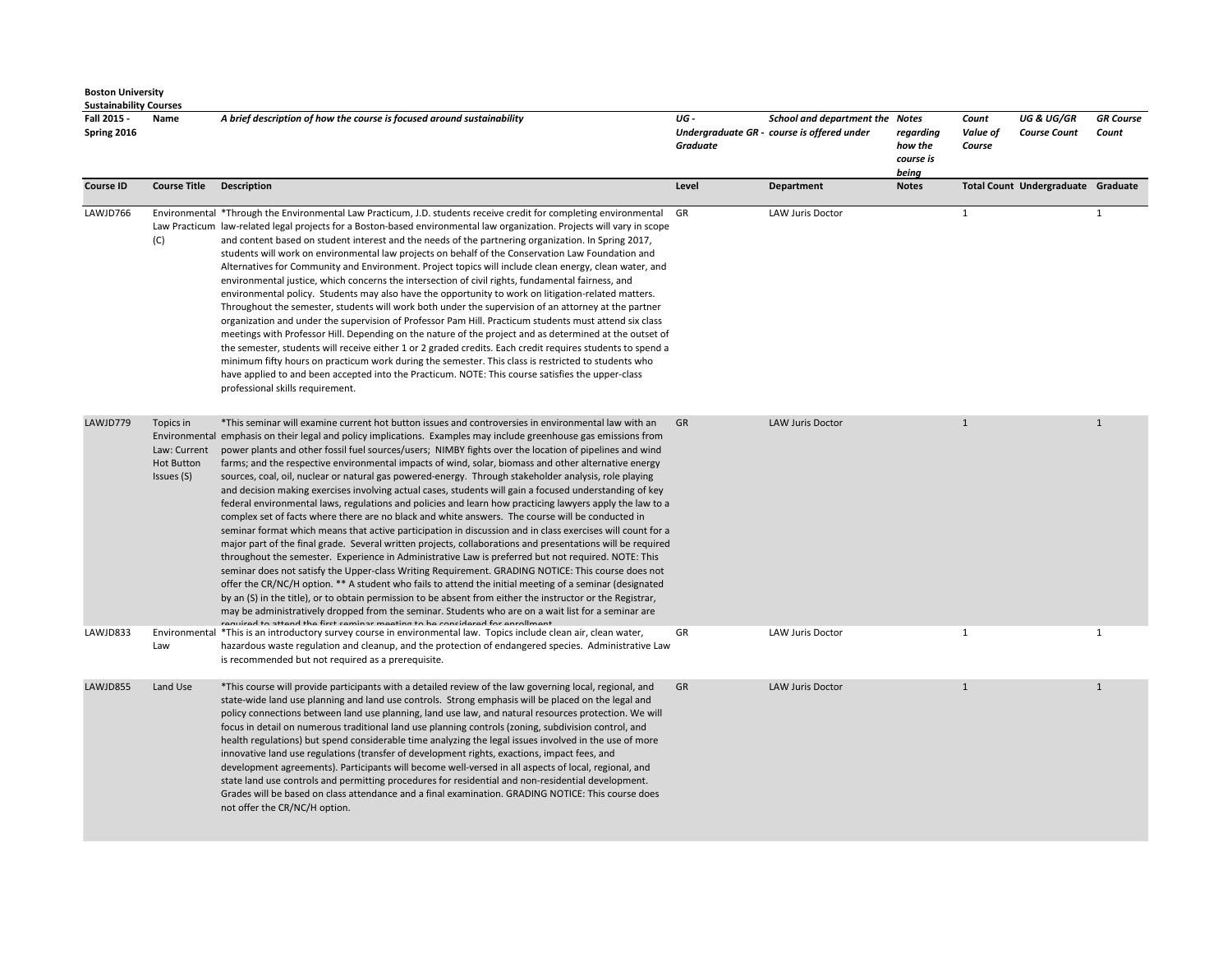| <b>Sustainability Courses</b> |                                                              |                                                                                                                                                                                                                                                                                                                                                                                                                                                                                                                                                                                                                                                                                                                                                                                                                                                                                                                                                                                                                                                                                                                                                                                                                                                                                                                                                                                                                                                                                                                                                                                                                                                                                                                                         |                        |                                                                               |                                            |                             |                                              |                           |
|-------------------------------|--------------------------------------------------------------|-----------------------------------------------------------------------------------------------------------------------------------------------------------------------------------------------------------------------------------------------------------------------------------------------------------------------------------------------------------------------------------------------------------------------------------------------------------------------------------------------------------------------------------------------------------------------------------------------------------------------------------------------------------------------------------------------------------------------------------------------------------------------------------------------------------------------------------------------------------------------------------------------------------------------------------------------------------------------------------------------------------------------------------------------------------------------------------------------------------------------------------------------------------------------------------------------------------------------------------------------------------------------------------------------------------------------------------------------------------------------------------------------------------------------------------------------------------------------------------------------------------------------------------------------------------------------------------------------------------------------------------------------------------------------------------------------------------------------------------------|------------------------|-------------------------------------------------------------------------------|--------------------------------------------|-----------------------------|----------------------------------------------|---------------------------|
| Fall 2015 -<br>Spring 2016    | Name                                                         | A brief description of how the course is focused around sustainability                                                                                                                                                                                                                                                                                                                                                                                                                                                                                                                                                                                                                                                                                                                                                                                                                                                                                                                                                                                                                                                                                                                                                                                                                                                                                                                                                                                                                                                                                                                                                                                                                                                                  | UG-<br><b>Graduate</b> | School and department the Notes<br>Undergraduate GR - course is offered under | regarding<br>how the<br>course is<br>being | Count<br>Value of<br>Course | <b>UG &amp; UG/GR</b><br><b>Course Count</b> | <b>GR</b> Course<br>Count |
| <b>Course ID</b>              | <b>Course Title</b>                                          | <b>Description</b>                                                                                                                                                                                                                                                                                                                                                                                                                                                                                                                                                                                                                                                                                                                                                                                                                                                                                                                                                                                                                                                                                                                                                                                                                                                                                                                                                                                                                                                                                                                                                                                                                                                                                                                      | Level                  | Department                                                                    | <b>Notes</b>                               |                             | Total Count Undergraduate Graduate           |                           |
| LAWJD766                      | (C)                                                          | Environmental *Through the Environmental Law Practicum, J.D. students receive credit for completing environmental<br>Law Practicum law-related legal projects for a Boston-based environmental law organization. Projects will vary in scope<br>and content based on student interest and the needs of the partnering organization. In Spring 2017,<br>students will work on environmental law projects on behalf of the Conservation Law Foundation and<br>Alternatives for Community and Environment. Project topics will include clean energy, clean water, and<br>environmental justice, which concerns the intersection of civil rights, fundamental fairness, and<br>environmental policy. Students may also have the opportunity to work on litigation-related matters.<br>Throughout the semester, students will work both under the supervision of an attorney at the partner<br>organization and under the supervision of Professor Pam Hill. Practicum students must attend six class<br>meetings with Professor Hill. Depending on the nature of the project and as determined at the outset of<br>the semester, students will receive either 1 or 2 graded credits. Each credit requires students to spend a<br>minimum fifty hours on practicum work during the semester. This class is restricted to students who<br>have applied to and been accepted into the Practicum. NOTE: This course satisfies the upper-class<br>professional skills requirement.                                                                                                                                                                                                                                                               | GR                     | <b>LAW Juris Doctor</b>                                                       |                                            | $\mathbf{1}$                |                                              | $\mathbf{1}$              |
| LAWJD779                      | Topics in<br>Law: Current<br><b>Hot Button</b><br>Issues (S) | *This seminar will examine current hot button issues and controversies in environmental law with an<br>Environmental emphasis on their legal and policy implications. Examples may include greenhouse gas emissions from<br>power plants and other fossil fuel sources/users; NIMBY fights over the location of pipelines and wind<br>farms; and the respective environmental impacts of wind, solar, biomass and other alternative energy<br>sources, coal, oil, nuclear or natural gas powered-energy. Through stakeholder analysis, role playing<br>and decision making exercises involving actual cases, students will gain a focused understanding of key<br>federal environmental laws, regulations and policies and learn how practicing lawyers apply the law to a<br>complex set of facts where there are no black and white answers. The course will be conducted in<br>seminar format which means that active participation in discussion and in class exercises will count for a<br>major part of the final grade. Several written projects, collaborations and presentations will be required<br>throughout the semester. Experience in Administrative Law is preferred but not required. NOTE: This<br>seminar does not satisfy the Upper-class Writing Requirement. GRADING NOTICE: This course does not<br>offer the CR/NC/H option. ** A student who fails to attend the initial meeting of a seminar (designated<br>by an (S) in the title), or to obtain permission to be absent from either the instructor or the Registrar,<br>may be administratively dropped from the seminar. Students who are on a wait list for a seminar are<br>roquired to attend the first cominar meeting to be considered for enrollment | GR                     | <b>LAW Juris Doctor</b>                                                       |                                            | $\mathbf{1}$                |                                              | $\mathbf{1}$              |
| LAWJD833                      | Law                                                          | Environmental *This is an introductory survey course in environmental law. Topics include clean air, clean water,<br>hazardous waste regulation and cleanup, and the protection of endangered species. Administrative Law<br>is recommended but not required as a prerequisite.                                                                                                                                                                                                                                                                                                                                                                                                                                                                                                                                                                                                                                                                                                                                                                                                                                                                                                                                                                                                                                                                                                                                                                                                                                                                                                                                                                                                                                                         | GR                     | <b>LAW Juris Doctor</b>                                                       |                                            | $\mathbf{1}$                |                                              | $\mathbf{1}$              |
| LAWJD855                      | Land Use                                                     | *This course will provide participants with a detailed review of the law governing local, regional, and<br>state-wide land use planning and land use controls. Strong emphasis will be placed on the legal and<br>policy connections between land use planning, land use law, and natural resources protection. We will<br>focus in detail on numerous traditional land use planning controls (zoning, subdivision control, and<br>health regulations) but spend considerable time analyzing the legal issues involved in the use of more<br>innovative land use regulations (transfer of development rights, exactions, impact fees, and<br>development agreements). Participants will become well-versed in all aspects of local, regional, and<br>state land use controls and permitting procedures for residential and non-residential development.<br>Grades will be based on class attendance and a final examination. GRADING NOTICE: This course does<br>not offer the CR/NC/H option.                                                                                                                                                                                                                                                                                                                                                                                                                                                                                                                                                                                                                                                                                                                                          | GR                     | <b>LAW Juris Doctor</b>                                                       |                                            | $\mathbf{1}$                |                                              | $\mathbf{1}$              |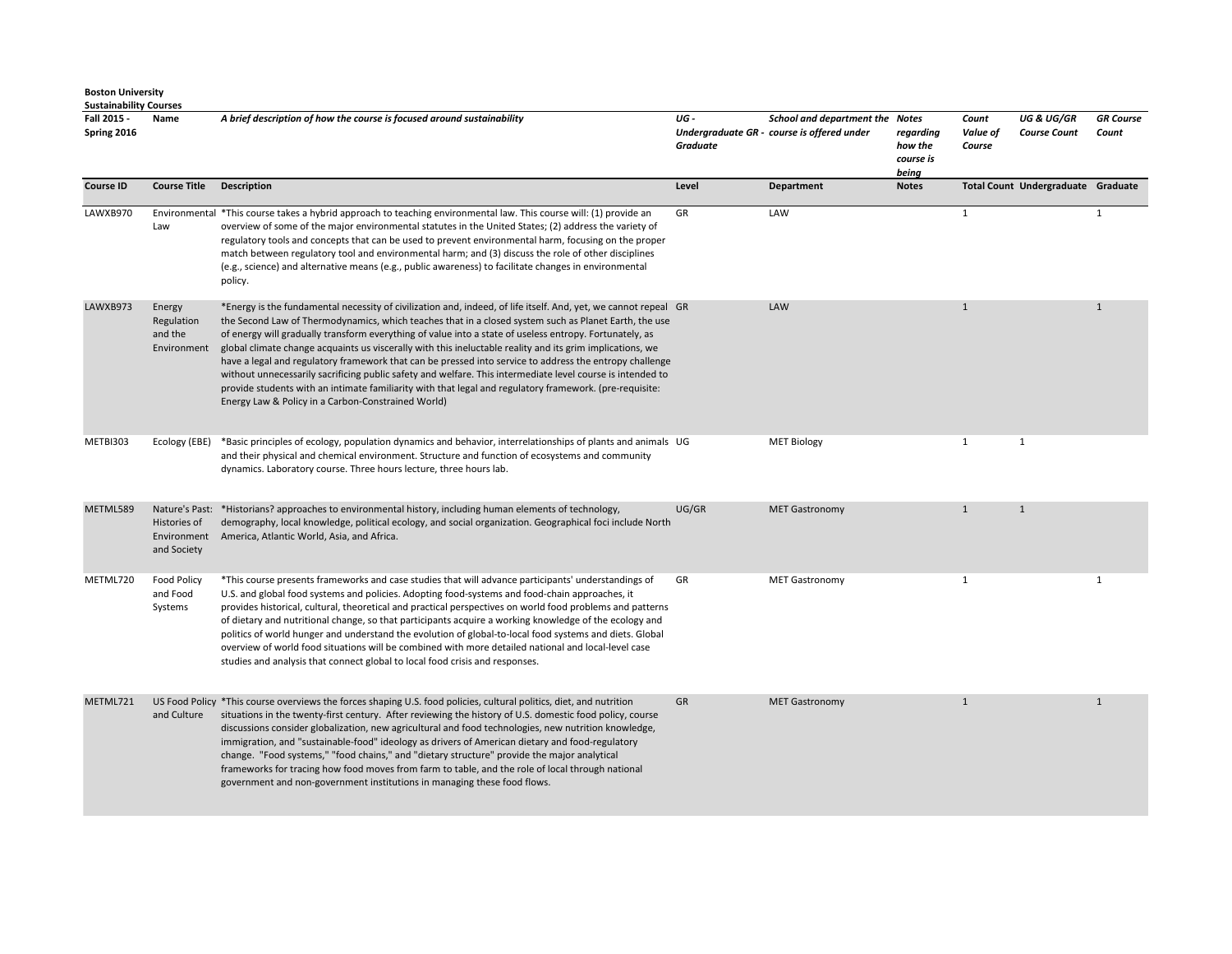| Fall 2015 -<br>Spring 2016 | Name                                           | A brief description of how the course is focused around sustainability                                                                                                                                                                                                                                                                                                                                                                                                                                                                                                                                                                                                                                                                                                                                                                     | UG-<br>Graduate | School and department the Notes<br>Undergraduate GR - course is offered under | regarding<br>how the<br>course is<br>being | Count<br>Value of<br>Course | <b>UG &amp; UG/GR</b><br><b>Course Count</b> | <b>GR</b> Course<br>Count |
|----------------------------|------------------------------------------------|--------------------------------------------------------------------------------------------------------------------------------------------------------------------------------------------------------------------------------------------------------------------------------------------------------------------------------------------------------------------------------------------------------------------------------------------------------------------------------------------------------------------------------------------------------------------------------------------------------------------------------------------------------------------------------------------------------------------------------------------------------------------------------------------------------------------------------------------|-----------------|-------------------------------------------------------------------------------|--------------------------------------------|-----------------------------|----------------------------------------------|---------------------------|
| <b>Course ID</b>           | <b>Course Title</b>                            | <b>Description</b>                                                                                                                                                                                                                                                                                                                                                                                                                                                                                                                                                                                                                                                                                                                                                                                                                         | Level           | <b>Department</b>                                                             | <b>Notes</b>                               |                             | Total Count Undergraduate Graduate           |                           |
| LAWXB970                   | Law                                            | Environmental *This course takes a hybrid approach to teaching environmental law. This course will: (1) provide an<br>overview of some of the major environmental statutes in the United States; (2) address the variety of<br>regulatory tools and concepts that can be used to prevent environmental harm, focusing on the proper<br>match between regulatory tool and environmental harm; and (3) discuss the role of other disciplines<br>(e.g., science) and alternative means (e.g., public awareness) to facilitate changes in environmental<br>policy.                                                                                                                                                                                                                                                                             | GR              | LAW                                                                           |                                            | 1                           |                                              | $\mathbf{1}$              |
| LAWXB973                   | Energy<br>Regulation<br>and the<br>Environment | *Energy is the fundamental necessity of civilization and, indeed, of life itself. And, yet, we cannot repeal GR<br>the Second Law of Thermodynamics, which teaches that in a closed system such as Planet Earth, the use<br>of energy will gradually transform everything of value into a state of useless entropy. Fortunately, as<br>global climate change acquaints us viscerally with this ineluctable reality and its grim implications, we<br>have a legal and regulatory framework that can be pressed into service to address the entropy challenge<br>without unnecessarily sacrificing public safety and welfare. This intermediate level course is intended to<br>provide students with an intimate familiarity with that legal and regulatory framework. (pre-requisite:<br>Energy Law & Policy in a Carbon-Constrained World) |                 | LAW                                                                           |                                            | $\mathbf{1}$                |                                              | $\mathbf{1}$              |
| METBI303                   | Ecology (EBE)                                  | *Basic principles of ecology, population dynamics and behavior, interrelationships of plants and animals UG<br>and their physical and chemical environment. Structure and function of ecosystems and community<br>dynamics. Laboratory course. Three hours lecture, three hours lab.                                                                                                                                                                                                                                                                                                                                                                                                                                                                                                                                                       |                 | <b>MET Biology</b>                                                            |                                            | 1                           | $\mathbf{1}$                                 |                           |
| METML589                   | Histories of<br>Environment<br>and Society     | Nature's Past: *Historians? approaches to environmental history, including human elements of technology,<br>demography, local knowledge, political ecology, and social organization. Geographical foci include North<br>America, Atlantic World, Asia, and Africa.                                                                                                                                                                                                                                                                                                                                                                                                                                                                                                                                                                         | UG/GR           | <b>MET Gastronomy</b>                                                         |                                            | $\mathbf{1}$                | $\mathbf{1}$                                 |                           |
| METML720                   | <b>Food Policy</b><br>and Food<br>Systems      | *This course presents frameworks and case studies that will advance participants' understandings of<br>U.S. and global food systems and policies. Adopting food-systems and food-chain approaches, it<br>provides historical, cultural, theoretical and practical perspectives on world food problems and patterns<br>of dietary and nutritional change, so that participants acquire a working knowledge of the ecology and<br>politics of world hunger and understand the evolution of global-to-local food systems and diets. Global<br>overview of world food situations will be combined with more detailed national and local-level case<br>studies and analysis that connect global to local food crisis and responses.                                                                                                             | GR              | <b>MET Gastronomy</b>                                                         |                                            | $\mathbf{1}$                |                                              | $\mathbf{1}$              |
| METML721                   | and Culture                                    | US Food Policy *This course overviews the forces shaping U.S. food policies, cultural politics, diet, and nutrition<br>situations in the twenty-first century. After reviewing the history of U.S. domestic food policy, course<br>discussions consider globalization, new agricultural and food technologies, new nutrition knowledge,<br>immigration, and "sustainable-food" ideology as drivers of American dietary and food-regulatory<br>change. "Food systems," "food chains," and "dietary structure" provide the major analytical<br>frameworks for tracing how food moves from farm to table, and the role of local through national<br>government and non-government institutions in managing these food flows.                                                                                                                  | GR              | <b>MET Gastronomy</b>                                                         |                                            | $\mathbf{1}$                |                                              | $\mathbf{1}$              |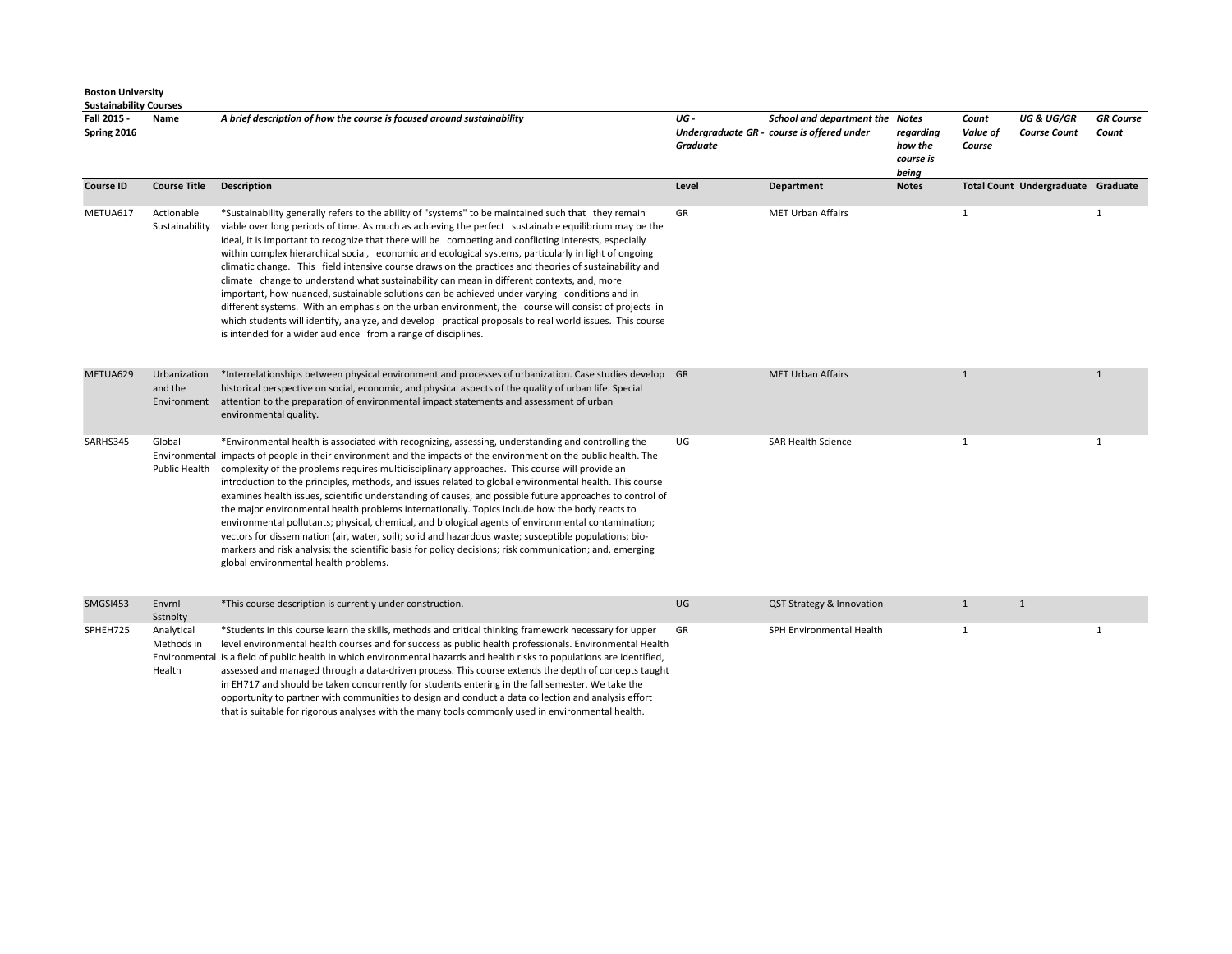| Fall 2015 -<br>Spring 2016 | Name                                   | A brief description of how the course is focused around sustainability                                                                                                                                                                                                                                                                                                                                                                                                                                                                                                                                                                                                                                                                                                                                                                                                                                                                                                                                                        | UG -<br><b>Graduate</b> | School and department the Notes<br>Undergraduate GR - course is offered under | regarding<br>how the<br>course is<br>being | Count<br>Value of<br>Course | <b>UG &amp; UG/GR</b><br><b>Course Count</b> | <b>GR</b> Course<br>Count |
|----------------------------|----------------------------------------|-------------------------------------------------------------------------------------------------------------------------------------------------------------------------------------------------------------------------------------------------------------------------------------------------------------------------------------------------------------------------------------------------------------------------------------------------------------------------------------------------------------------------------------------------------------------------------------------------------------------------------------------------------------------------------------------------------------------------------------------------------------------------------------------------------------------------------------------------------------------------------------------------------------------------------------------------------------------------------------------------------------------------------|-------------------------|-------------------------------------------------------------------------------|--------------------------------------------|-----------------------------|----------------------------------------------|---------------------------|
| <b>Course ID</b>           | <b>Course Title</b>                    | <b>Description</b>                                                                                                                                                                                                                                                                                                                                                                                                                                                                                                                                                                                                                                                                                                                                                                                                                                                                                                                                                                                                            | Level                   | Department                                                                    | <b>Notes</b>                               |                             | Total Count Undergraduate Graduate           |                           |
| METUA617                   | Actionable<br>Sustainability           | *Sustainability generally refers to the ability of "systems" to be maintained such that they remain<br>viable over long periods of time. As much as achieving the perfect sustainable equilibrium may be the<br>ideal, it is important to recognize that there will be competing and conflicting interests, especially<br>within complex hierarchical social, economic and ecological systems, particularly in light of ongoing<br>climatic change. This field intensive course draws on the practices and theories of sustainability and<br>climate change to understand what sustainability can mean in different contexts, and, more<br>important, how nuanced, sustainable solutions can be achieved under varying conditions and in<br>different systems. With an emphasis on the urban environment, the course will consist of projects in<br>which students will identify, analyze, and develop practical proposals to real world issues. This course<br>is intended for a wider audience from a range of disciplines. | GR                      | <b>MET Urban Affairs</b>                                                      |                                            | $\mathbf{1}$                |                                              | $\mathbf{1}$              |
| METUA629                   | Urbanization<br>and the<br>Environment | *Interrelationships between physical environment and processes of urbanization. Case studies develop GR<br>historical perspective on social, economic, and physical aspects of the quality of urban life. Special<br>attention to the preparation of environmental impact statements and assessment of urban<br>environmental quality.                                                                                                                                                                                                                                                                                                                                                                                                                                                                                                                                                                                                                                                                                        |                         | <b>MET Urban Affairs</b>                                                      |                                            | $\mathbf{1}$                |                                              | 1                         |
| SARHS345                   | Global<br>Public Health                | *Environmental health is associated with recognizing, assessing, understanding and controlling the<br>Environmental impacts of people in their environment and the impacts of the environment on the public health. The<br>complexity of the problems requires multidisciplinary approaches. This course will provide an<br>introduction to the principles, methods, and issues related to global environmental health. This course<br>examines health issues, scientific understanding of causes, and possible future approaches to control of<br>the major environmental health problems internationally. Topics include how the body reacts to<br>environmental pollutants; physical, chemical, and biological agents of environmental contamination;<br>vectors for dissemination (air, water, soil); solid and hazardous waste; susceptible populations; bio-<br>markers and risk analysis; the scientific basis for policy decisions; risk communication; and, emerging<br>global environmental health problems.        | UG                      | <b>SAR Health Science</b>                                                     |                                            | 1                           |                                              | $\mathbf{1}$              |
| SMGSI453                   | Envrnl<br>Sstnblty                     | *This course description is currently under construction.                                                                                                                                                                                                                                                                                                                                                                                                                                                                                                                                                                                                                                                                                                                                                                                                                                                                                                                                                                     | UG                      | QST Strategy & Innovation                                                     |                                            | $\mathbf{1}$                | $\mathbf{1}$                                 |                           |
| SPHEH725                   | Analytical<br>Methods in<br>Health     | *Students in this course learn the skills, methods and critical thinking framework necessary for upper<br>level environmental health courses and for success as public health professionals. Environmental Health<br>Environmental is a field of public health in which environmental hazards and health risks to populations are identified,<br>assessed and managed through a data-driven process. This course extends the depth of concepts taught<br>in EH717 and should be taken concurrently for students entering in the fall semester. We take the                                                                                                                                                                                                                                                                                                                                                                                                                                                                    | GR                      | SPH Environmental Health                                                      |                                            | 1                           |                                              | 1                         |

in EH717 and should be taken concurrently for students entering in the fall semester. We take the opportunity to partner with communities to design and conduct a data collection and analysis effort that is suitable for rigorous analyses with the many tools commonly used in environmental health.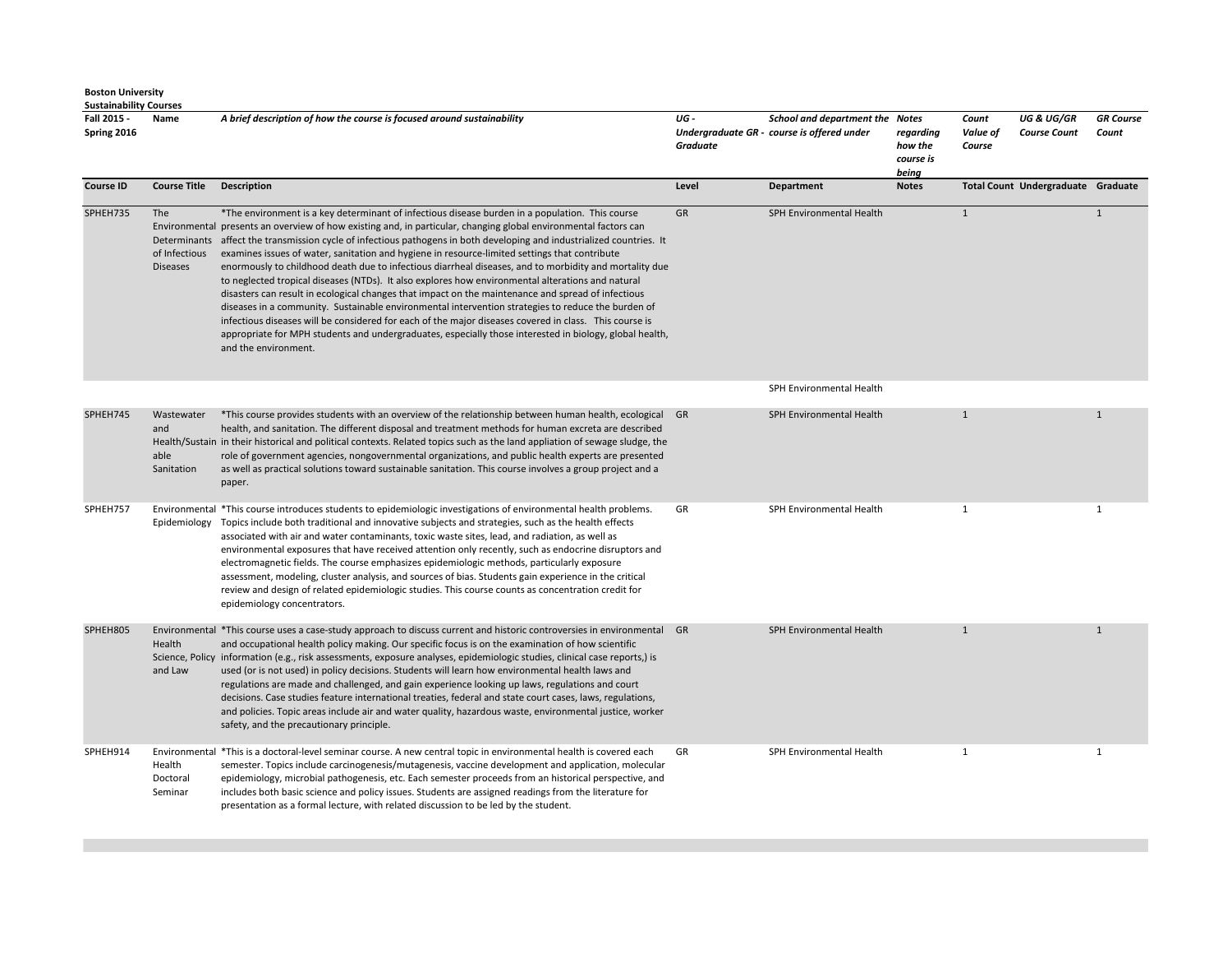| Fall 2015 -<br>Spring 2016 | Name                                    | A brief description of how the course is focused around sustainability                                                                                                                                                                                                                                                                                                                                                                                                                                                                                                                                                                                                                                                                                                                                                                                                                                                                                                                                                                                                                                                 | UG -<br><b>Graduate</b> | School and department the Notes<br>Undergraduate GR - course is offered under | regarding<br>how the<br>course is<br>being | Count<br>Value of<br>Course | <b>UG &amp; UG/GR</b><br><b>Course Count</b> | <b>GR</b> Course<br>Count |
|----------------------------|-----------------------------------------|------------------------------------------------------------------------------------------------------------------------------------------------------------------------------------------------------------------------------------------------------------------------------------------------------------------------------------------------------------------------------------------------------------------------------------------------------------------------------------------------------------------------------------------------------------------------------------------------------------------------------------------------------------------------------------------------------------------------------------------------------------------------------------------------------------------------------------------------------------------------------------------------------------------------------------------------------------------------------------------------------------------------------------------------------------------------------------------------------------------------|-------------------------|-------------------------------------------------------------------------------|--------------------------------------------|-----------------------------|----------------------------------------------|---------------------------|
| <b>Course ID</b>           | <b>Course Title</b>                     | <b>Description</b>                                                                                                                                                                                                                                                                                                                                                                                                                                                                                                                                                                                                                                                                                                                                                                                                                                                                                                                                                                                                                                                                                                     | Level                   | Department                                                                    | <b>Notes</b>                               |                             | Total Count Undergraduate Graduate           |                           |
| SPHEH735                   | The<br>of Infectious<br><b>Diseases</b> | *The environment is a key determinant of infectious disease burden in a population. This course<br>Environmental presents an overview of how existing and, in particular, changing global environmental factors can<br>Determinants affect the transmission cycle of infectious pathogens in both developing and industrialized countries. It<br>examines issues of water, sanitation and hygiene in resource-limited settings that contribute<br>enormously to childhood death due to infectious diarrheal diseases, and to morbidity and mortality due<br>to neglected tropical diseases (NTDs). It also explores how environmental alterations and natural<br>disasters can result in ecological changes that impact on the maintenance and spread of infectious<br>diseases in a community. Sustainable environmental intervention strategies to reduce the burden of<br>infectious diseases will be considered for each of the major diseases covered in class. This course is<br>appropriate for MPH students and undergraduates, especially those interested in biology, global health,<br>and the environment. | GR                      | SPH Environmental Health                                                      |                                            | $\mathbf{1}$                |                                              | $\mathbf{1}$              |
|                            |                                         |                                                                                                                                                                                                                                                                                                                                                                                                                                                                                                                                                                                                                                                                                                                                                                                                                                                                                                                                                                                                                                                                                                                        |                         | SPH Environmental Health                                                      |                                            |                             |                                              |                           |
| SPHEH745                   | Wastewater<br>and<br>able<br>Sanitation | *This course provides students with an overview of the relationship between human health, ecological GR<br>health, and sanitation. The different disposal and treatment methods for human excreta are described<br>Health/Sustain in their historical and political contexts. Related topics such as the land appliation of sewage sludge, the<br>role of government agencies, nongovernmental organizations, and public health experts are presented<br>as well as practical solutions toward sustainable sanitation. This course involves a group project and a<br>paper.                                                                                                                                                                                                                                                                                                                                                                                                                                                                                                                                            |                         | SPH Environmental Health                                                      |                                            | $\mathbf{1}$                |                                              | $\mathbf{1}$              |
| SPHEH757                   | Epidemiology                            | Environmental *This course introduces students to epidemiologic investigations of environmental health problems.<br>Topics include both traditional and innovative subjects and strategies, such as the health effects<br>associated with air and water contaminants, toxic waste sites, lead, and radiation, as well as<br>environmental exposures that have received attention only recently, such as endocrine disruptors and<br>electromagnetic fields. The course emphasizes epidemiologic methods, particularly exposure<br>assessment, modeling, cluster analysis, and sources of bias. Students gain experience in the critical<br>review and design of related epidemiologic studies. This course counts as concentration credit for<br>epidemiology concentrators.                                                                                                                                                                                                                                                                                                                                           | GR                      | SPH Environmental Health                                                      |                                            | $\mathbf{1}$                |                                              | $\mathbf{1}$              |
| SPHEH805                   | Health<br>and Law                       | Environmental *This course uses a case-study approach to discuss current and historic controversies in environmental GR<br>and occupational health policy making. Our specific focus is on the examination of how scientific<br>Science, Policy information (e.g., risk assessments, exposure analyses, epidemiologic studies, clinical case reports,) is<br>used (or is not used) in policy decisions. Students will learn how environmental health laws and<br>regulations are made and challenged, and gain experience looking up laws, regulations and court<br>decisions. Case studies feature international treaties, federal and state court cases, laws, regulations,<br>and policies. Topic areas include air and water quality, hazardous waste, environmental justice, worker<br>safety, and the precautionary principle.                                                                                                                                                                                                                                                                                   |                         | SPH Environmental Health                                                      |                                            | $\mathbf{1}$                |                                              | $\mathbf{1}$              |
| SPHEH914                   | Health<br>Doctoral<br>Seminar           | Environmental *This is a doctoral-level seminar course. A new central topic in environmental health is covered each<br>semester. Topics include carcinogenesis/mutagenesis, vaccine development and application, molecular<br>epidemiology, microbial pathogenesis, etc. Each semester proceeds from an historical perspective, and<br>includes both basic science and policy issues. Students are assigned readings from the literature for<br>presentation as a formal lecture, with related discussion to be led by the student.                                                                                                                                                                                                                                                                                                                                                                                                                                                                                                                                                                                    | GR                      | SPH Environmental Health                                                      |                                            | $\mathbf{1}$                |                                              | $\mathbf{1}$              |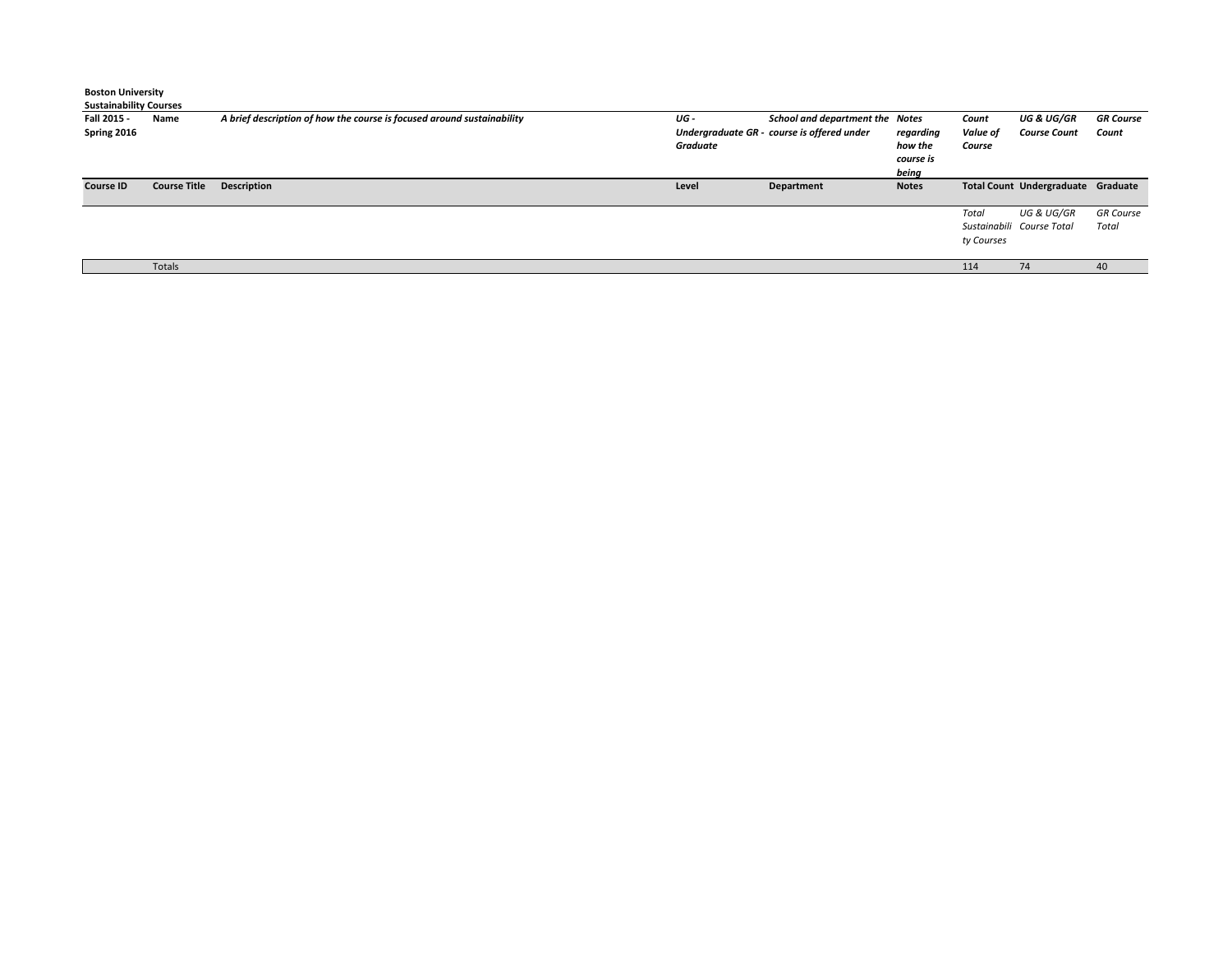| <b>Boston University</b><br><b>Sustainability Courses</b> |                     |                                                                        |                  |                                                                               |                                            |                             |                                                    |                           |
|-----------------------------------------------------------|---------------------|------------------------------------------------------------------------|------------------|-------------------------------------------------------------------------------|--------------------------------------------|-----------------------------|----------------------------------------------------|---------------------------|
| Fall 2015 -<br>Spring 2016                                | Name                | A brief description of how the course is focused around sustainability | UG -<br>Graduate | School and department the Notes<br>Undergraduate GR - course is offered under | regarding<br>how the<br>course is<br>being | Count<br>Value of<br>Course | UG & UG/GR<br><b>Course Count</b>                  | <b>GR Course</b><br>Count |
| <b>Course ID</b>                                          | <b>Course Title</b> | <b>Description</b>                                                     | Level            | Department                                                                    | <b>Notes</b>                               |                             | Total Count Undergraduate Graduate                 |                           |
|                                                           |                     |                                                                        |                  |                                                                               |                                            | Total<br>ty Courses         | <b>UG &amp; UG/GR</b><br>Sustainabili Course Total | <b>GR</b> Course<br>Total |
|                                                           | Totals              |                                                                        |                  |                                                                               |                                            | 114                         | 74                                                 | 40                        |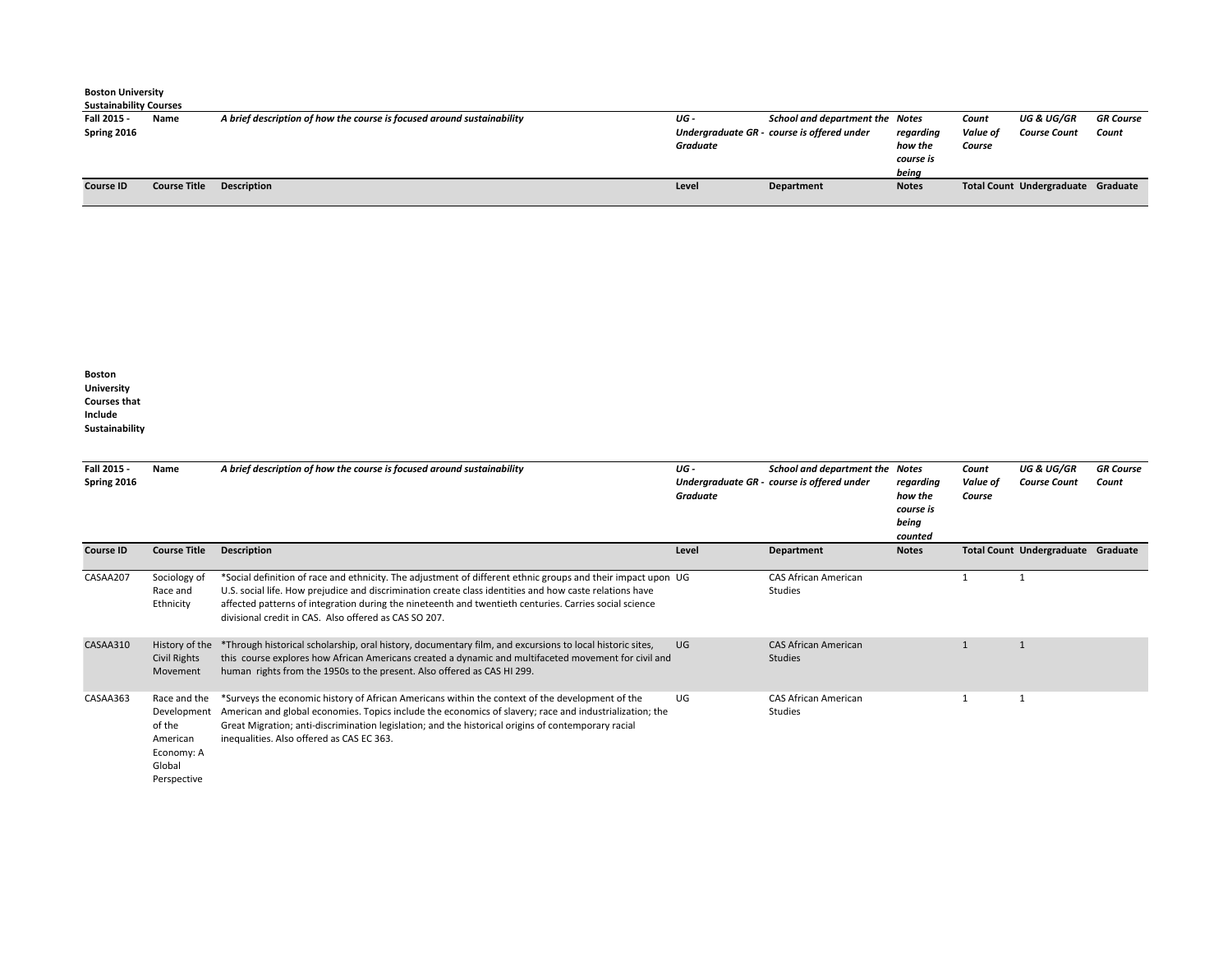| <b>Boston University</b>      |                     |                                                                        |          |                                            |              |          |                                    |                  |  |
|-------------------------------|---------------------|------------------------------------------------------------------------|----------|--------------------------------------------|--------------|----------|------------------------------------|------------------|--|
| <b>Sustainability Courses</b> |                     |                                                                        |          |                                            |              |          |                                    |                  |  |
| Fall 2015 -                   | Name                | A brief description of how the course is focused around sustainability | UG -     | School and department the Notes            |              | Count    | UG & UG/GR                         | <b>GR Course</b> |  |
| Spring 2016                   |                     |                                                                        |          | Undergraduate GR - course is offered under | regarding    | Value of | <b>Course Count</b>                | Count            |  |
|                               |                     |                                                                        | Graduate |                                            | how the      | Course   |                                    |                  |  |
|                               |                     |                                                                        |          |                                            | course is    |          |                                    |                  |  |
|                               |                     |                                                                        |          |                                            | being        |          |                                    |                  |  |
| <b>Course ID</b>              | <b>Course Title</b> | <b>Description</b>                                                     | Level    | Department                                 | <b>Notes</b> |          | Total Count Undergraduate Graduate |                  |  |
|                               |                     |                                                                        |          |                                            |              |          |                                    |                  |  |

**Boston University Courses that Include Sustainability** 

| Fall 2015 -<br>Spring 2016 | Name                                                                                     | A brief description of how the course is focused around sustainability                                                                                                                                                                                                                                                                                                                     | UG -<br><b>Graduate</b> | School and department the Notes<br>Undergraduate GR - course is offered under | regarding<br>how the<br>course is<br>being<br>counted | Count<br>Value of<br>Course | <b>UG &amp; UG/GR</b><br><b>Course Count</b> | <b>GR Course</b><br>Count |
|----------------------------|------------------------------------------------------------------------------------------|--------------------------------------------------------------------------------------------------------------------------------------------------------------------------------------------------------------------------------------------------------------------------------------------------------------------------------------------------------------------------------------------|-------------------------|-------------------------------------------------------------------------------|-------------------------------------------------------|-----------------------------|----------------------------------------------|---------------------------|
| Course ID                  | <b>Course Title</b>                                                                      | <b>Description</b>                                                                                                                                                                                                                                                                                                                                                                         | Level                   | Department                                                                    | <b>Notes</b>                                          |                             | Total Count Undergraduate Graduate           |                           |
| CASAA207                   | Sociology of<br>Race and<br>Ethnicity                                                    | *Social definition of race and ethnicity. The adjustment of different ethnic groups and their impact upon UG<br>U.S. social life. How prejudice and discrimination create class identities and how caste relations have<br>affected patterns of integration during the nineteenth and twentieth centuries. Carries social science<br>divisional credit in CAS. Also offered as CAS SO 207. |                         | <b>CAS African American</b><br>Studies                                        |                                                       |                             | 1                                            |                           |
| CASAA310                   | History of the<br>Civil Rights<br>Movement                                               | *Through historical scholarship, oral history, documentary film, and excursions to local historic sites,<br>this course explores how African Americans created a dynamic and multifaceted movement for civil and<br>human rights from the 1950s to the present. Also offered as CAS HI 299.                                                                                                | <b>UG</b>               | <b>CAS African American</b><br><b>Studies</b>                                 |                                                       |                             | $\overline{1}$                               |                           |
| CASAA363                   | Race and the<br>Development<br>of the<br>American<br>Economy: A<br>Global<br>Perspective | *Surveys the economic history of African Americans within the context of the development of the<br>American and global economies. Topics include the economics of slavery; race and industrialization; the<br>Great Migration; anti-discrimination legislation; and the historical origins of contemporary racial<br>inequalities. Also offered as CAS EC 363.                             | UG                      | <b>CAS African American</b><br><b>Studies</b>                                 |                                                       | -1                          | -1                                           |                           |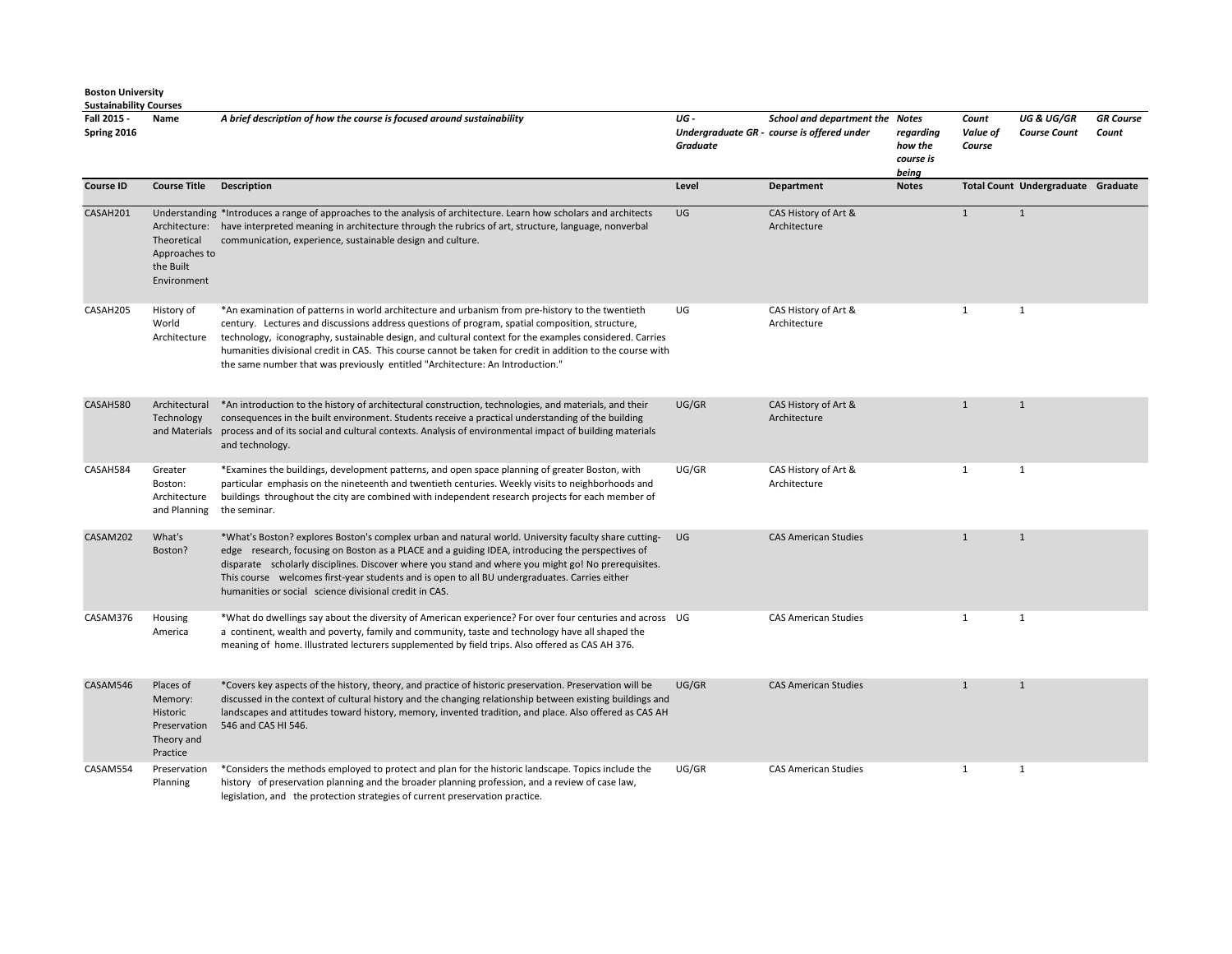| Fall 2015 -<br>Spring 2016 | Name                                                                       | A brief description of how the course is focused around sustainability                                                                                                                                                                                                                                                                                                                                                                                                                                       | UG -<br>Graduate | School and department the Notes<br>Undergraduate GR - course is offered under | regarding<br>how the<br>course is<br>being | Count<br>Value of<br>Course | <b>UG &amp; UG/GR</b><br><b>Course Count</b> | <b>GR</b> Course<br>Count |
|----------------------------|----------------------------------------------------------------------------|--------------------------------------------------------------------------------------------------------------------------------------------------------------------------------------------------------------------------------------------------------------------------------------------------------------------------------------------------------------------------------------------------------------------------------------------------------------------------------------------------------------|------------------|-------------------------------------------------------------------------------|--------------------------------------------|-----------------------------|----------------------------------------------|---------------------------|
| <b>Course ID</b>           | <b>Course Title Description</b>                                            |                                                                                                                                                                                                                                                                                                                                                                                                                                                                                                              | Level            | Department                                                                    | <b>Notes</b>                               |                             | Total Count Undergraduate Graduate           |                           |
| CASAH201                   | Theoretical<br>Approaches to<br>the Built<br>Environment                   | Understanding *Introduces a range of approaches to the analysis of architecture. Learn how scholars and architects<br>Architecture: have interpreted meaning in architecture through the rubrics of art, structure, language, nonverbal<br>communication, experience, sustainable design and culture.                                                                                                                                                                                                        | UG               | CAS History of Art &<br>Architecture                                          |                                            | $\mathbf{1}$                | $\mathbf{1}$                                 |                           |
| CASAH205                   | History of<br>World<br>Architecture                                        | *An examination of patterns in world architecture and urbanism from pre-history to the twentieth<br>century. Lectures and discussions address questions of program, spatial composition, structure,<br>technology, iconography, sustainable design, and cultural context for the examples considered. Carries<br>humanities divisional credit in CAS. This course cannot be taken for credit in addition to the course with<br>the same number that was previously entitled "Architecture: An Introduction." | UG               | CAS History of Art &<br>Architecture                                          |                                            | $\mathbf{1}$                | $\mathbf{1}$                                 |                           |
| CASAH580                   | Architectural<br>Technology<br>and Materials                               | *An introduction to the history of architectural construction, technologies, and materials, and their<br>consequences in the built environment. Students receive a practical understanding of the building<br>process and of its social and cultural contexts. Analysis of environmental impact of building materials<br>and technology.                                                                                                                                                                     | UG/GR            | CAS History of Art &<br>Architecture                                          |                                            | $\mathbf{1}$                | $\mathbf{1}$                                 |                           |
| CASAH584                   | Greater<br>Boston:<br>Architecture<br>and Planning                         | *Examines the buildings, development patterns, and open space planning of greater Boston, with<br>particular emphasis on the nineteenth and twentieth centuries. Weekly visits to neighborhoods and<br>buildings throughout the city are combined with independent research projects for each member of<br>the seminar.                                                                                                                                                                                      | UG/GR            | CAS History of Art &<br>Architecture                                          |                                            | $\mathbf{1}$                | $\mathbf{1}$                                 |                           |
| CASAM202                   | What's<br>Boston?                                                          | *What's Boston? explores Boston's complex urban and natural world. University faculty share cutting-<br>edge research, focusing on Boston as a PLACE and a guiding IDEA, introducing the perspectives of<br>disparate scholarly disciplines. Discover where you stand and where you might go! No prerequisites.<br>This course welcomes first-year students and is open to all BU undergraduates. Carries either<br>humanities or social science divisional credit in CAS.                                   | UG               | <b>CAS American Studies</b>                                                   |                                            | $\mathbf{1}$                | $\mathbf{1}$                                 |                           |
| CASAM376                   | Housing<br>America                                                         | *What do dwellings say about the diversity of American experience? For over four centuries and across UG<br>a continent, wealth and poverty, family and community, taste and technology have all shaped the<br>meaning of home. Illustrated lecturers supplemented by field trips. Also offered as CAS AH 376.                                                                                                                                                                                               |                  | <b>CAS American Studies</b>                                                   |                                            | $\mathbf{1}$                | $\mathbf{1}$                                 |                           |
| CASAM546                   | Places of<br>Memory:<br>Historic<br>Preservation<br>Theory and<br>Practice | *Covers key aspects of the history, theory, and practice of historic preservation. Preservation will be<br>discussed in the context of cultural history and the changing relationship between existing buildings and<br>landscapes and attitudes toward history, memory, invented tradition, and place. Also offered as CAS AH<br>546 and CAS HI 546.                                                                                                                                                        | UG/GR            | <b>CAS American Studies</b>                                                   |                                            | $\mathbf{1}$                | $\mathbf{1}$                                 |                           |
| CASAM554                   | Preservation<br>Planning                                                   | *Considers the methods employed to protect and plan for the historic landscape. Topics include the<br>history of preservation planning and the broader planning profession, and a review of case law,<br>legislation, and the protection strategies of current preservation practice.                                                                                                                                                                                                                        | UG/GR            | <b>CAS American Studies</b>                                                   |                                            | $\mathbf{1}$                | $\mathbf{1}$                                 |                           |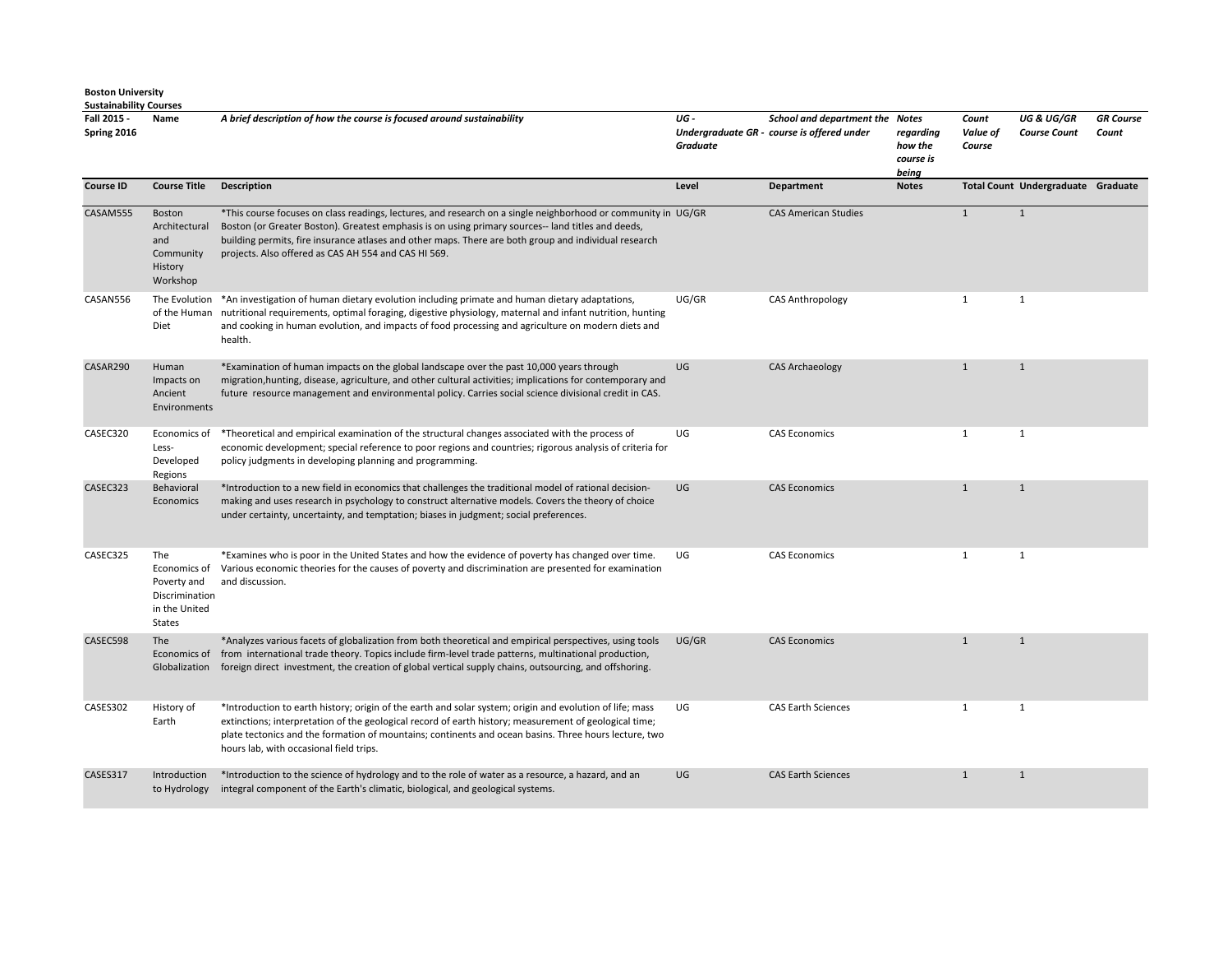| Fall 2015 -<br>Spring 2016 | Name                                                                                   | A brief description of how the course is focused around sustainability                                                                                                                                                                                                                                                                                                               | UG-<br>Graduate | School and department the Notes<br>Undergraduate GR - course is offered under | regarding<br>how the<br>course is<br>being | Count<br>Value of<br>Course | <b>UG &amp; UG/GR</b><br><b>Course Count</b> | <b>GR</b> Course<br>Count |
|----------------------------|----------------------------------------------------------------------------------------|--------------------------------------------------------------------------------------------------------------------------------------------------------------------------------------------------------------------------------------------------------------------------------------------------------------------------------------------------------------------------------------|-----------------|-------------------------------------------------------------------------------|--------------------------------------------|-----------------------------|----------------------------------------------|---------------------------|
| <b>Course ID</b>           | <b>Course Title</b>                                                                    | <b>Description</b>                                                                                                                                                                                                                                                                                                                                                                   | Level           | <b>Department</b>                                                             | <b>Notes</b>                               |                             | Total Count Undergraduate Graduate           |                           |
| CASAM555                   | Boston<br>Architectural<br>and<br>Community<br>History<br>Workshop                     | *This course focuses on class readings, lectures, and research on a single neighborhood or community in UG/GR<br>Boston (or Greater Boston). Greatest emphasis is on using primary sources-- land titles and deeds,<br>building permits, fire insurance atlases and other maps. There are both group and individual research<br>projects. Also offered as CAS AH 554 and CAS HI 569. |                 | <b>CAS American Studies</b>                                                   |                                            | $\mathbf{1}$                | $\mathbf{1}$                                 |                           |
| CASAN556                   | Diet                                                                                   | The Evolution *An investigation of human dietary evolution including primate and human dietary adaptations,<br>of the Human nutritional requirements, optimal foraging, digestive physiology, maternal and infant nutrition, hunting<br>and cooking in human evolution, and impacts of food processing and agriculture on modern diets and<br>health.                                | UG/GR           | <b>CAS Anthropology</b>                                                       |                                            | $\mathbf{1}$                | $\mathbf{1}$                                 |                           |
| CASAR290                   | Human<br>Impacts on<br>Ancient<br>Environments                                         | *Examination of human impacts on the global landscape over the past 10,000 years through<br>migration, hunting, disease, agriculture, and other cultural activities; implications for contemporary and<br>future resource management and environmental policy. Carries social science divisional credit in CAS.                                                                      | UG              | <b>CAS Archaeology</b>                                                        |                                            | $\mathbf{1}$                | $\mathbf{1}$                                 |                           |
| CASEC320                   | Economics of<br>Less-<br>Developed<br>Regions                                          | *Theoretical and empirical examination of the structural changes associated with the process of<br>economic development; special reference to poor regions and countries; rigorous analysis of criteria for<br>policy judgments in developing planning and programming.                                                                                                              | UG              | <b>CAS Economics</b>                                                          |                                            | $\mathbf{1}$                | $\mathbf{1}$                                 |                           |
| CASEC323                   | Behavioral<br>Economics                                                                | *Introduction to a new field in economics that challenges the traditional model of rational decision-<br>making and uses research in psychology to construct alternative models. Covers the theory of choice<br>under certainty, uncertainty, and temptation; biases in judgment; social preferences.                                                                                | UG              | <b>CAS Economics</b>                                                          |                                            | $\mathbf{1}$                | $\mathbf{1}$                                 |                           |
| CASEC325                   | The<br>Economics of<br>Poverty and<br>Discrimination<br>in the United<br><b>States</b> | *Examines who is poor in the United States and how the evidence of poverty has changed over time.<br>Various economic theories for the causes of poverty and discrimination are presented for examination<br>and discussion.                                                                                                                                                         | UG              | <b>CAS Economics</b>                                                          |                                            | $\mathbf{1}$                | 1                                            |                           |
| CASEC598                   | <b>The</b>                                                                             | *Analyzes various facets of globalization from both theoretical and empirical perspectives, using tools<br>Economics of from international trade theory. Topics include firm-level trade patterns, multinational production,<br>Globalization foreign direct investment, the creation of global vertical supply chains, outsourcing, and offshoring.                                 | UG/GR           | <b>CAS Economics</b>                                                          |                                            | $\mathbf{1}$                | $\mathbf{1}$                                 |                           |
| CASES302                   | History of<br>Earth                                                                    | *Introduction to earth history; origin of the earth and solar system; origin and evolution of life; mass<br>extinctions; interpretation of the geological record of earth history; measurement of geological time;<br>plate tectonics and the formation of mountains; continents and ocean basins. Three hours lecture, two<br>hours lab, with occasional field trips.               | UG              | <b>CAS Earth Sciences</b>                                                     |                                            | 1                           | 1                                            |                           |
| CASES317                   | Introduction<br>to Hydrology                                                           | *Introduction to the science of hydrology and to the role of water as a resource, a hazard, and an<br>integral component of the Earth's climatic, biological, and geological systems.                                                                                                                                                                                                | UG              | <b>CAS Earth Sciences</b>                                                     |                                            | $\mathbf{1}$                | $\mathbf{1}$                                 |                           |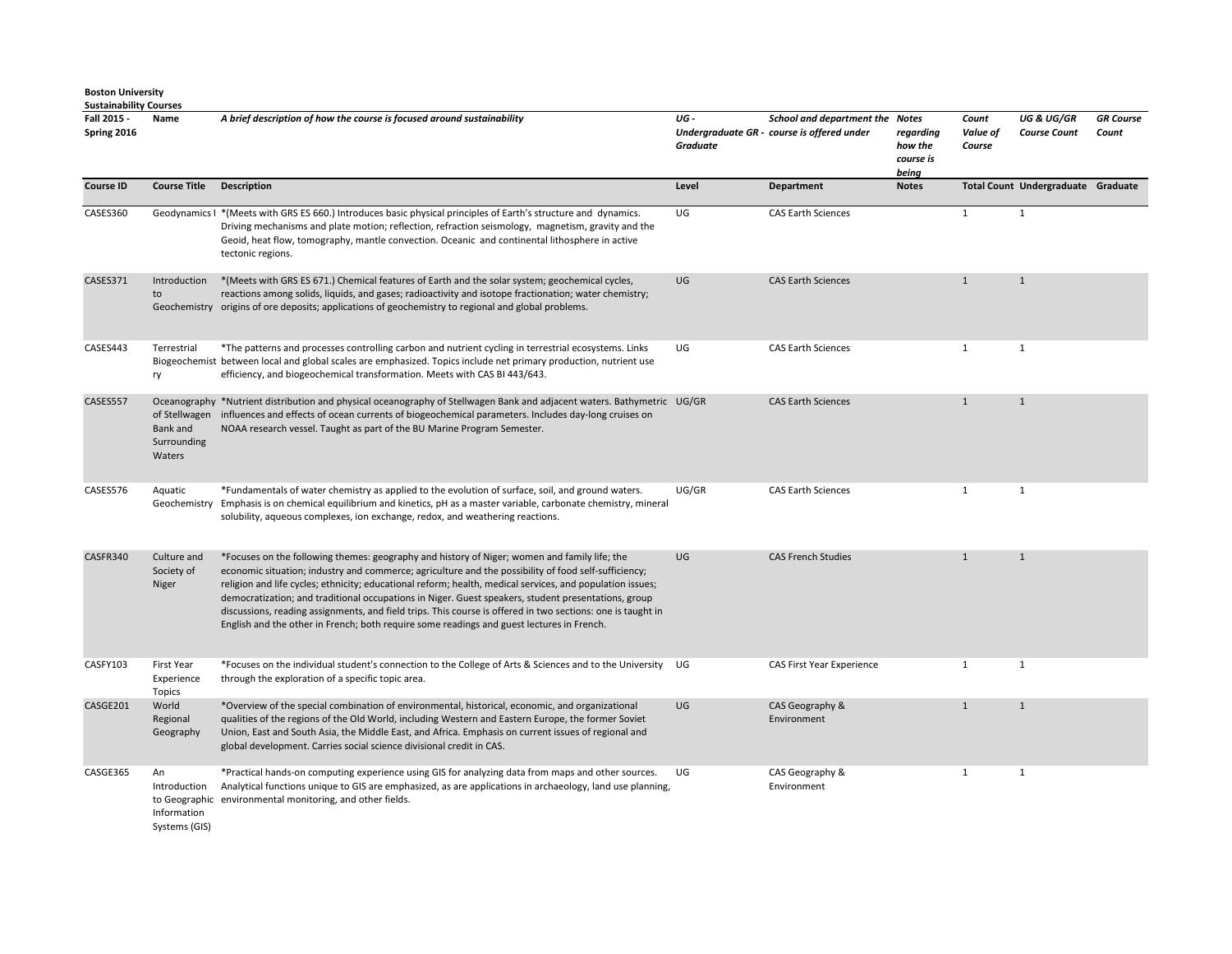| Fall 2015 -<br>Spring 2016 | Name                                               | A brief description of how the course is focused around sustainability                                                                                                                                                                                                                                                                                                                                                                                                                                                                                                                                                               | UG-<br><b>Graduate</b> | School and department the Notes<br>Undergraduate GR - course is offered under | regarding<br>how the<br>course is<br>being | Count<br>Value of<br>Course | <b>UG &amp; UG/GR</b><br><b>Course Count</b> | <b>GR</b> Course<br>Count |
|----------------------------|----------------------------------------------------|--------------------------------------------------------------------------------------------------------------------------------------------------------------------------------------------------------------------------------------------------------------------------------------------------------------------------------------------------------------------------------------------------------------------------------------------------------------------------------------------------------------------------------------------------------------------------------------------------------------------------------------|------------------------|-------------------------------------------------------------------------------|--------------------------------------------|-----------------------------|----------------------------------------------|---------------------------|
| <b>Course ID</b>           | <b>Course Title</b>                                | <b>Description</b>                                                                                                                                                                                                                                                                                                                                                                                                                                                                                                                                                                                                                   | Level                  | Department                                                                    | <b>Notes</b>                               |                             | Total Count Undergraduate Graduate           |                           |
| CASES360                   |                                                    | Geodynamics I * (Meets with GRS ES 660.) Introduces basic physical principles of Earth's structure and dynamics.<br>Driving mechanisms and plate motion; reflection, refraction seismology, magnetism, gravity and the<br>Geoid, heat flow, tomography, mantle convection. Oceanic and continental lithosphere in active<br>tectonic regions.                                                                                                                                                                                                                                                                                        | UG                     | <b>CAS Earth Sciences</b>                                                     |                                            | $\mathbf{1}$                | $\mathbf{1}$                                 |                           |
| CASES371                   | Introduction<br>to                                 | *(Meets with GRS ES 671.) Chemical features of Earth and the solar system; geochemical cycles,<br>reactions among solids, liquids, and gases; radioactivity and isotope fractionation; water chemistry;<br>Geochemistry origins of ore deposits; applications of geochemistry to regional and global problems.                                                                                                                                                                                                                                                                                                                       | UG                     | <b>CAS Earth Sciences</b>                                                     |                                            | $\mathbf{1}$                | $\mathbf{1}$                                 |                           |
| CASES443                   | Terrestrial<br>ry                                  | *The patterns and processes controlling carbon and nutrient cycling in terrestrial ecosystems. Links<br>Biogeochemist between local and global scales are emphasized. Topics include net primary production, nutrient use<br>efficiency, and biogeochemical transformation. Meets with CAS BI 443/643.                                                                                                                                                                                                                                                                                                                               | UG                     | <b>CAS Earth Sciences</b>                                                     |                                            | $\mathbf{1}$                | $\mathbf{1}$                                 |                           |
| CASES557                   | Bank and<br>Surrounding<br>Waters                  | Oceanography *Nutrient distribution and physical oceanography of Stellwagen Bank and adjacent waters. Bathymetric UG/GR<br>of Stellwagen influences and effects of ocean currents of biogeochemical parameters. Includes day-long cruises on<br>NOAA research vessel. Taught as part of the BU Marine Program Semester.                                                                                                                                                                                                                                                                                                              |                        | <b>CAS Earth Sciences</b>                                                     |                                            | $\mathbf{1}$                | $\mathbf{1}$                                 |                           |
| CASES576                   | Aquatic                                            | *Fundamentals of water chemistry as applied to the evolution of surface, soil, and ground waters.<br>Geochemistry Emphasis is on chemical equilibrium and kinetics, pH as a master variable, carbonate chemistry, mineral<br>solubility, aqueous complexes, ion exchange, redox, and weathering reactions.                                                                                                                                                                                                                                                                                                                           | UG/GR                  | <b>CAS Earth Sciences</b>                                                     |                                            | $\mathbf{1}$                | $\mathbf{1}$                                 |                           |
| CASFR340                   | Culture and<br>Society of<br>Niger                 | *Focuses on the following themes: geography and history of Niger; women and family life; the<br>economic situation; industry and commerce; agriculture and the possibility of food self-sufficiency;<br>religion and life cycles; ethnicity; educational reform; health, medical services, and population issues;<br>democratization; and traditional occupations in Niger. Guest speakers, student presentations, group<br>discussions, reading assignments, and field trips. This course is offered in two sections: one is taught in<br>English and the other in French; both require some readings and guest lectures in French. | UG                     | <b>CAS French Studies</b>                                                     |                                            | $\mathbf{1}$                | $\mathbf{1}$                                 |                           |
| CASFY103                   | <b>First Year</b><br>Experience<br><b>Topics</b>   | *Focuses on the individual student's connection to the College of Arts & Sciences and to the University UG<br>through the exploration of a specific topic area.                                                                                                                                                                                                                                                                                                                                                                                                                                                                      |                        | CAS First Year Experience                                                     |                                            | $\mathbf{1}$                | $\mathbf{1}$                                 |                           |
| CASGE201                   | World<br>Regional<br>Geography                     | *Overview of the special combination of environmental, historical, economic, and organizational<br>qualities of the regions of the Old World, including Western and Eastern Europe, the former Soviet<br>Union, East and South Asia, the Middle East, and Africa. Emphasis on current issues of regional and<br>global development. Carries social science divisional credit in CAS.                                                                                                                                                                                                                                                 | UG                     | CAS Geography &<br>Environment                                                |                                            | $\mathbf{1}$                | $\mathbf{1}$                                 |                           |
| CASGE365                   | An<br>Introduction<br>Information<br>Systems (GIS) | *Practical hands-on computing experience using GIS for analyzing data from maps and other sources.<br>Analytical functions unique to GIS are emphasized, as are applications in archaeology, land use planning,<br>to Geographic environmental monitoring, and other fields.                                                                                                                                                                                                                                                                                                                                                         | UG                     | CAS Geography &<br>Environment                                                |                                            | $\mathbf{1}$                | $\mathbf{1}$                                 |                           |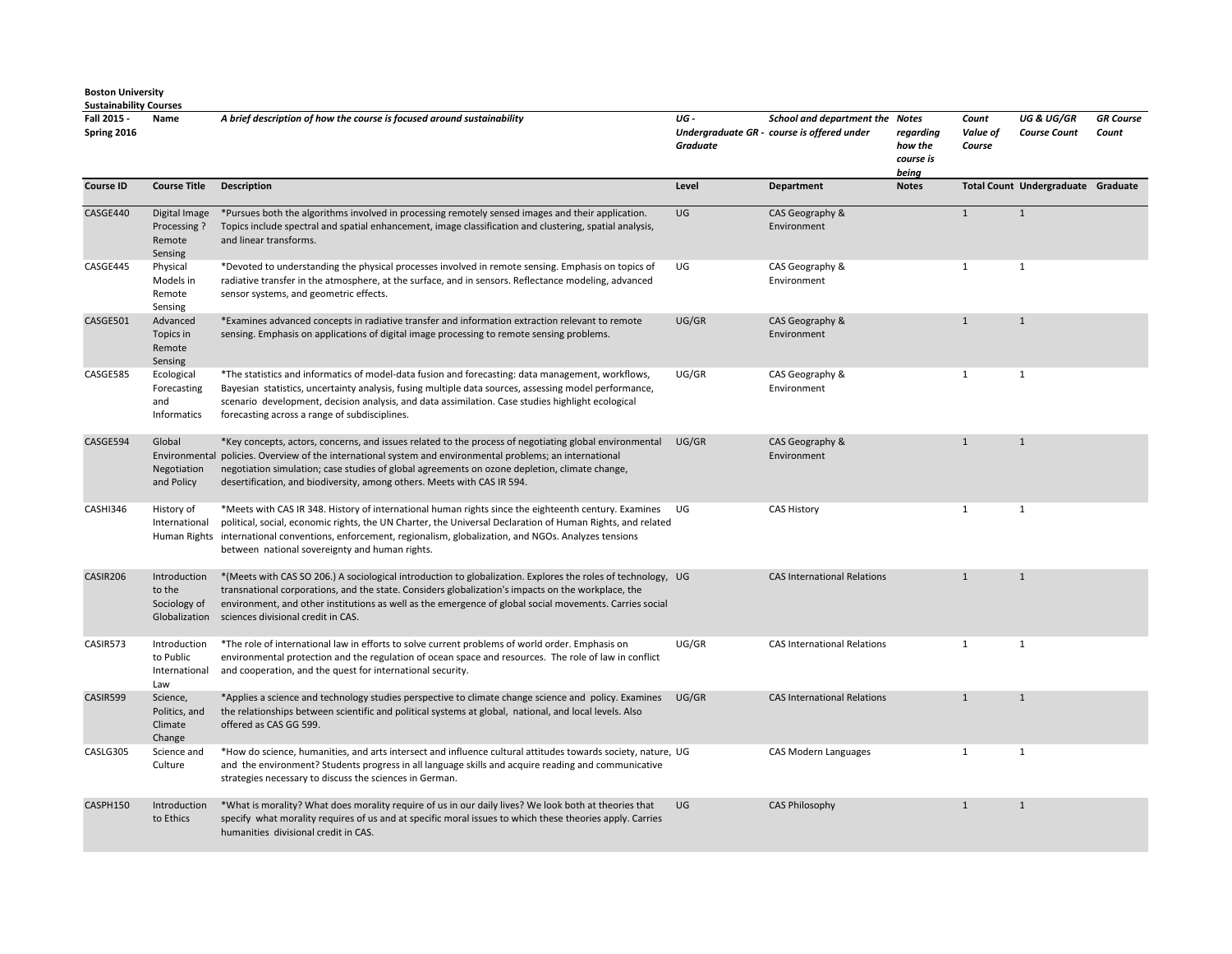| Fall 2015 -<br>Spring 2016 | Name                                                 | A brief description of how the course is focused around sustainability                                                                                                                                                                                                                                                                                                                  | UG-<br>Graduate | <b>School and department the Notes</b><br>Undergraduate GR - course is offered under | regarding<br>how the<br>course is<br>being | Count<br>Value of<br>Course | <b>UG &amp; UG/GR</b><br><b>Course Count</b> | <b>GR</b> Course<br>Count |
|----------------------------|------------------------------------------------------|-----------------------------------------------------------------------------------------------------------------------------------------------------------------------------------------------------------------------------------------------------------------------------------------------------------------------------------------------------------------------------------------|-----------------|--------------------------------------------------------------------------------------|--------------------------------------------|-----------------------------|----------------------------------------------|---------------------------|
| <b>Course ID</b>           | <b>Course Title</b>                                  | <b>Description</b>                                                                                                                                                                                                                                                                                                                                                                      | Level           | Department                                                                           | <b>Notes</b>                               |                             | Total Count Undergraduate Graduate           |                           |
| CASGE440                   | Digital Image<br>Processing?<br>Remote<br>Sensing    | *Pursues both the algorithms involved in processing remotely sensed images and their application.<br>Topics include spectral and spatial enhancement, image classification and clustering, spatial analysis,<br>and linear transforms.                                                                                                                                                  | UG              | CAS Geography &<br>Environment                                                       |                                            | $\mathbf{1}$                | $\mathbf{1}$                                 |                           |
| CASGE445                   | Physical<br>Models in<br>Remote<br>Sensing           | *Devoted to understanding the physical processes involved in remote sensing. Emphasis on topics of<br>radiative transfer in the atmosphere, at the surface, and in sensors. Reflectance modeling, advanced<br>sensor systems, and geometric effects.                                                                                                                                    | UG              | CAS Geography &<br>Environment                                                       |                                            | $\mathbf{1}$                | $\mathbf{1}$                                 |                           |
| CASGE501                   | Advanced<br>Topics in<br>Remote<br>Sensing           | *Examines advanced concepts in radiative transfer and information extraction relevant to remote<br>sensing. Emphasis on applications of digital image processing to remote sensing problems.                                                                                                                                                                                            | UG/GR           | CAS Geography &<br>Environment                                                       |                                            | $\mathbf{1}$                | $\mathbf{1}$                                 |                           |
| CASGE585                   | Ecological<br>Forecasting<br>and<br>Informatics      | *The statistics and informatics of model-data fusion and forecasting: data management, workflows,<br>Bayesian statistics, uncertainty analysis, fusing multiple data sources, assessing model performance,<br>scenario development, decision analysis, and data assimilation. Case studies highlight ecological<br>forecasting across a range of subdisciplines.                        | UG/GR           | CAS Geography &<br>Environment                                                       |                                            | 1                           | 1                                            |                           |
| CASGE594                   | Global<br>Environmental<br>Negotiation<br>and Policy | *Key concepts, actors, concerns, and issues related to the process of negotiating global environmental<br>policies. Overview of the international system and environmental problems; an international<br>negotiation simulation; case studies of global agreements on ozone depletion, climate change,<br>desertification, and biodiversity, among others. Meets with CAS IR 594.       | UG/GR           | CAS Geography &<br>Environment                                                       |                                            | $\mathbf{1}$                | $\mathbf{1}$                                 |                           |
| CASHI346                   | History of<br>International                          | *Meets with CAS IR 348. History of international human rights since the eighteenth century. Examines UG<br>political, social, economic rights, the UN Charter, the Universal Declaration of Human Rights, and related<br>Human Rights international conventions, enforcement, regionalism, globalization, and NGOs. Analyzes tensions<br>between national sovereignty and human rights. |                 | <b>CAS History</b>                                                                   |                                            | $\mathbf{1}$                | $\mathbf{1}$                                 |                           |
| CASIR206                   | Introduction<br>to the<br>Sociology of               | *(Meets with CAS SO 206.) A sociological introduction to globalization. Explores the roles of technology, UG<br>transnational corporations, and the state. Considers globalization's impacts on the workplace, the<br>environment, and other institutions as well as the emergence of global social movements. Carries social<br>Globalization sciences divisional credit in CAS.       |                 | <b>CAS International Relations</b>                                                   |                                            | $\mathbf{1}$                | $\mathbf{1}$                                 |                           |
| CASIR573                   | Introduction<br>to Public<br>International<br>Law    | *The role of international law in efforts to solve current problems of world order. Emphasis on<br>environmental protection and the regulation of ocean space and resources. The role of law in conflict<br>and cooperation, and the quest for international security.                                                                                                                  | UG/GR           | <b>CAS International Relations</b>                                                   |                                            | $\mathbf{1}$                | 1                                            |                           |
| CASIR599                   | Science,<br>Politics, and<br>Climate<br>Change       | *Applies a science and technology studies perspective to climate change science and policy. Examines<br>the relationships between scientific and political systems at global, national, and local levels. Also<br>offered as CAS GG 599.                                                                                                                                                | UG/GR           | <b>CAS International Relations</b>                                                   |                                            | $\mathbf{1}$                | $\mathbf{1}$                                 |                           |
| CASLG305                   | Science and<br>Culture                               | *How do science, humanities, and arts intersect and influence cultural attitudes towards society, nature, UG<br>and the environment? Students progress in all language skills and acquire reading and communicative<br>strategies necessary to discuss the sciences in German.                                                                                                          |                 | CAS Modern Languages                                                                 |                                            | $\mathbf{1}$                | 1                                            |                           |
| CASPH150                   | Introduction<br>to Ethics                            | *What is morality? What does morality require of us in our daily lives? We look both at theories that<br>specify what morality requires of us and at specific moral issues to which these theories apply. Carries<br>humanities divisional credit in CAS.                                                                                                                               | UG              | <b>CAS Philosophy</b>                                                                |                                            | $\mathbf{1}$                | 1                                            |                           |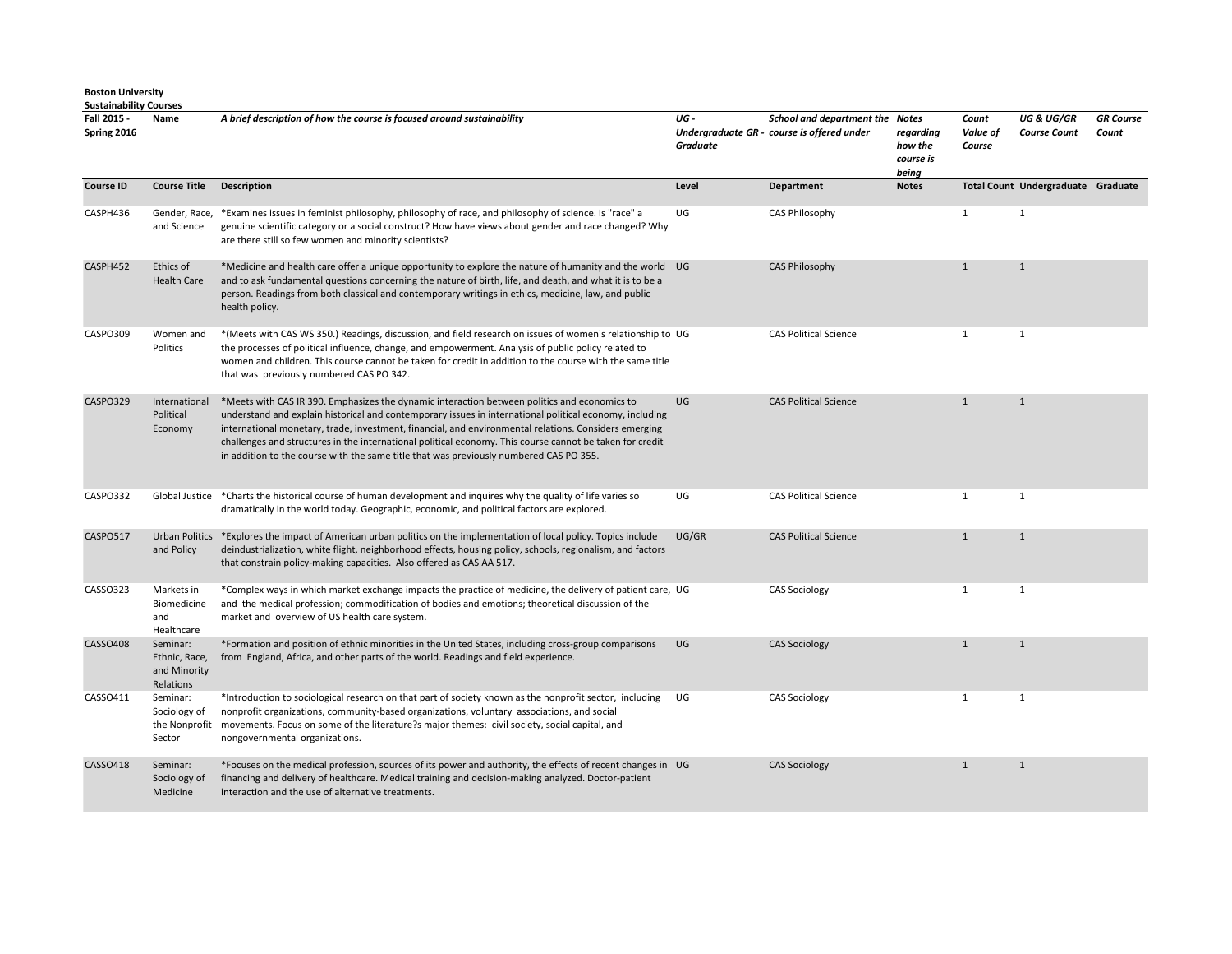**Sustainability Courses Fall 2015 - Spring 2016 Name** *A brief description of how the course is focused around sustainability UG - Undergraduate GR - course is offered under Graduate School and department the Notes regarding how the course is being Count Value of Course UG & UG/GR Course Count* **Course ID Course Title Description Course Title Department** Department Notes Total Count Undergraduate Graduate CASPH436 Gender, Race, and Science \*Examines issues in feminist philosophy, philosophy of race, and philosophy of science. Is "race" a genuine scientific category or a social construct? How have views about gender and race changed? Why are there still so few women and minority scientists? UG CAS Philosophy 1 1 1 CASPH452 Ethics of Health Care \*Medicine and health care offer a unique opportunity to explore the nature of humanity and the world and to ask fundamental questions concerning the nature of birth, life, and death, and what it is to be a person. Readings from both classical and contemporary writings in ethics, medicine, law, and public health policy. UG CAS Philosophy 1 1 CASPO309 Women and Politics \*(Meets with CAS WS 350.) Readings, discussion, and field research on issues of women's relationship to the processes of political influence, change, and empowerment. Analysis of public policy related to women and children. This course cannot be taken for credit in addition to the course with the same title that was previously numbered CAS PO 342. CAS Political Science 1 1 1 1 1 CASPO329 International Political Economy \*Meets with CAS IR 390. Emphasizes the dynamic interaction between politics and economics to understand and explain historical and contemporary issues in international political economy, including international monetary, trade, investment, financial, and environmental relations. Considers emerging challenges and structures in the international political economy. This course cannot be taken for credit in addition to the course with the same title that was previously numbered CAS PO 355. UG CAS Political Science 1 1 1 1 CASPO332 Global Justice \*Charts the historical course of human development and inquires why the quality of life varies so dramatically in the world today. Geographic, economic, and political factors are explored. UG CAS Political Science 1 1 1 1 CASPO517 Urban Politics \*Explores the impact of American urban politics on the implementation of local policy. Topics include and Policy deindustrialization, white flight, neighborhood effects, housing policy, schools, regionalism, and factors that constrain policy-making capacities. Also offered as CAS AA 517. UG/GR CAS Political Science 1 1 CASSO323 Markets in Biomedicine and Healthcare \*Complex ways in which market exchange impacts the practice of medicine, the delivery of patient care, and the medical profession; commodification of bodies and emotions; theoretical discussion of the market and overview of US health care system. UG CAS Sociology 1 1 CASSO408 Seminar: Ethnic, Race, and Minority Relations<br>Seminar: \*Formation and position of ethnic minorities in the United States, including cross-group comparisons from England, Africa, and other parts of the world. Readings and field experience. UG CAS Sociology 1 1 CASSO411 Sociology of \*Introduction to sociological research on that part of society known as the nonprofit sector, including nonprofit organizations, community-based organizations, voluntary associations, and social UG CAS Sociology 1 1 1 1

*GR Course Count* 

the Nonprofit Sector movements. Focus on some of the literature?s major themes: civil society, social capital, and nongovernmental organizations. CASSO418 Seminar: Sociology of Medicine \*Focuses on the medical profession, sources of its power and authority, the effects of recent changes in financing and delivery of healthcare. Medical training and decision-making analyzed. Doctor-patient interaction and the use of alternative treatments. UG CAS Sociology 1 1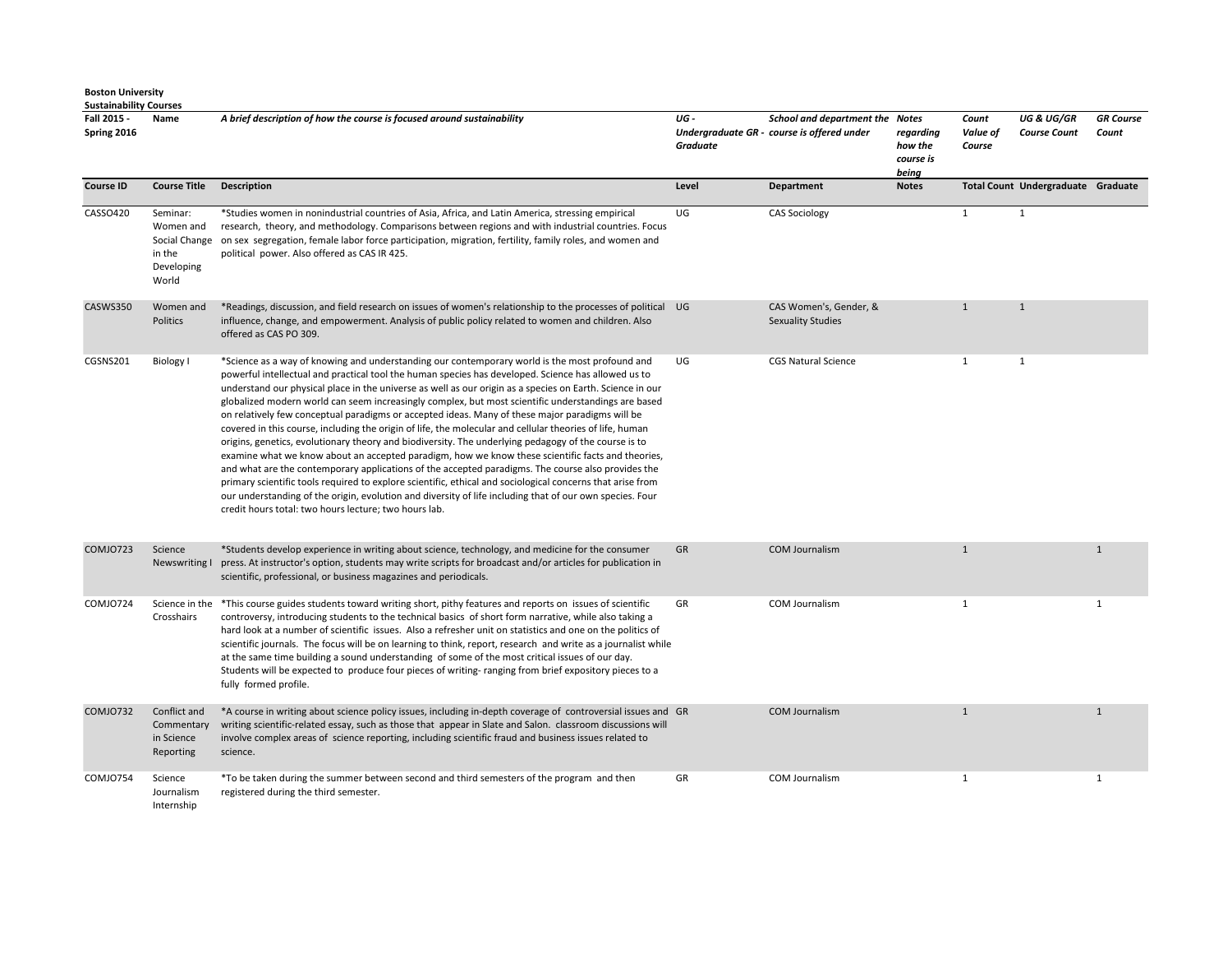**Fall 2015 - Spring 2016 Name** *A brief description of how the course is focused around sustainability UG - Undergraduate GR - course is offered under Graduate School and department the Notes regarding how the course is being Count Value of Course UG & UG/GR Course Count GR Course Count*  **Course ID Course Title Description Course Title Description Course In the Count Undergraduate Graduate Craduate Craduate Craduate Craduate Craduate Craduate Craduate Craduate Craduate Craduate** CASSO420 Seminar: Women and Social Change in the Developing World \*Studies women in nonindustrial countries of Asia, Africa, and Latin America, stressing empirical research, theory, and methodology. Comparisons between regions and with industrial countries. Focus on sex segregation, female labor force participation, migration, fertility, family roles, and women and political power. Also offered as CAS IR 425. UG CAS Sociology 1 1 1 CASWS350 Women and **Politics** \*Readings, discussion, and field research on issues of women's relationship to the processes of political influence, change, and empowerment. Analysis of public policy related to women and children. Also offered as CAS PO 309. CAS Women's, Gender, & Sexuality Studies 1 1 CGSNS201 Biology I \*Science as a way of knowing and understanding our contemporary world is the most profound and powerful intellectual and practical tool the human species has developed. Science has allowed us to understand our physical place in the universe as well as our origin as a species on Earth. Science in our globalized modern world can seem increasingly complex, but most scientific understandings are based on relatively few conceptual paradigms or accepted ideas. Many of these major paradigms will be covered in this course, including the origin of life, the molecular and cellular theories of life, human origins, genetics, evolutionary theory and biodiversity. The underlying pedagogy of the course is to examine what we know about an accepted paradigm, how we know these scientific facts and theories, and what are the contemporary applications of the accepted paradigms. The course also provides the primary scientific tools required to explore scientific, ethical and sociological concerns that arise from our understanding of the origin, evolution and diversity of life including that of our own species. Four credit hours total: two hours lecture; two hours lab. UG CGS Natural Science 1 1 1 COMJO723 Science Newswriting I \*Students develop experience in writing about science, technology, and medicine for the consumer press. At instructor's option, students may write scripts for broadcast and/or articles for publication in scientific, professional, or business magazines and periodicals. GR COM Journalism 1 1 COMJO724 Science in the \*This course guides students toward writing short, pithy features and reports on issues of scientific Crosshairs controversy, introducing students to the technical basics of short form narrative, while also taking a hard look at a number of scientific issues. Also a refresher unit on statistics and one on the politics of scientific journals. The focus will be on learning to think, report, research and write as a journalist while at the same time building a sound understanding of some of the most critical issues of our day. Students will be expected to produce four pieces of writing- ranging from brief expository pieces to a fully formed profile. GR COM Journalism 1 1 COMJO732 Conflict and Commentary in Science Reporting \*A course in writing about science policy issues, including in-depth coverage of controversial issues and writing scientific-related essay, such as those that appear in Slate and Salon. classroom discussions will involve complex areas of science reporting, including scientific fraud and business issues related to science. GR COM Journalism 1 1 COMJO754 Science Journalism Internship \*To be taken during the summer between second and third semesters of the program and then registered during the third semester. GR COM Journalism 1 1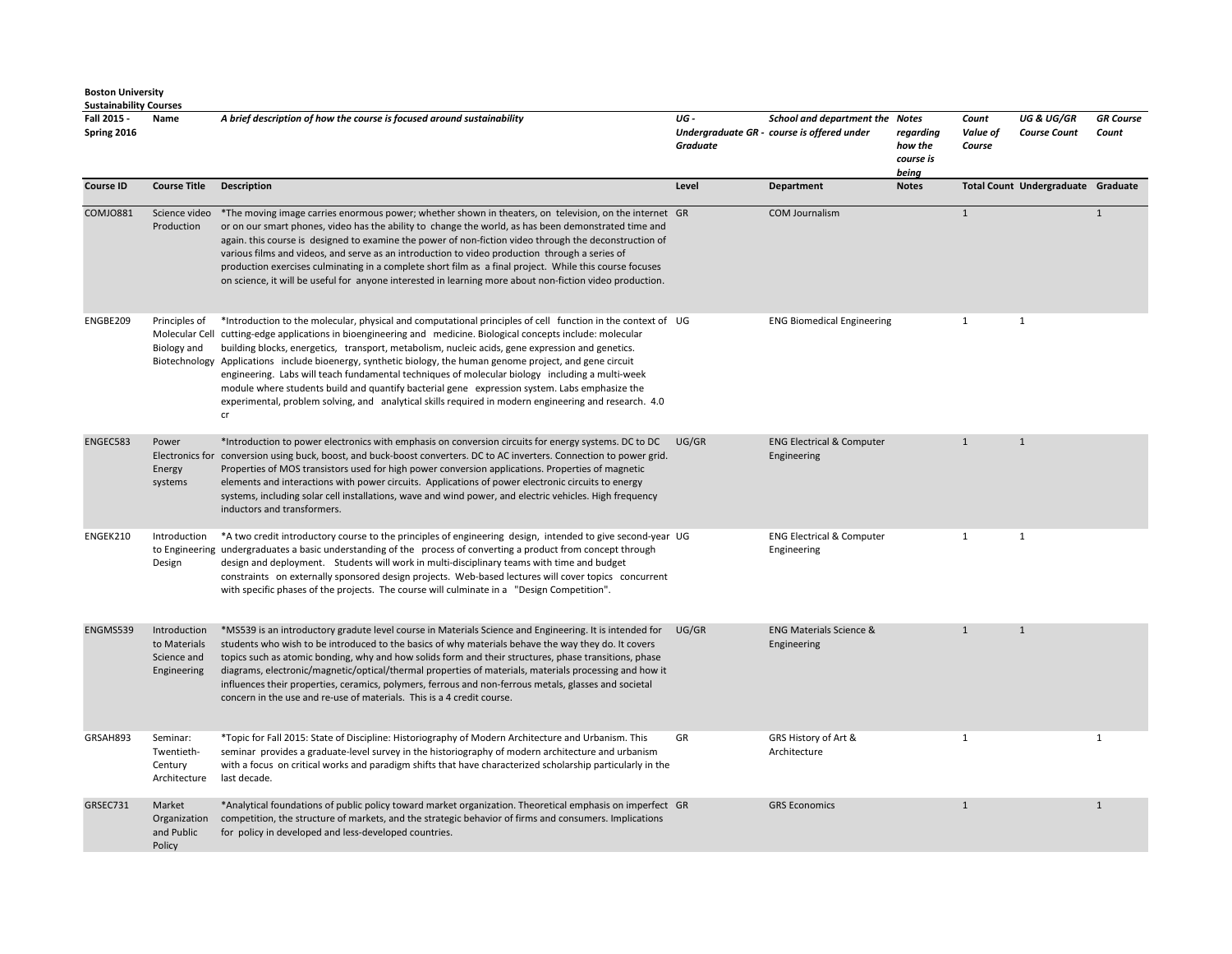| Fall 2015 -<br>Spring 2016 | Name                                                       | A brief description of how the course is focused around sustainability                                                                                                                                                                                                                                                                                                                                                                                                                                                                                                                                                                                                                                                                                               | UG-<br>Graduate | School and department the Notes<br>Undergraduate GR - course is offered under | regarding<br>how the<br>course is<br>being | Count<br>Value of<br>Course | <b>UG &amp; UG/GR</b><br><b>Course Count</b> | <b>GR</b> Course<br>Count |
|----------------------------|------------------------------------------------------------|----------------------------------------------------------------------------------------------------------------------------------------------------------------------------------------------------------------------------------------------------------------------------------------------------------------------------------------------------------------------------------------------------------------------------------------------------------------------------------------------------------------------------------------------------------------------------------------------------------------------------------------------------------------------------------------------------------------------------------------------------------------------|-----------------|-------------------------------------------------------------------------------|--------------------------------------------|-----------------------------|----------------------------------------------|---------------------------|
| <b>Course ID</b>           | <b>Course Title</b>                                        | <b>Description</b>                                                                                                                                                                                                                                                                                                                                                                                                                                                                                                                                                                                                                                                                                                                                                   | Level           | <b>Department</b>                                                             | <b>Notes</b>                               |                             | Total Count Undergraduate Graduate           |                           |
| <b>COMJO881</b>            | Science video<br>Production                                | *The moving image carries enormous power; whether shown in theaters, on television, on the internet GR<br>or on our smart phones, video has the ability to change the world, as has been demonstrated time and<br>again. this course is designed to examine the power of non-fiction video through the deconstruction of<br>various films and videos, and serve as an introduction to video production through a series of<br>production exercises culminating in a complete short film as a final project. While this course focuses<br>on science, it will be useful for anyone interested in learning more about non-fiction video production.                                                                                                                    |                 | <b>COM Journalism</b>                                                         |                                            | $\mathbf{1}$                |                                              | $\overline{1}$            |
| ENGBE209                   | Principles of<br>Biology and                               | *Introduction to the molecular, physical and computational principles of cell function in the context of UG<br>Molecular Cell cutting-edge applications in bioengineering and medicine. Biological concepts include: molecular<br>building blocks, energetics, transport, metabolism, nucleic acids, gene expression and genetics.<br>Biotechnology Applications include bioenergy, synthetic biology, the human genome project, and gene circuit<br>engineering. Labs will teach fundamental techniques of molecular biology including a multi-week<br>module where students build and quantify bacterial gene expression system. Labs emphasize the<br>experimental, problem solving, and analytical skills required in modern engineering and research. 4.0<br>cr |                 | <b>ENG Biomedical Engineering</b>                                             |                                            | $\mathbf{1}$                | $\mathbf{1}$                                 |                           |
| ENGEC583                   | Power<br>Energy<br>systems                                 | *Introduction to power electronics with emphasis on conversion circuits for energy systems. DC to DC<br>Electronics for conversion using buck, boost, and buck-boost converters. DC to AC inverters. Connection to power grid.<br>Properties of MOS transistors used for high power conversion applications. Properties of magnetic<br>elements and interactions with power circuits. Applications of power electronic circuits to energy<br>systems, including solar cell installations, wave and wind power, and electric vehicles. High frequency<br>inductors and transformers.                                                                                                                                                                                  | UG/GR           | <b>ENG Electrical &amp; Computer</b><br>Engineering                           |                                            | $\mathbf{1}$                | $\mathbf{1}$                                 |                           |
| ENGEK210                   | Introduction<br>Design                                     | *A two credit introductory course to the principles of engineering design, intended to give second-year UG<br>to Engineering undergraduates a basic understanding of the process of converting a product from concept through<br>design and deployment. Students will work in multi-disciplinary teams with time and budget<br>constraints on externally sponsored design projects. Web-based lectures will cover topics concurrent<br>with specific phases of the projects. The course will culminate in a "Design Competition".                                                                                                                                                                                                                                    |                 | <b>ENG Electrical &amp; Computer</b><br>Engineering                           |                                            | $\mathbf{1}$                | $\mathbf{1}$                                 |                           |
| ENGMS539                   | Introduction<br>to Materials<br>Science and<br>Engineering | *MS539 is an introductory gradute level course in Materials Science and Engineering. It is intended for<br>students who wish to be introduced to the basics of why materials behave the way they do. It covers<br>topics such as atomic bonding, why and how solids form and their structures, phase transitions, phase<br>diagrams, electronic/magnetic/optical/thermal properties of materials, materials processing and how it<br>influences their properties, ceramics, polymers, ferrous and non-ferrous metals, glasses and societal<br>concern in the use and re-use of materials. This is a 4 credit course.                                                                                                                                                 | UG/GR           | <b>ENG Materials Science &amp;</b><br>Engineering                             |                                            | $\mathbf{1}$                | $\mathbf{1}$                                 |                           |
| GRSAH893                   | Seminar:<br>Twentieth-<br>Century<br>Architecture          | *Topic for Fall 2015: State of Discipline: Historiography of Modern Architecture and Urbanism. This<br>seminar provides a graduate-level survey in the historiography of modern architecture and urbanism<br>with a focus on critical works and paradigm shifts that have characterized scholarship particularly in the<br>last decade.                                                                                                                                                                                                                                                                                                                                                                                                                              | GR              | GRS History of Art &<br>Architecture                                          |                                            | $\mathbf{1}$                |                                              | $\mathbf{1}$              |
| GRSEC731                   | Market<br>Organization<br>and Public<br>Policy             | *Analytical foundations of public policy toward market organization. Theoretical emphasis on imperfect GR<br>competition, the structure of markets, and the strategic behavior of firms and consumers. Implications<br>for policy in developed and less-developed countries.                                                                                                                                                                                                                                                                                                                                                                                                                                                                                         |                 | <b>GRS Economics</b>                                                          |                                            | $\mathbf{1}$                |                                              | $\mathbf{1}$              |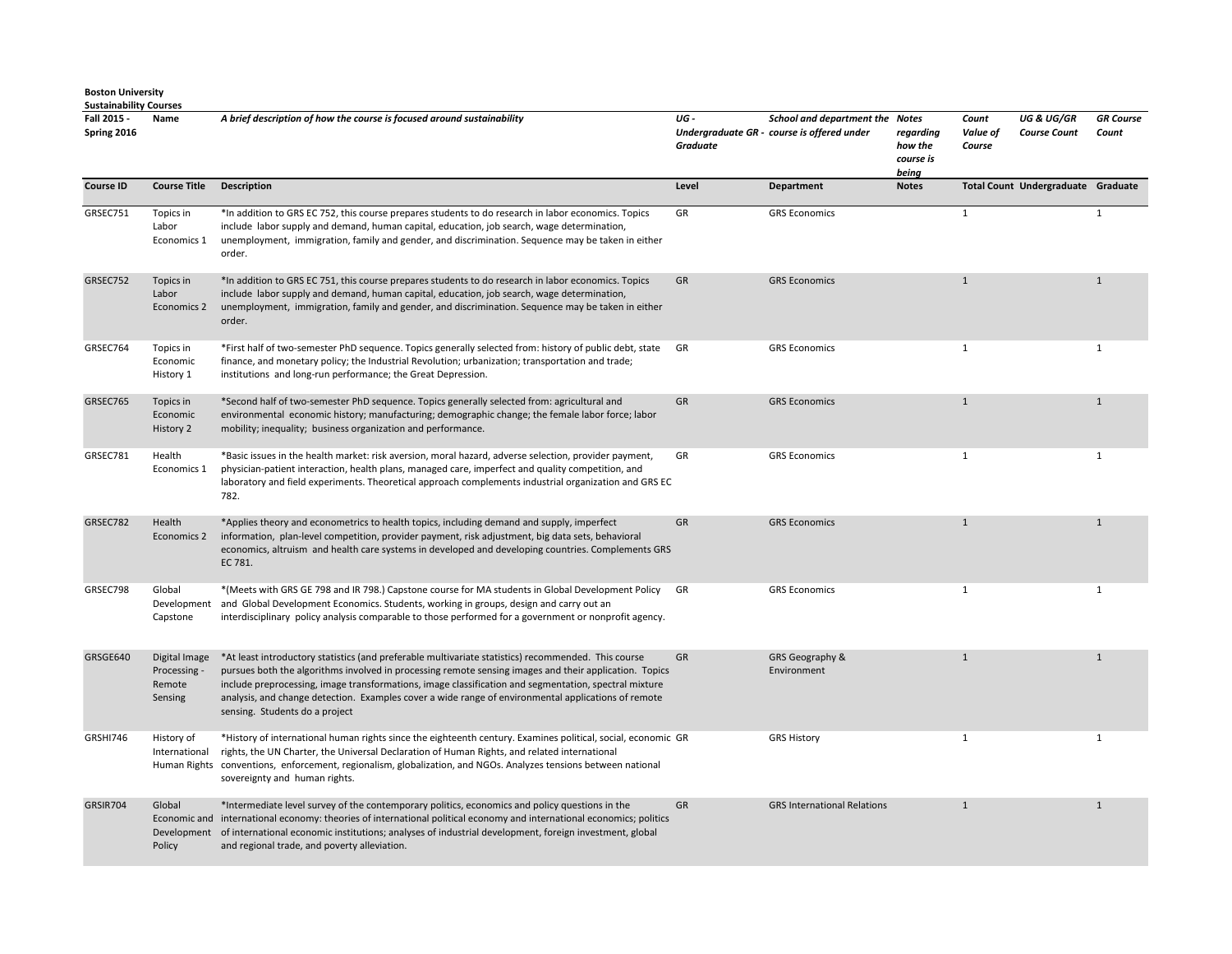| <b>Boston University</b>      |  |
|-------------------------------|--|
| <b>Sustainability Courses</b> |  |

| Fall 2015 -<br>Spring 2016 | Name                                               | A brief description of how the course is focused around sustainability                                                                                                                                                                                                                                                                                                                                                                                          | UG-<br><b>Graduate</b> | School and department the Notes<br>Undergraduate GR - course is offered under | regarding<br>how the<br>course is<br>being | Count<br>Value of<br>Course | <b>UG &amp; UG/GR</b><br><b>Course Count</b> | <b>GR</b> Course<br>Count |
|----------------------------|----------------------------------------------------|-----------------------------------------------------------------------------------------------------------------------------------------------------------------------------------------------------------------------------------------------------------------------------------------------------------------------------------------------------------------------------------------------------------------------------------------------------------------|------------------------|-------------------------------------------------------------------------------|--------------------------------------------|-----------------------------|----------------------------------------------|---------------------------|
| <b>Course ID</b>           | <b>Course Title</b>                                | <b>Description</b>                                                                                                                                                                                                                                                                                                                                                                                                                                              | Level                  | Department                                                                    | <b>Notes</b>                               |                             | Total Count Undergraduate Graduate           |                           |
| GRSEC751                   | Topics in<br>Labor<br>Economics 1                  | *In addition to GRS EC 752, this course prepares students to do research in labor economics. Topics<br>include labor supply and demand, human capital, education, job search, wage determination,<br>unemployment, immigration, family and gender, and discrimination. Sequence may be taken in either<br>order.                                                                                                                                                | GR                     | <b>GRS Economics</b>                                                          |                                            | $\mathbf{1}$                |                                              | $\mathbf{1}$              |
| GRSEC752                   | Topics in<br>Labor<br>Economics 2                  | *In addition to GRS EC 751, this course prepares students to do research in labor economics. Topics<br>include labor supply and demand, human capital, education, job search, wage determination,<br>unemployment, immigration, family and gender, and discrimination. Sequence may be taken in either<br>order.                                                                                                                                                | GR                     | <b>GRS Economics</b>                                                          |                                            | $\mathbf{1}$                |                                              | $\mathbf{1}$              |
| GRSEC764                   | Topics in<br>Economic<br>History 1                 | *First half of two-semester PhD sequence. Topics generally selected from: history of public debt, state<br>finance, and monetary policy; the Industrial Revolution; urbanization; transportation and trade;<br>institutions and long-run performance; the Great Depression.                                                                                                                                                                                     | GR                     | <b>GRS Economics</b>                                                          |                                            | $\mathbf{1}$                |                                              | $\mathbf{1}$              |
| GRSEC765                   | Topics in<br>Economic<br>History 2                 | *Second half of two-semester PhD sequence. Topics generally selected from: agricultural and<br>environmental economic history; manufacturing; demographic change; the female labor force; labor<br>mobility; inequality; business organization and performance.                                                                                                                                                                                                 | GR                     | <b>GRS Economics</b>                                                          |                                            | $\mathbf{1}$                |                                              | $\mathbf{1}$              |
| GRSEC781                   | Health<br>Economics 1                              | *Basic issues in the health market: risk aversion, moral hazard, adverse selection, provider payment,<br>physician-patient interaction, health plans, managed care, imperfect and quality competition, and<br>laboratory and field experiments. Theoretical approach complements industrial organization and GRS EC<br>782.                                                                                                                                     | GR                     | <b>GRS Economics</b>                                                          |                                            | $\mathbf{1}$                |                                              | $\mathbf{1}$              |
| GRSEC782                   | Health<br>Economics 2                              | *Applies theory and econometrics to health topics, including demand and supply, imperfect<br>information, plan-level competition, provider payment, risk adjustment, big data sets, behavioral<br>economics, altruism and health care systems in developed and developing countries. Complements GRS<br>EC 781.                                                                                                                                                 | GR                     | <b>GRS Economics</b>                                                          |                                            | $\mathbf{1}$                |                                              | $\mathbf{1}$              |
| GRSEC798                   | Global<br>Development<br>Capstone                  | *(Meets with GRS GE 798 and IR 798.) Capstone course for MA students in Global Development Policy<br>and Global Development Economics. Students, working in groups, design and carry out an<br>interdisciplinary policy analysis comparable to those performed for a government or nonprofit agency.                                                                                                                                                            | GR                     | <b>GRS Economics</b>                                                          |                                            | $\mathbf{1}$                |                                              | $\mathbf{1}$              |
| GRSGE640                   | Digital Image<br>Processing -<br>Remote<br>Sensing | *At least introductory statistics (and preferable multivariate statistics) recommended. This course<br>pursues both the algorithms involved in processing remote sensing images and their application. Topics<br>include preprocessing, image transformations, image classification and segmentation, spectral mixture<br>analysis, and change detection. Examples cover a wide range of environmental applications of remote<br>sensing. Students do a project | GR                     | GRS Geography &<br>Environment                                                |                                            | $\mathbf{1}$                |                                              | $\mathbf{1}$              |
| GRSHI746                   | History of<br>International                        | *History of international human rights since the eighteenth century. Examines political, social, economic GR<br>rights, the UN Charter, the Universal Declaration of Human Rights, and related international<br>Human Rights conventions, enforcement, regionalism, globalization, and NGOs. Analyzes tensions between national<br>sovereignty and human rights.                                                                                                |                        | <b>GRS History</b>                                                            |                                            | $\mathbf{1}$                |                                              | $\mathbf{1}$              |
| GRSIR704                   | Global<br>Policy                                   | *Intermediate level survey of the contemporary politics, economics and policy questions in the<br>Economic and international economy: theories of international political economy and international economics; politics<br>Development of international economic institutions; analyses of industrial development, foreign investment, global<br>and regional trade, and poverty alleviation.                                                                   | GR                     | <b>GRS International Relations</b>                                            |                                            | $\mathbf{1}$                |                                              | $\mathbf{1}$              |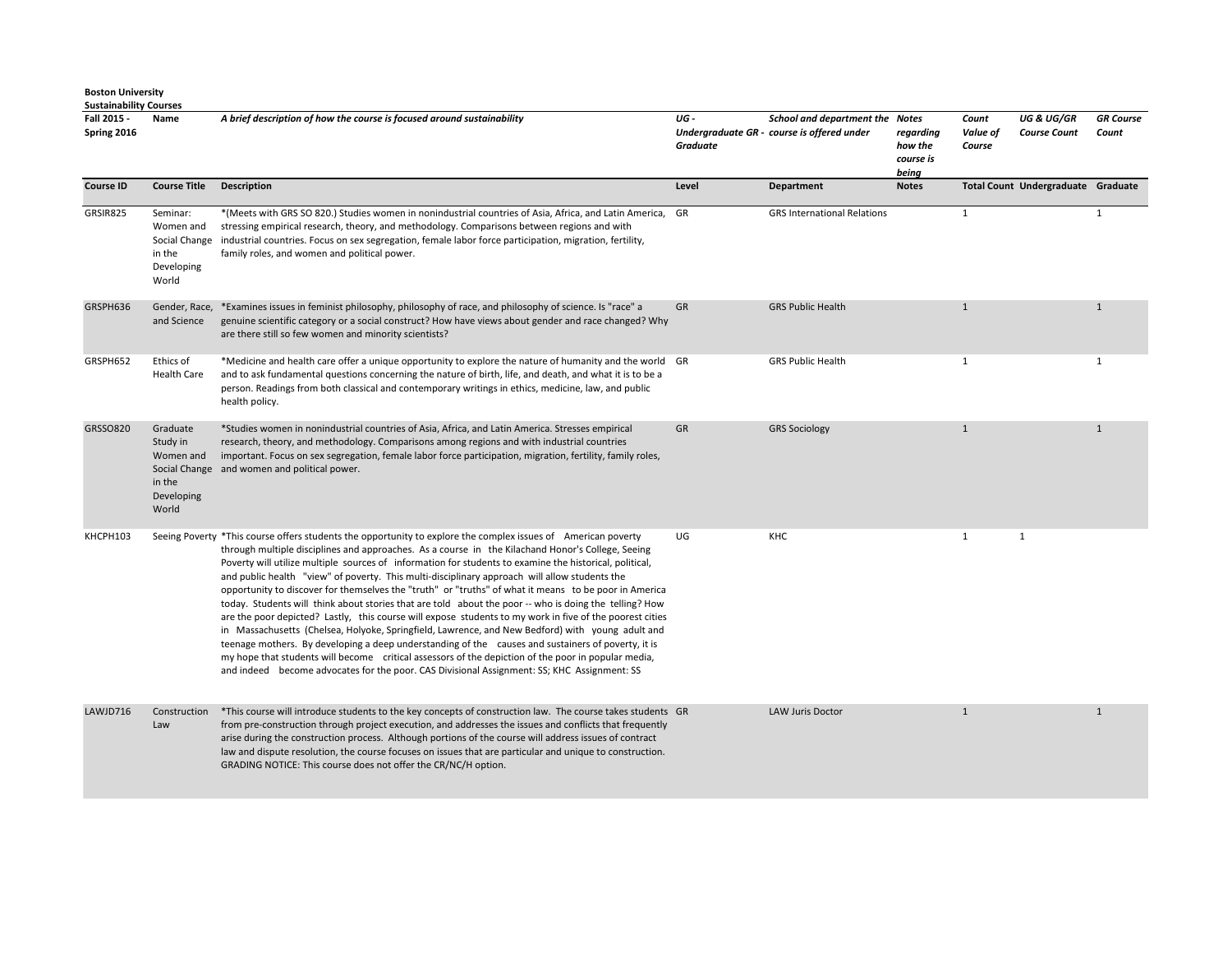**Fall 2015 - Spring 2016 Name** *A brief description of how the course is focused around sustainability UG - Undergraduate GR - course is offered under Graduate School and department the Notes regarding how the course is being Count Value of Course UG & UG/GR Course Count GR Course Count*  **Course ID Course Title Description Course ID Course Total Count Undergraduate** Graduate GRSIR825 Seminar: Women and Social Change in the Developing World \*(Meets with GRS SO 820.) Studies women in nonindustrial countries of Asia, Africa, and Latin America, stressing empirical research, theory, and methodology. Comparisons between regions and with industrial countries. Focus on sex segregation, female labor force participation, migration, fertility, family roles, and women and political power. GR GRS International Relations 1 1 GRSPH636 Gender, Race, \*Examines issues in feminist philosophy, philosophy of race, and philosophy of science. Is "race" a and Science genuine scientific category or a social construct? How have views about gender and race changed? Why are there still so few women and minority scientists? GR GRS Public Health 1 1 GRSPH652 Ethics of Health Care \*Medicine and health care offer a unique opportunity to explore the nature of humanity and the world and to ask fundamental questions concerning the nature of birth, life, and death, and what it is to be a person. Readings from both classical and contemporary writings in ethics, medicine, law, and public health policy. GR GRS Public Health 1 1 GRSSO820 Graduate Study in Women and Social Change and women and political power. in the Developing World \*Studies women in nonindustrial countries of Asia, Africa, and Latin America. Stresses empirical research, theory, and methodology. Comparisons among regions and with industrial countries important. Focus on sex segregation, female labor force participation, migration, fertility, family roles, GR GRS Sociology 1 1 KHCPH103 Seeing Poverty \*This course offers students the opportunity to explore the complex issues of American poverty through multiple disciplines and approaches. As a course in the Kilachand Honor's College, Seeing Poverty will utilize multiple sources of information for students to examine the historical, political, and public health "view" of poverty. This multi-disciplinary approach will allow students the opportunity to discover for themselves the "truth" or "truths" of what it means to be poor in America today. Students will think about stories that are told about the poor -- who is doing the telling? How are the poor depicted? Lastly, this course will expose students to my work in five of the poorest cities in Massachusetts (Chelsea, Holyoke, Springfield, Lawrence, and New Bedford) with young adult and teenage mothers. By developing a deep understanding of the causes and sustainers of poverty, it is my hope that students will become critical assessors of the depiction of the poor in popular media, and indeed become advocates for the poor. CAS Divisional Assignment: SS; KHC Assignment: SS UG KHC 1 1 LAWJD716 Construction Law \*This course will introduce students to the key concepts of construction law. The course takes students from pre-construction through project execution, and addresses the issues and conflicts that frequently arise during the construction process. Although portions of the course will address issues of contract law and dispute resolution, the course focuses on issues that are particular and unique to construction. GRADING NOTICE: This course does not offer the CR/NC/H option. GR LAW Juris Doctor 1 1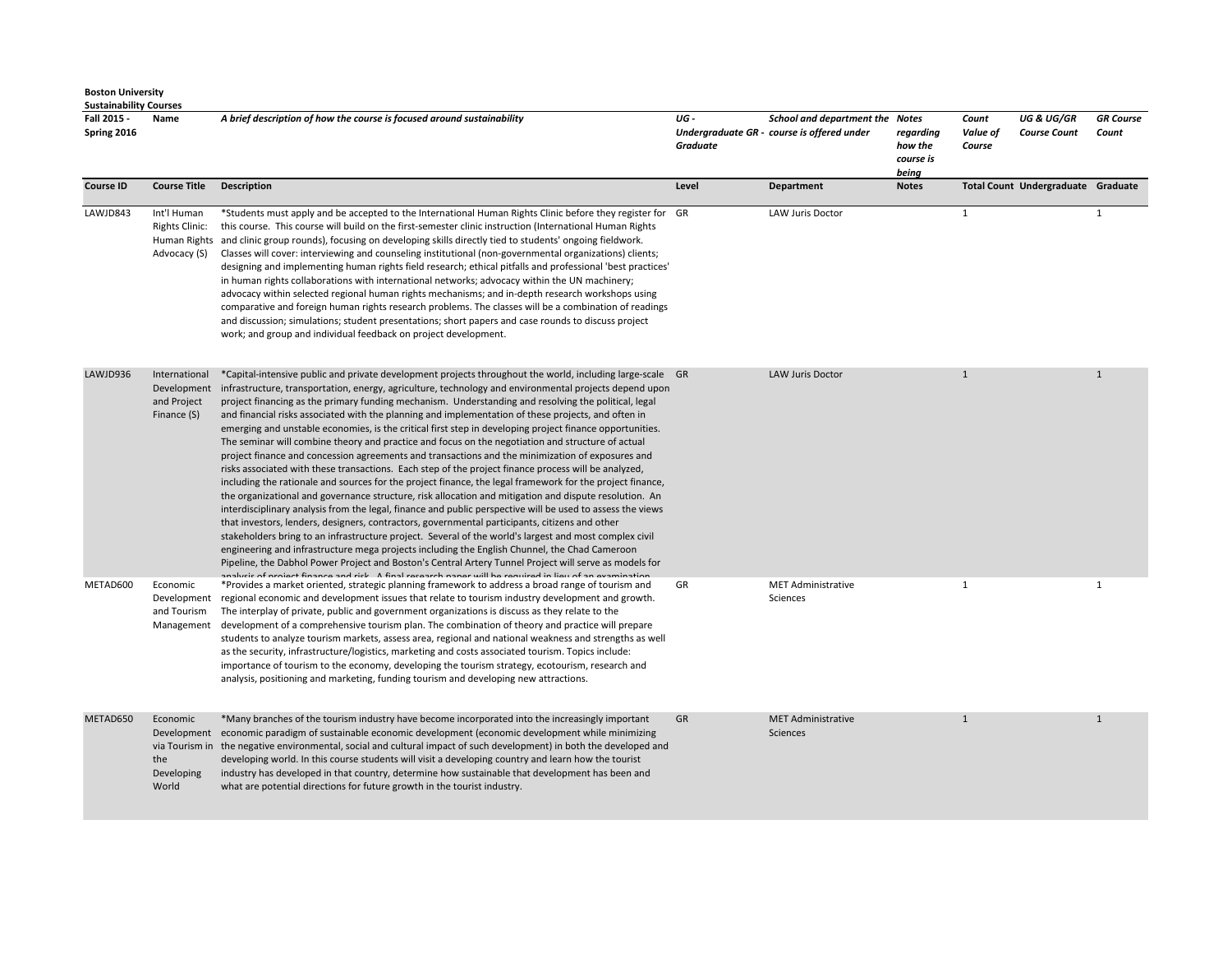| <b>Sustainability Courses</b> |                                                               |                                                                                                                                                                                                                                                                                                                                                                                                                                                                                                                                                                                                                                                                                                                                                                                                                                                                                                                                                                                                                                                                                                                                                                                                                                                                                                                                                                                                                                                                                                                                                                                                                                                                                                                                        |                  |                                                                               |                                            |                             |                                              |                           |
|-------------------------------|---------------------------------------------------------------|----------------------------------------------------------------------------------------------------------------------------------------------------------------------------------------------------------------------------------------------------------------------------------------------------------------------------------------------------------------------------------------------------------------------------------------------------------------------------------------------------------------------------------------------------------------------------------------------------------------------------------------------------------------------------------------------------------------------------------------------------------------------------------------------------------------------------------------------------------------------------------------------------------------------------------------------------------------------------------------------------------------------------------------------------------------------------------------------------------------------------------------------------------------------------------------------------------------------------------------------------------------------------------------------------------------------------------------------------------------------------------------------------------------------------------------------------------------------------------------------------------------------------------------------------------------------------------------------------------------------------------------------------------------------------------------------------------------------------------------|------------------|-------------------------------------------------------------------------------|--------------------------------------------|-----------------------------|----------------------------------------------|---------------------------|
| Fall 2015 -<br>Spring 2016    | Name                                                          | A brief description of how the course is focused around sustainability                                                                                                                                                                                                                                                                                                                                                                                                                                                                                                                                                                                                                                                                                                                                                                                                                                                                                                                                                                                                                                                                                                                                                                                                                                                                                                                                                                                                                                                                                                                                                                                                                                                                 | UG -<br>Graduate | School and department the Notes<br>Undergraduate GR - course is offered under | regarding<br>how the<br>course is<br>being | Count<br>Value of<br>Course | <b>UG &amp; UG/GR</b><br><b>Course Count</b> | <b>GR</b> Course<br>Count |
| <b>Course ID</b>              | <b>Course Title</b>                                           | <b>Description</b>                                                                                                                                                                                                                                                                                                                                                                                                                                                                                                                                                                                                                                                                                                                                                                                                                                                                                                                                                                                                                                                                                                                                                                                                                                                                                                                                                                                                                                                                                                                                                                                                                                                                                                                     | Level            | Department                                                                    | <b>Notes</b>                               |                             | Total Count Undergraduate Graduate           |                           |
| LAWJD843                      | Int'l Human<br>Rights Clinic:<br>Human Rights<br>Advocacy (S) | *Students must apply and be accepted to the International Human Rights Clinic before they register for GR<br>this course. This course will build on the first-semester clinic instruction (International Human Rights)<br>and clinic group rounds), focusing on developing skills directly tied to students' ongoing fieldwork.<br>Classes will cover: interviewing and counseling institutional (non-governmental organizations) clients;<br>designing and implementing human rights field research; ethical pitfalls and professional 'best practices'<br>in human rights collaborations with international networks; advocacy within the UN machinery;<br>advocacy within selected regional human rights mechanisms; and in-depth research workshops using<br>comparative and foreign human rights research problems. The classes will be a combination of readings<br>and discussion; simulations; student presentations; short papers and case rounds to discuss project<br>work; and group and individual feedback on project development.                                                                                                                                                                                                                                                                                                                                                                                                                                                                                                                                                                                                                                                                                       |                  | <b>LAW Juris Doctor</b>                                                       |                                            | $\mathbf{1}$                |                                              | 1                         |
| LAWJD936                      | International<br>Development<br>and Project<br>Finance (S)    | *Capital-intensive public and private development projects throughout the world, including large-scale GR<br>infrastructure, transportation, energy, agriculture, technology and environmental projects depend upon<br>project financing as the primary funding mechanism. Understanding and resolving the political, legal<br>and financial risks associated with the planning and implementation of these projects, and often in<br>emerging and unstable economies, is the critical first step in developing project finance opportunities.<br>The seminar will combine theory and practice and focus on the negotiation and structure of actual<br>project finance and concession agreements and transactions and the minimization of exposures and<br>risks associated with these transactions. Each step of the project finance process will be analyzed,<br>including the rationale and sources for the project finance, the legal framework for the project finance,<br>the organizational and governance structure, risk allocation and mitigation and dispute resolution. An<br>interdisciplinary analysis from the legal, finance and public perspective will be used to assess the views<br>that investors, lenders, designers, contractors, governmental participants, citizens and other<br>stakeholders bring to an infrastructure project. Several of the world's largest and most complex civil<br>engineering and infrastructure mega projects including the English Chunnel, the Chad Cameroon<br>Pipeline, the Dabhol Power Project and Boston's Central Artery Tunnel Project will serve as models for<br>analysis of project finance and risk. A final research naper will be required in lieu of an examination |                  | <b>LAW Juris Doctor</b>                                                       |                                            | $\mathbf{1}$                |                                              | $\mathbf{1}$              |
| METAD600                      | Economic<br>Development<br>and Tourism<br>Management          | *Provides a market oriented, strategic planning framework to address a broad range of tourism and<br>regional economic and development issues that relate to tourism industry development and growth.<br>The interplay of private, public and government organizations is discuss as they relate to the<br>development of a comprehensive tourism plan. The combination of theory and practice will prepare<br>students to analyze tourism markets, assess area, regional and national weakness and strengths as well<br>as the security, infrastructure/logistics, marketing and costs associated tourism. Topics include:<br>importance of tourism to the economy, developing the tourism strategy, ecotourism, research and<br>analysis, positioning and marketing, funding tourism and developing new attractions.                                                                                                                                                                                                                                                                                                                                                                                                                                                                                                                                                                                                                                                                                                                                                                                                                                                                                                                 | GR               | <b>MET Administrative</b><br>Sciences                                         |                                            | 1                           |                                              | 1                         |
| METAD650                      | Economic<br>the<br>Developing<br>World                        | *Many branches of the tourism industry have become incorporated into the increasingly important<br>Development economic paradigm of sustainable economic development (economic development while minimizing<br>via Tourism in the negative environmental, social and cultural impact of such development) in both the developed and<br>developing world. In this course students will visit a developing country and learn how the tourist<br>industry has developed in that country, determine how sustainable that development has been and<br>what are potential directions for future growth in the tourist industry.                                                                                                                                                                                                                                                                                                                                                                                                                                                                                                                                                                                                                                                                                                                                                                                                                                                                                                                                                                                                                                                                                                              | GR               | <b>MET Administrative</b><br><b>Sciences</b>                                  |                                            | $\mathbf{1}$                |                                              | $\mathbf{1}$              |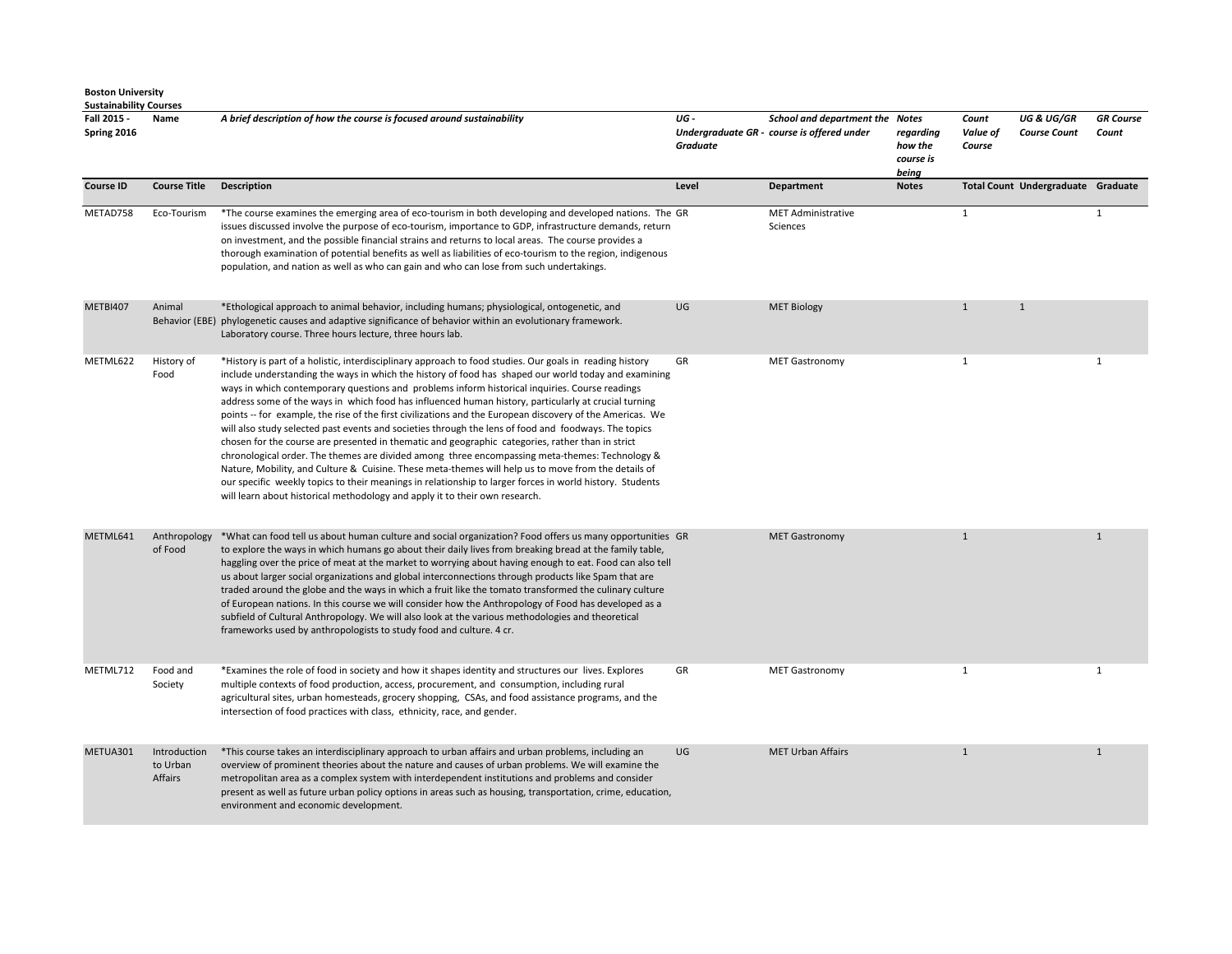|  | <b>Boston University</b> |
|--|--------------------------|
|--|--------------------------|

| <b>Sustainability Courses</b> |                                     |                                                                                                                                                                                                                                                                                                                                                                                                                                                                                                                                                                                                                                                                                                                                                                                                                                                                                                                                                                                                                                                                                                                                                         |                 |                                                                               |                                            |                             |                                              |                           |
|-------------------------------|-------------------------------------|---------------------------------------------------------------------------------------------------------------------------------------------------------------------------------------------------------------------------------------------------------------------------------------------------------------------------------------------------------------------------------------------------------------------------------------------------------------------------------------------------------------------------------------------------------------------------------------------------------------------------------------------------------------------------------------------------------------------------------------------------------------------------------------------------------------------------------------------------------------------------------------------------------------------------------------------------------------------------------------------------------------------------------------------------------------------------------------------------------------------------------------------------------|-----------------|-------------------------------------------------------------------------------|--------------------------------------------|-----------------------------|----------------------------------------------|---------------------------|
| Fall 2015 -<br>Spring 2016    | Name                                | A brief description of how the course is focused around sustainability                                                                                                                                                                                                                                                                                                                                                                                                                                                                                                                                                                                                                                                                                                                                                                                                                                                                                                                                                                                                                                                                                  | UG-<br>Graduate | School and department the Notes<br>Undergraduate GR - course is offered under | reaardina<br>how the<br>course is<br>being | Count<br>Value of<br>Course | <b>UG &amp; UG/GR</b><br><b>Course Count</b> | <b>GR</b> Course<br>Count |
| <b>Course ID</b>              | <b>Course Title</b>                 | <b>Description</b>                                                                                                                                                                                                                                                                                                                                                                                                                                                                                                                                                                                                                                                                                                                                                                                                                                                                                                                                                                                                                                                                                                                                      | Level           | <b>Department</b>                                                             | <b>Notes</b>                               |                             | Total Count Undergraduate Graduate           |                           |
| METAD758                      | Eco-Tourism                         | *The course examines the emerging area of eco-tourism in both developing and developed nations. The GR<br>issues discussed involve the purpose of eco-tourism, importance to GDP, infrastructure demands, return<br>on investment, and the possible financial strains and returns to local areas. The course provides a<br>thorough examination of potential benefits as well as liabilities of eco-tourism to the region, indigenous<br>population, and nation as well as who can gain and who can lose from such undertakings.                                                                                                                                                                                                                                                                                                                                                                                                                                                                                                                                                                                                                        |                 | <b>MET Administrative</b><br>Sciences                                         |                                            | $\mathbf{1}$                |                                              | $\mathbf{1}$              |
| <b>METBI407</b>               | Animal                              | *Ethological approach to animal behavior, including humans; physiological, ontogenetic, and<br>Behavior (EBE) phylogenetic causes and adaptive significance of behavior within an evolutionary framework.<br>Laboratory course. Three hours lecture, three hours lab.                                                                                                                                                                                                                                                                                                                                                                                                                                                                                                                                                                                                                                                                                                                                                                                                                                                                                   | UG              | <b>MET Biology</b>                                                            |                                            | $\mathbf{1}$                | $\mathbf{1}$                                 |                           |
| METML622                      | History of<br>Food                  | *History is part of a holistic, interdisciplinary approach to food studies. Our goals in reading history<br>include understanding the ways in which the history of food has shaped our world today and examining<br>ways in which contemporary questions and problems inform historical inquiries. Course readings<br>address some of the ways in which food has influenced human history, particularly at crucial turning<br>points -- for example, the rise of the first civilizations and the European discovery of the Americas. We<br>will also study selected past events and societies through the lens of food and foodways. The topics<br>chosen for the course are presented in thematic and geographic categories, rather than in strict<br>chronological order. The themes are divided among three encompassing meta-themes: Technology &<br>Nature, Mobility, and Culture & Cuisine. These meta-themes will help us to move from the details of<br>our specific weekly topics to their meanings in relationship to larger forces in world history. Students<br>will learn about historical methodology and apply it to their own research. | GR              | <b>MET Gastronomy</b>                                                         |                                            | 1                           |                                              | $\mathbf{1}$              |
| METML641                      | Anthropology<br>of Food             | *What can food tell us about human culture and social organization? Food offers us many opportunities GR<br>to explore the ways in which humans go about their daily lives from breaking bread at the family table,<br>haggling over the price of meat at the market to worrying about having enough to eat. Food can also tell<br>us about larger social organizations and global interconnections through products like Spam that are<br>traded around the globe and the ways in which a fruit like the tomato transformed the culinary culture<br>of European nations. In this course we will consider how the Anthropology of Food has developed as a<br>subfield of Cultural Anthropology. We will also look at the various methodologies and theoretical<br>frameworks used by anthropologists to study food and culture. 4 cr.                                                                                                                                                                                                                                                                                                                   |                 | <b>MET Gastronomy</b>                                                         |                                            | $\mathbf{1}$                |                                              | $\mathbf{1}$              |
| METML712                      | Food and<br>Society                 | *Examines the role of food in society and how it shapes identity and structures our lives. Explores<br>multiple contexts of food production, access, procurement, and consumption, including rural<br>agricultural sites, urban homesteads, grocery shopping, CSAs, and food assistance programs, and the<br>intersection of food practices with class, ethnicity, race, and gender.                                                                                                                                                                                                                                                                                                                                                                                                                                                                                                                                                                                                                                                                                                                                                                    | GR              | <b>MET Gastronomy</b>                                                         |                                            | 1                           |                                              | 1                         |
| METUA301                      | Introduction<br>to Urban<br>Affairs | *This course takes an interdisciplinary approach to urban affairs and urban problems, including an<br>overview of prominent theories about the nature and causes of urban problems. We will examine the<br>metropolitan area as a complex system with interdependent institutions and problems and consider<br>present as well as future urban policy options in areas such as housing, transportation, crime, education,<br>environment and economic development.                                                                                                                                                                                                                                                                                                                                                                                                                                                                                                                                                                                                                                                                                      | UG              | <b>MET Urban Affairs</b>                                                      |                                            | $\mathbf{1}$                |                                              | $\mathbf{1}$              |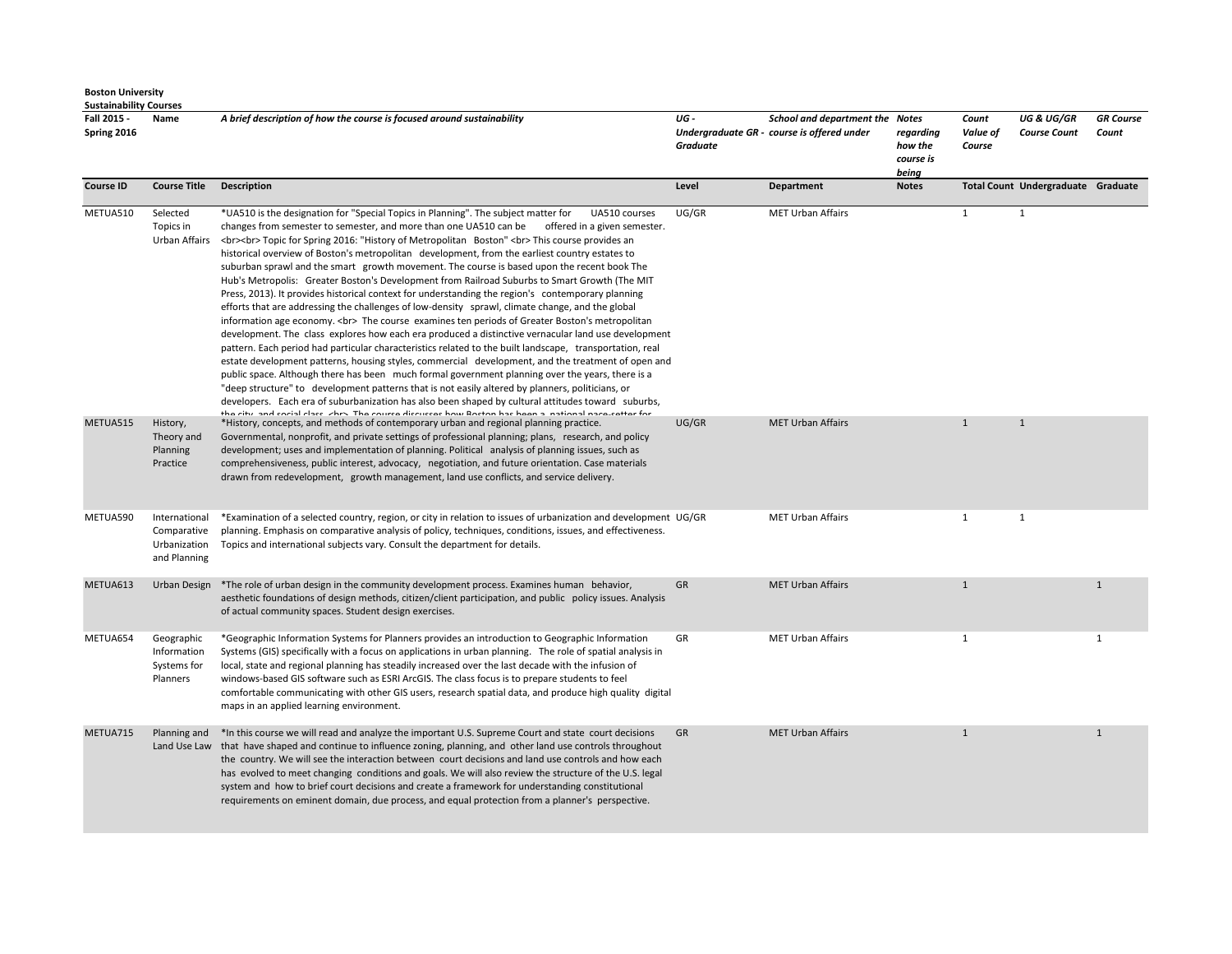| <b>Boston University</b>      |
|-------------------------------|
| <b>Sustainability Courses</b> |

| Fall 2015 -<br>Spring 2016 | Name                                                         | A brief description of how the course is focused around sustainability                                                                                                                                                                                                                                                                                                                                                                                                                                                                                                                                                                                                                                                                                                                                                                                                                                                                                                                                                                                                                                                                                                                                                                                                                                                                                                                                                                                                                                                                                                                                                                                                          | UG-<br>Graduate | School and department the Notes<br>Undergraduate GR - course is offered under | regarding<br>how the<br>course is<br>being | Count<br>Value of<br>Course | <b>UG &amp; UG/GR</b><br><b>Course Count</b> | <b>GR</b> Course<br>Count |
|----------------------------|--------------------------------------------------------------|---------------------------------------------------------------------------------------------------------------------------------------------------------------------------------------------------------------------------------------------------------------------------------------------------------------------------------------------------------------------------------------------------------------------------------------------------------------------------------------------------------------------------------------------------------------------------------------------------------------------------------------------------------------------------------------------------------------------------------------------------------------------------------------------------------------------------------------------------------------------------------------------------------------------------------------------------------------------------------------------------------------------------------------------------------------------------------------------------------------------------------------------------------------------------------------------------------------------------------------------------------------------------------------------------------------------------------------------------------------------------------------------------------------------------------------------------------------------------------------------------------------------------------------------------------------------------------------------------------------------------------------------------------------------------------|-----------------|-------------------------------------------------------------------------------|--------------------------------------------|-----------------------------|----------------------------------------------|---------------------------|
| <b>Course ID</b>           | <b>Course Title</b>                                          | <b>Description</b>                                                                                                                                                                                                                                                                                                                                                                                                                                                                                                                                                                                                                                                                                                                                                                                                                                                                                                                                                                                                                                                                                                                                                                                                                                                                                                                                                                                                                                                                                                                                                                                                                                                              | Level           | <b>Department</b>                                                             | <b>Notes</b>                               |                             | Total Count Undergraduate Graduate           |                           |
| METUA510                   | Selected<br>Topics in<br>Urban Affairs                       | *UA510 is the designation for "Special Topics in Planning". The subject matter for<br>UA510 courses<br>changes from semester to semester, and more than one UA510 can be<br>offered in a given semester.<br><br>>br> Topic for Spring 2016: "History of Metropolitan Boston"<br><br>><br>This course provides an<br>historical overview of Boston's metropolitan development, from the earliest country estates to<br>suburban sprawl and the smart growth movement. The course is based upon the recent book The<br>Hub's Metropolis: Greater Boston's Development from Railroad Suburbs to Smart Growth (The MIT<br>Press, 2013). It provides historical context for understanding the region's contemporary planning<br>efforts that are addressing the challenges of low-density sprawl, climate change, and the global<br>information age economy.<br>>>> The course examines ten periods of Greater Boston's metropolitan<br>development. The class explores how each era produced a distinctive vernacular land use development<br>pattern. Each period had particular characteristics related to the built landscape, transportation, real<br>estate development patterns, housing styles, commercial development, and the treatment of open and<br>public space. Although there has been much formal government planning over the years, there is a<br>"deep structure" to development patterns that is not easily altered by planners, politicians, or<br>developers. Each era of suburbanization has also been shaped by cultural attitudes toward suburbs,<br>the city and cocial class. She's The course discusses how Docton has been a inational nase setter for | UG/GR           | <b>MET Urban Affairs</b>                                                      |                                            | 1                           | $\mathbf{1}$                                 |                           |
| METUA515                   | History,<br>Theory and<br>Planning<br>Practice               | *History, concepts, and methods of contemporary urban and regional planning practice.<br>Governmental, nonprofit, and private settings of professional planning; plans, research, and policy<br>development; uses and implementation of planning. Political analysis of planning issues, such as<br>comprehensiveness, public interest, advocacy, negotiation, and future orientation. Case materials<br>drawn from redevelopment, growth management, land use conflicts, and service delivery.                                                                                                                                                                                                                                                                                                                                                                                                                                                                                                                                                                                                                                                                                                                                                                                                                                                                                                                                                                                                                                                                                                                                                                                 | UG/GR           | <b>MET Urban Affairs</b>                                                      |                                            | $\mathbf{1}$                | $\mathbf{1}$                                 |                           |
| METUA590                   | International<br>Comparative<br>Urbanization<br>and Planning | *Examination of a selected country, region, or city in relation to issues of urbanization and development UG/GR<br>planning. Emphasis on comparative analysis of policy, techniques, conditions, issues, and effectiveness.<br>Topics and international subjects vary. Consult the department for details.                                                                                                                                                                                                                                                                                                                                                                                                                                                                                                                                                                                                                                                                                                                                                                                                                                                                                                                                                                                                                                                                                                                                                                                                                                                                                                                                                                      |                 | <b>MET Urban Affairs</b>                                                      |                                            | $\mathbf{1}$                | <sup>1</sup>                                 |                           |
| METUA613                   | Urban Design                                                 | *The role of urban design in the community development process. Examines human behavior,<br>aesthetic foundations of design methods, citizen/client participation, and public policy issues. Analysis<br>of actual community spaces. Student design exercises.                                                                                                                                                                                                                                                                                                                                                                                                                                                                                                                                                                                                                                                                                                                                                                                                                                                                                                                                                                                                                                                                                                                                                                                                                                                                                                                                                                                                                  | GR              | <b>MET Urban Affairs</b>                                                      |                                            | $\mathbf{1}$                |                                              | $\mathbf{1}$              |
| METUA654                   | Geographic<br>Information<br>Systems for<br>Planners         | *Geographic Information Systems for Planners provides an introduction to Geographic Information<br>Systems (GIS) specifically with a focus on applications in urban planning. The role of spatial analysis in<br>local, state and regional planning has steadily increased over the last decade with the infusion of<br>windows-based GIS software such as ESRI ArcGIS. The class focus is to prepare students to feel<br>comfortable communicating with other GIS users, research spatial data, and produce high quality digital<br>maps in an applied learning environment.                                                                                                                                                                                                                                                                                                                                                                                                                                                                                                                                                                                                                                                                                                                                                                                                                                                                                                                                                                                                                                                                                                   | GR              | <b>MET Urban Affairs</b>                                                      |                                            | 1                           |                                              | $\mathbf{1}$              |
| METUA715                   | Planning and                                                 | *In this course we will read and analyze the important U.S. Supreme Court and state court decisions<br>Land Use Law that have shaped and continue to influence zoning, planning, and other land use controls throughout<br>the country. We will see the interaction between court decisions and land use controls and how each<br>has evolved to meet changing conditions and goals. We will also review the structure of the U.S. legal<br>system and how to brief court decisions and create a framework for understanding constitutional<br>requirements on eminent domain, due process, and equal protection from a planner's perspective.                                                                                                                                                                                                                                                                                                                                                                                                                                                                                                                                                                                                                                                                                                                                                                                                                                                                                                                                                                                                                                  | GR              | <b>MET Urban Affairs</b>                                                      |                                            | $\mathbf{1}$                |                                              | $\mathbf{1}$              |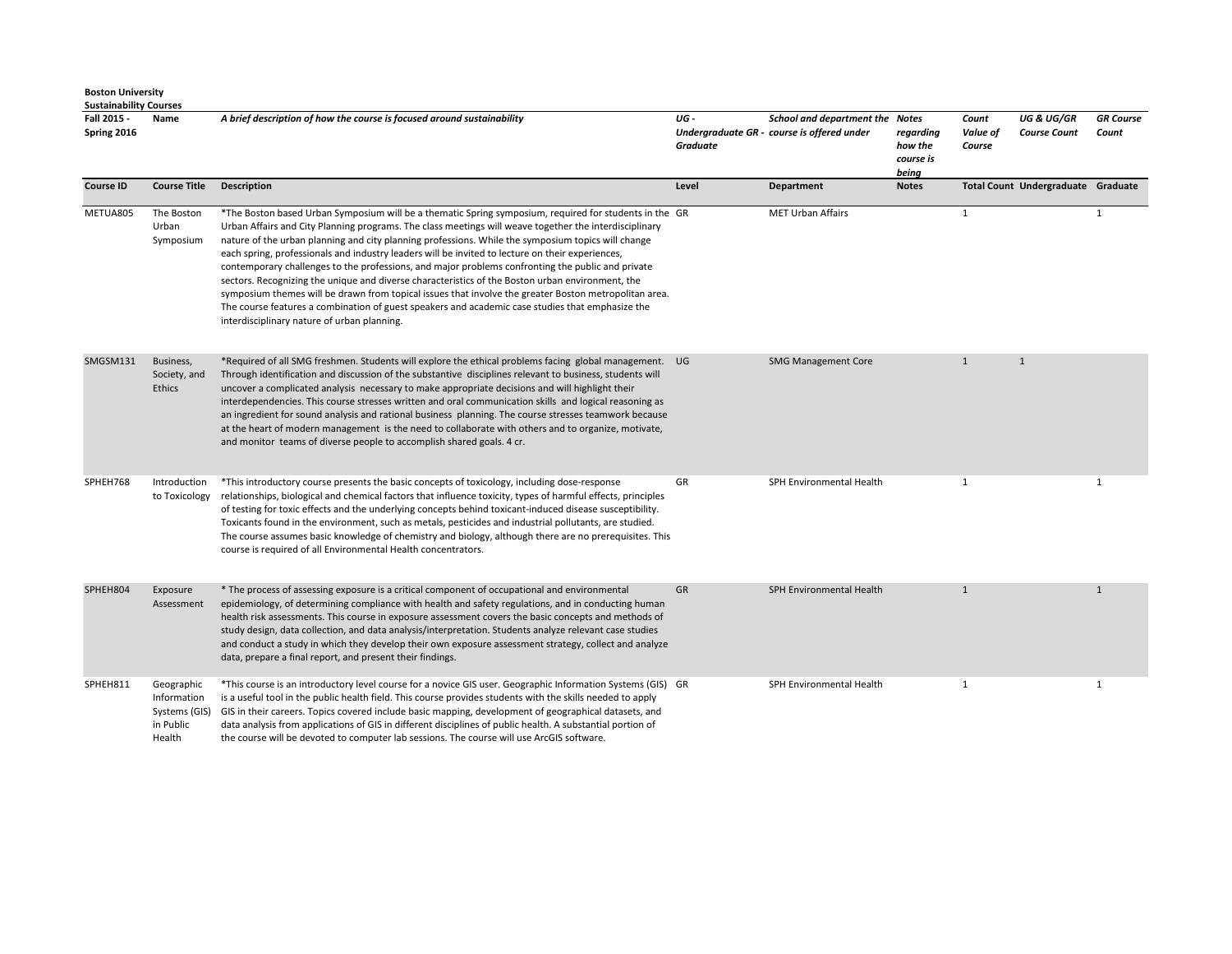| <b>Sustainability Courses</b><br>Fall 2015 -<br>Spring 2016 | Name                                                                                          | A brief description of how the course is focused around sustainability                                                                                                                                                                                                                                                                                                                                                                                                                                                                                                                                                                                                                                                                                                                                                                                                                          | UG -<br>Graduate | School and department the Notes<br>Undergraduate GR - course is offered under | regarding<br>how the<br>course is<br>being | Count<br>Value of<br>Course | <b>UG &amp; UG/GR</b><br><b>Course Count</b> | <b>GR</b> Course<br>Count |
|-------------------------------------------------------------|-----------------------------------------------------------------------------------------------|-------------------------------------------------------------------------------------------------------------------------------------------------------------------------------------------------------------------------------------------------------------------------------------------------------------------------------------------------------------------------------------------------------------------------------------------------------------------------------------------------------------------------------------------------------------------------------------------------------------------------------------------------------------------------------------------------------------------------------------------------------------------------------------------------------------------------------------------------------------------------------------------------|------------------|-------------------------------------------------------------------------------|--------------------------------------------|-----------------------------|----------------------------------------------|---------------------------|
| <b>Course ID</b>                                            | <b>Course Title</b>                                                                           | <b>Description</b>                                                                                                                                                                                                                                                                                                                                                                                                                                                                                                                                                                                                                                                                                                                                                                                                                                                                              | Level            | Department                                                                    | <b>Notes</b>                               |                             | Total Count Undergraduate Graduate           |                           |
| METUA805                                                    | The Boston<br>Urban<br>Symposium                                                              | *The Boston based Urban Symposium will be a thematic Spring symposium, required for students in the GR<br>Urban Affairs and City Planning programs. The class meetings will weave together the interdisciplinary<br>nature of the urban planning and city planning professions. While the symposium topics will change<br>each spring, professionals and industry leaders will be invited to lecture on their experiences,<br>contemporary challenges to the professions, and major problems confronting the public and private<br>sectors. Recognizing the unique and diverse characteristics of the Boston urban environment, the<br>symposium themes will be drawn from topical issues that involve the greater Boston metropolitan area.<br>The course features a combination of guest speakers and academic case studies that emphasize the<br>interdisciplinary nature of urban planning. |                  | <b>MET Urban Affairs</b>                                                      |                                            | 1                           |                                              | $\mathbf{1}$              |
| SMGSM131                                                    | Business,<br>Society, and<br><b>Ethics</b>                                                    | *Required of all SMG freshmen. Students will explore the ethical problems facing global management. UG<br>Through identification and discussion of the substantive disciplines relevant to business, students will<br>uncover a complicated analysis necessary to make appropriate decisions and will highlight their<br>interdependencies. This course stresses written and oral communication skills and logical reasoning as<br>an ingredient for sound analysis and rational business planning. The course stresses teamwork because<br>at the heart of modern management is the need to collaborate with others and to organize, motivate,<br>and monitor teams of diverse people to accomplish shared goals. 4 cr.                                                                                                                                                                        |                  | <b>SMG Management Core</b>                                                    |                                            | $\mathbf{1}$                | $\mathbf{1}$                                 |                           |
| SPHEH768                                                    | Introduction<br>to Toxicology                                                                 | *This introductory course presents the basic concepts of toxicology, including dose-response<br>relationships, biological and chemical factors that influence toxicity, types of harmful effects, principles<br>of testing for toxic effects and the underlying concepts behind toxicant-induced disease susceptibility.<br>Toxicants found in the environment, such as metals, pesticides and industrial pollutants, are studied.<br>The course assumes basic knowledge of chemistry and biology, although there are no prerequisites. This<br>course is required of all Environmental Health concentrators.                                                                                                                                                                                                                                                                                   | GR               | SPH Environmental Health                                                      |                                            | -1                          |                                              | $\mathbf{1}$              |
| SPHEH804                                                    | Exposure<br>Assessment                                                                        | * The process of assessing exposure is a critical component of occupational and environmental<br>epidemiology, of determining compliance with health and safety regulations, and in conducting human<br>health risk assessments. This course in exposure assessment covers the basic concepts and methods of<br>study design, data collection, and data analysis/interpretation. Students analyze relevant case studies<br>and conduct a study in which they develop their own exposure assessment strategy, collect and analyze<br>data, prepare a final report, and present their findings.                                                                                                                                                                                                                                                                                                   | GR               | SPH Environmental Health                                                      |                                            | $\mathbf{1}$                |                                              | $\mathbf{1}$              |
| SPHEH811                                                    | Geographic<br>Information<br>Systems (GIS)<br>in Public<br>$U_{\alpha\alpha}$ <sub>l</sub> +h | *This course is an introductory level course for a novice GIS user. Geographic Information Systems (GIS) GR<br>is a useful tool in the public health field. This course provides students with the skills needed to apply<br>GIS in their careers. Topics covered include basic mapping, development of geographical datasets, and<br>data analysis from applications of GIS in different disciplines of public health. A substantial portion of<br>the course will be deveted to computer lab cossions. The course will use ArcCIS seftware                                                                                                                                                                                                                                                                                                                                                    |                  | SPH Environmental Health                                                      |                                            | 1                           |                                              | 1                         |

Health the course will be devoted to computer lab sessions. The course will use ArcGIS software.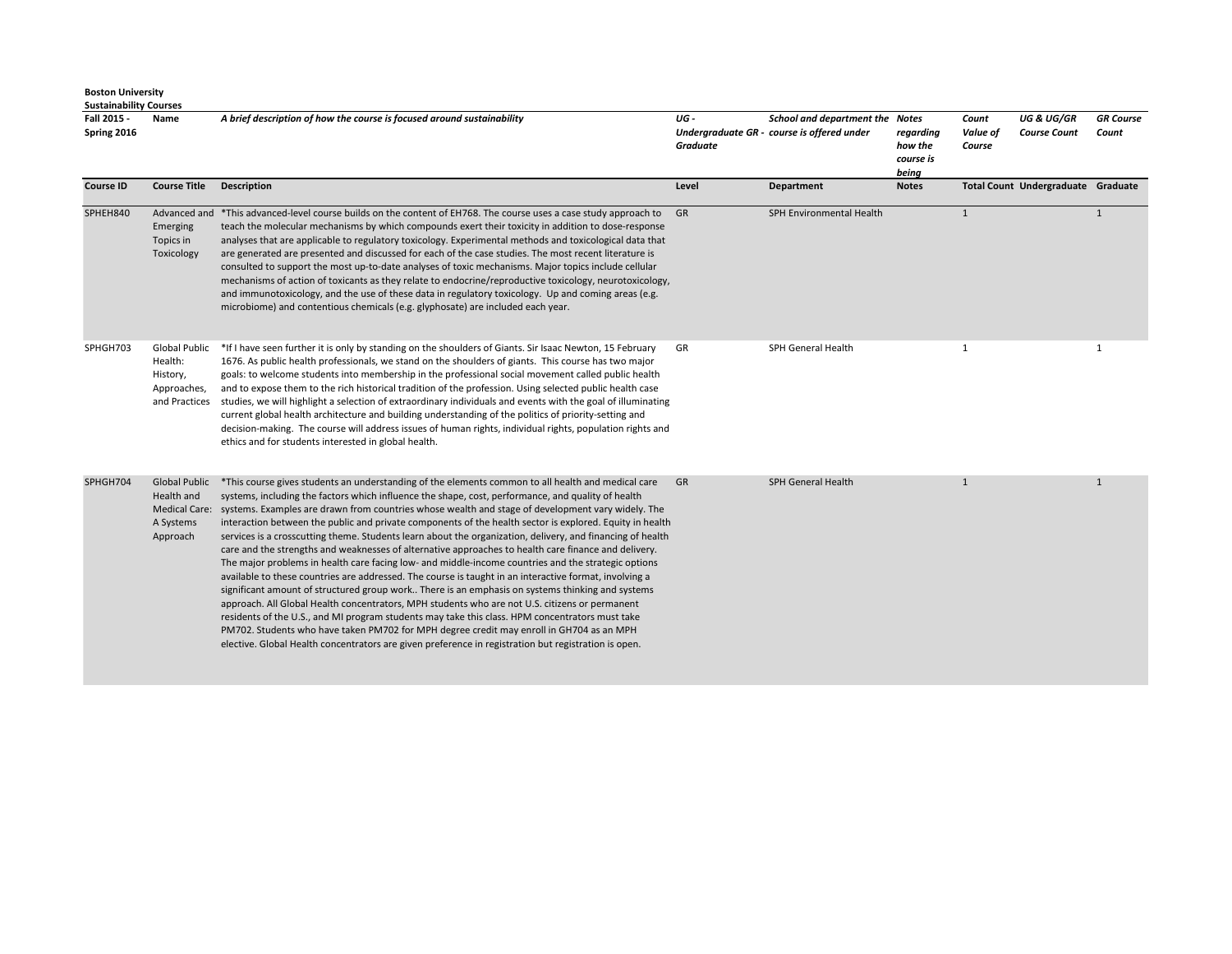| Fall 2015 -<br>Spring 2016 | Name                                                                                | A brief description of how the course is focused around sustainability                                                                                                                                                                                                                                                                                                                                                                                                                                                                                                                                                                                                                                                                                                                                                                                                                                                                                                                                                                                                                                                                                                                                                                                                                                                                                                        | UG-<br><b>Graduate</b> | <b>School and department the Notes</b><br>Undergraduate GR - course is offered under | regarding<br>how the<br>course is<br>being | Count<br>Value of<br>Course | <b>UG &amp; UG/GR</b><br><b>Course Count</b> | <b>GR</b> Course<br>Count |
|----------------------------|-------------------------------------------------------------------------------------|-------------------------------------------------------------------------------------------------------------------------------------------------------------------------------------------------------------------------------------------------------------------------------------------------------------------------------------------------------------------------------------------------------------------------------------------------------------------------------------------------------------------------------------------------------------------------------------------------------------------------------------------------------------------------------------------------------------------------------------------------------------------------------------------------------------------------------------------------------------------------------------------------------------------------------------------------------------------------------------------------------------------------------------------------------------------------------------------------------------------------------------------------------------------------------------------------------------------------------------------------------------------------------------------------------------------------------------------------------------------------------|------------------------|--------------------------------------------------------------------------------------|--------------------------------------------|-----------------------------|----------------------------------------------|---------------------------|
| <b>Course ID</b>           | <b>Course Title</b>                                                                 | <b>Description</b>                                                                                                                                                                                                                                                                                                                                                                                                                                                                                                                                                                                                                                                                                                                                                                                                                                                                                                                                                                                                                                                                                                                                                                                                                                                                                                                                                            | Level                  | Department                                                                           | <b>Notes</b>                               |                             | Total Count Undergraduate Graduate           |                           |
| SPHEH840                   | Advanced and<br>Emerging<br>Topics in<br>Toxicology                                 | *This advanced-level course builds on the content of EH768. The course uses a case study approach to<br>teach the molecular mechanisms by which compounds exert their toxicity in addition to dose-response<br>analyses that are applicable to regulatory toxicology. Experimental methods and toxicological data that<br>are generated are presented and discussed for each of the case studies. The most recent literature is<br>consulted to support the most up-to-date analyses of toxic mechanisms. Major topics include cellular<br>mechanisms of action of toxicants as they relate to endocrine/reproductive toxicology, neurotoxicology,<br>and immunotoxicology, and the use of these data in regulatory toxicology. Up and coming areas (e.g.<br>microbiome) and contentious chemicals (e.g. glyphosate) are included each year.                                                                                                                                                                                                                                                                                                                                                                                                                                                                                                                                  | - GR                   | SPH Environmental Health                                                             |                                            | $\mathbf{1}$                |                                              | $\mathbf{1}$              |
| SPHGH703                   | Global Public<br>Health:<br>History,<br>Approaches,<br>and Practices                | *If I have seen further it is only by standing on the shoulders of Giants. Sir Isaac Newton, 15 February<br>1676. As public health professionals, we stand on the shoulders of giants. This course has two major<br>goals: to welcome students into membership in the professional social movement called public health<br>and to expose them to the rich historical tradition of the profession. Using selected public health case<br>studies, we will highlight a selection of extraordinary individuals and events with the goal of illuminating<br>current global health architecture and building understanding of the politics of priority-setting and<br>decision-making. The course will address issues of human rights, individual rights, population rights and<br>ethics and for students interested in global health.                                                                                                                                                                                                                                                                                                                                                                                                                                                                                                                                             | GR                     | SPH General Health                                                                   |                                            | 1                           |                                              | 1                         |
| SPHGH704                   | <b>Global Public</b><br>Health and<br><b>Medical Care:</b><br>A Systems<br>Approach | *This course gives students an understanding of the elements common to all health and medical care<br>systems, including the factors which influence the shape, cost, performance, and quality of health<br>systems. Examples are drawn from countries whose wealth and stage of development vary widely. The<br>interaction between the public and private components of the health sector is explored. Equity in health<br>services is a crosscutting theme. Students learn about the organization, delivery, and financing of health<br>care and the strengths and weaknesses of alternative approaches to health care finance and delivery.<br>The major problems in health care facing low- and middle-income countries and the strategic options<br>available to these countries are addressed. The course is taught in an interactive format, involving a<br>significant amount of structured group work There is an emphasis on systems thinking and systems<br>approach. All Global Health concentrators, MPH students who are not U.S. citizens or permanent<br>residents of the U.S., and MI program students may take this class. HPM concentrators must take<br>PM702. Students who have taken PM702 for MPH degree credit may enroll in GH704 as an MPH<br>elective. Global Health concentrators are given preference in registration but registration is open. | GR                     | <b>SPH General Health</b>                                                            |                                            | $\mathbf{1}$                |                                              | $\mathbf{1}$              |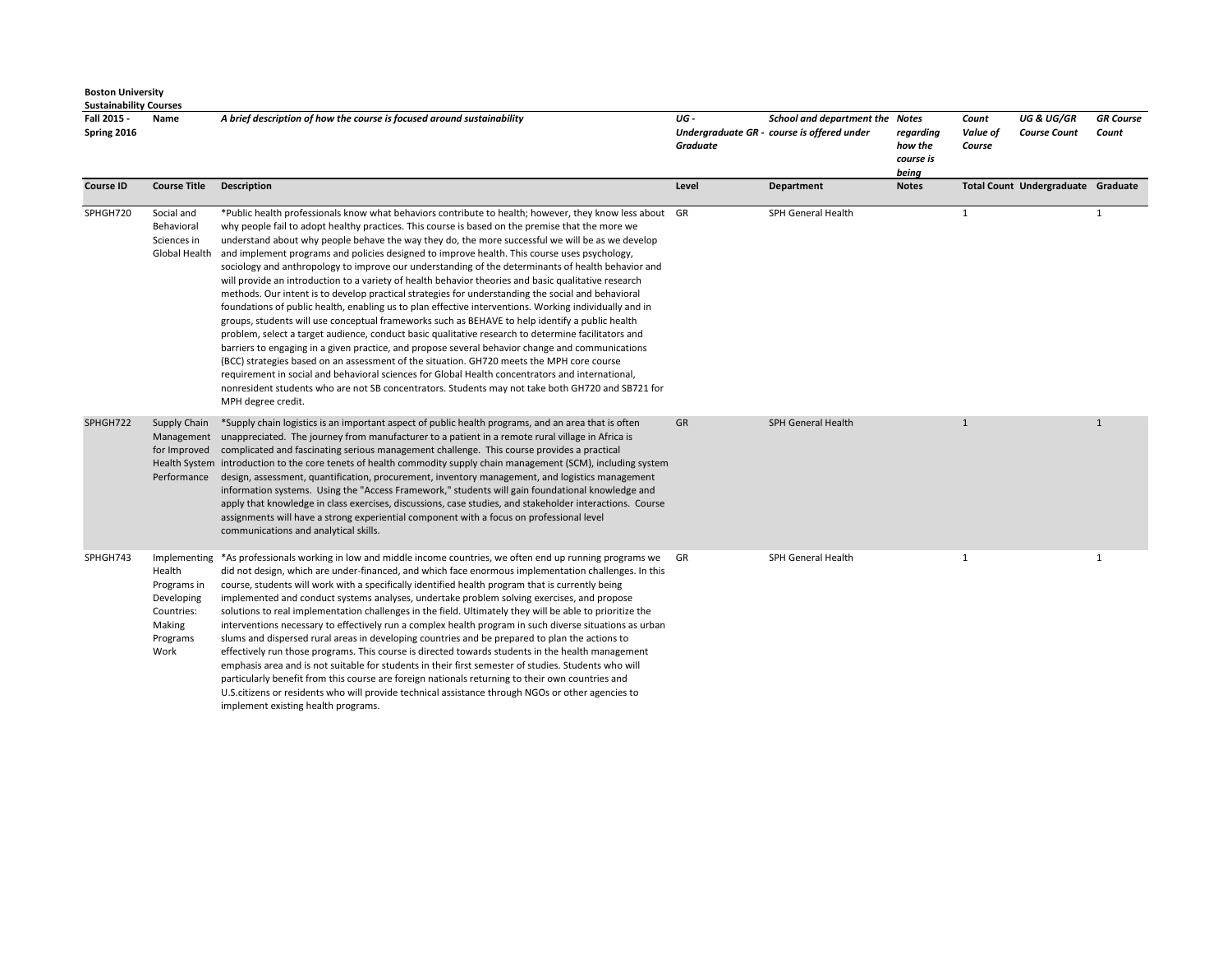| ,,,,,,,,,,,,,,,,,<br>Fall 2015 -<br>Spring 2016 | Name                                                                                            | A brief description of how the course is focused around sustainability                                                                                                                                                                                                                                                                                                                                                                                                                                                                                                                                                                                                                                                                                                                                                                                                                                                                                                                                                                                                                                                                                                                                                                                                                                                                                                                                                                                                                  | UG -<br>Graduate | School and department the Notes<br>Undergraduate GR - course is offered under | regarding<br>how the<br>course is<br>being | Count<br>Value of<br>Course | <b>UG &amp; UG/GR</b><br><b>Course Count</b> | <b>GR</b> Course<br>Count |
|-------------------------------------------------|-------------------------------------------------------------------------------------------------|-----------------------------------------------------------------------------------------------------------------------------------------------------------------------------------------------------------------------------------------------------------------------------------------------------------------------------------------------------------------------------------------------------------------------------------------------------------------------------------------------------------------------------------------------------------------------------------------------------------------------------------------------------------------------------------------------------------------------------------------------------------------------------------------------------------------------------------------------------------------------------------------------------------------------------------------------------------------------------------------------------------------------------------------------------------------------------------------------------------------------------------------------------------------------------------------------------------------------------------------------------------------------------------------------------------------------------------------------------------------------------------------------------------------------------------------------------------------------------------------|------------------|-------------------------------------------------------------------------------|--------------------------------------------|-----------------------------|----------------------------------------------|---------------------------|
| <b>Course ID</b>                                | <b>Course Title</b>                                                                             | <b>Description</b>                                                                                                                                                                                                                                                                                                                                                                                                                                                                                                                                                                                                                                                                                                                                                                                                                                                                                                                                                                                                                                                                                                                                                                                                                                                                                                                                                                                                                                                                      | Level            | Department                                                                    | <b>Notes</b>                               |                             | Total Count Undergraduate Graduate           |                           |
| SPHGH720                                        | Social and<br>Behavioral<br>Sciences in<br>Global Health                                        | *Public health professionals know what behaviors contribute to health; however, they know less about GR<br>why people fail to adopt healthy practices. This course is based on the premise that the more we<br>understand about why people behave the way they do, the more successful we will be as we develop<br>and implement programs and policies designed to improve health. This course uses psychology,<br>sociology and anthropology to improve our understanding of the determinants of health behavior and<br>will provide an introduction to a variety of health behavior theories and basic qualitative research<br>methods. Our intent is to develop practical strategies for understanding the social and behavioral<br>foundations of public health, enabling us to plan effective interventions. Working individually and in<br>groups, students will use conceptual frameworks such as BEHAVE to help identify a public health<br>problem, select a target audience, conduct basic qualitative research to determine facilitators and<br>barriers to engaging in a given practice, and propose several behavior change and communications<br>(BCC) strategies based on an assessment of the situation. GH720 meets the MPH core course<br>requirement in social and behavioral sciences for Global Health concentrators and international,<br>nonresident students who are not SB concentrators. Students may not take both GH720 and SB721 for<br>MPH degree credit. |                  | SPH General Health                                                            |                                            | $\mathbf{1}$                |                                              | 1                         |
| SPHGH722                                        | Supply Chain<br>for Improved<br>Performance                                                     | *Supply chain logistics is an important aspect of public health programs, and an area that is often<br>Management unappreciated. The journey from manufacturer to a patient in a remote rural village in Africa is<br>complicated and fascinating serious management challenge. This course provides a practical<br>Health System introduction to the core tenets of health commodity supply chain management (SCM), including system<br>design, assessment, quantification, procurement, inventory management, and logistics management<br>information systems. Using the "Access Framework," students will gain foundational knowledge and<br>apply that knowledge in class exercises, discussions, case studies, and stakeholder interactions. Course<br>assignments will have a strong experiential component with a focus on professional level<br>communications and analytical skills.                                                                                                                                                                                                                                                                                                                                                                                                                                                                                                                                                                                           | <b>GR</b>        | <b>SPH General Health</b>                                                     |                                            | $\mathbf{1}$                |                                              | $\mathbf{1}$              |
| SPHGH743                                        | Implementing<br>Health<br>Programs in<br>Developing<br>Countries:<br>Making<br>Programs<br>Work | *As professionals working in low and middle income countries, we often end up running programs we GR<br>did not design, which are under-financed, and which face enormous implementation challenges. In this<br>course, students will work with a specifically identified health program that is currently being<br>implemented and conduct systems analyses, undertake problem solving exercises, and propose<br>solutions to real implementation challenges in the field. Ultimately they will be able to prioritize the<br>interventions necessary to effectively run a complex health program in such diverse situations as urban<br>slums and dispersed rural areas in developing countries and be prepared to plan the actions to<br>effectively run those programs. This course is directed towards students in the health management<br>emphasis area and is not suitable for students in their first semester of studies. Students who will<br>particularly benefit from this course are foreign nationals returning to their own countries and<br>U.S. citizens or residents who will provide technical assistance through NGOs or other agencies to<br>implement existing health programs.                                                                                                                                                                                                                                                                                   |                  | SPH General Health                                                            |                                            | $\mathbf{1}$                |                                              | $\mathbf{1}$              |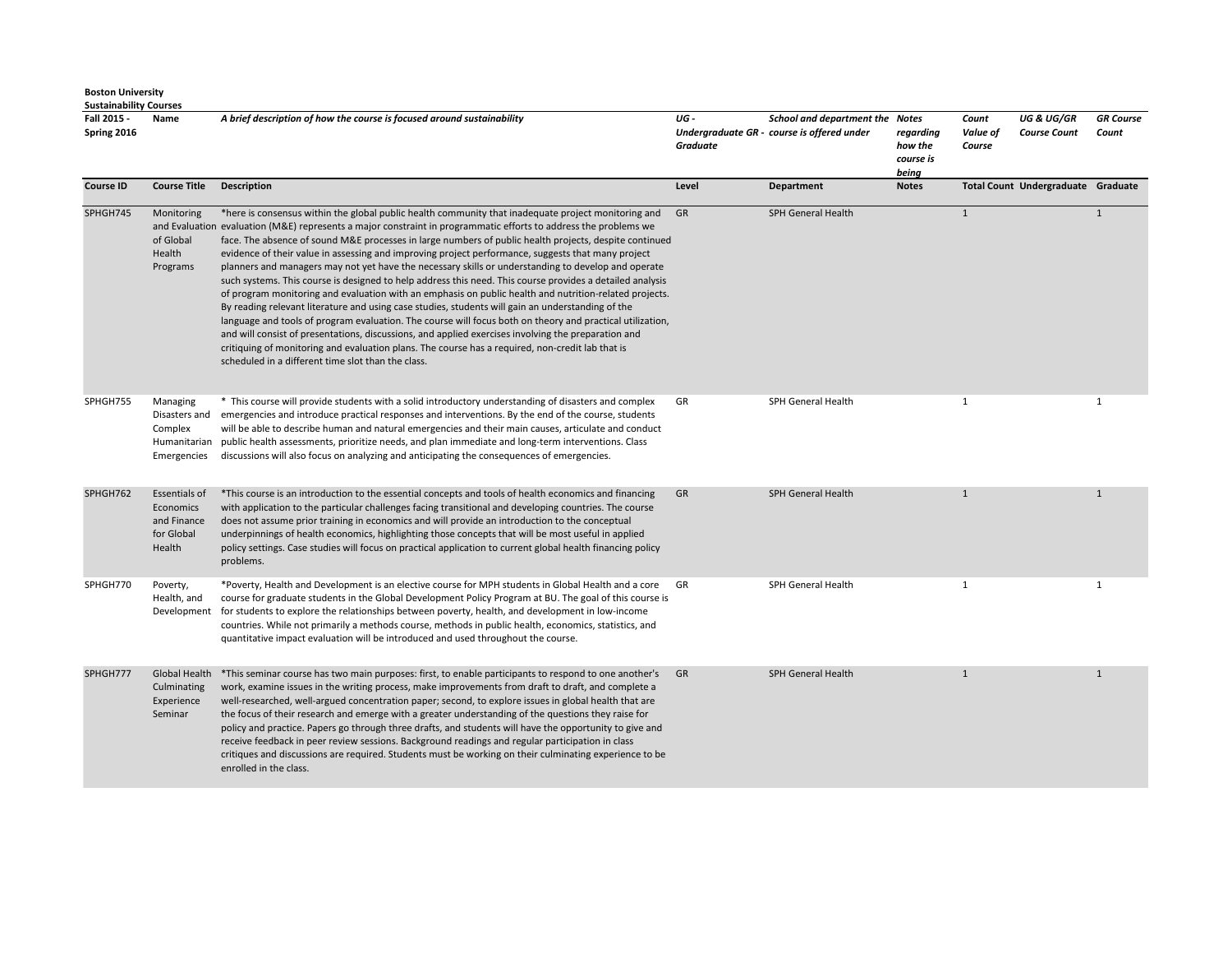| Fall 2015 -<br>Spring 2016 | Name                                                                | A brief description of how the course is focused around sustainability                                                                                                                                                                                                                                                                                                                                                                                                                                                                                                                                                                                                                                                                                                                                                                                                                                                                                                                                                                                                                                                                                                                                                                                   | UG -<br><b>Graduate</b> | School and department the Notes<br>Undergraduate GR - course is offered under | regarding<br>how the<br>course is<br>being | Count<br>Value of<br>Course | <b>UG &amp; UG/GR</b><br><b>Course Count</b> | <b>GR</b> Course<br>Count |
|----------------------------|---------------------------------------------------------------------|----------------------------------------------------------------------------------------------------------------------------------------------------------------------------------------------------------------------------------------------------------------------------------------------------------------------------------------------------------------------------------------------------------------------------------------------------------------------------------------------------------------------------------------------------------------------------------------------------------------------------------------------------------------------------------------------------------------------------------------------------------------------------------------------------------------------------------------------------------------------------------------------------------------------------------------------------------------------------------------------------------------------------------------------------------------------------------------------------------------------------------------------------------------------------------------------------------------------------------------------------------|-------------------------|-------------------------------------------------------------------------------|--------------------------------------------|-----------------------------|----------------------------------------------|---------------------------|
| <b>Course ID</b>           | <b>Course Title</b>                                                 | <b>Description</b>                                                                                                                                                                                                                                                                                                                                                                                                                                                                                                                                                                                                                                                                                                                                                                                                                                                                                                                                                                                                                                                                                                                                                                                                                                       | Level                   | Department                                                                    | <b>Notes</b>                               |                             | Total Count Undergraduate Graduate           |                           |
| SPHGH745                   | Monitoring<br>of Global<br>Health<br>Programs                       | *here is consensus within the global public health community that inadequate project monitoring and<br>and Evaluation evaluation (M&E) represents a major constraint in programmatic efforts to address the problems we<br>face. The absence of sound M&E processes in large numbers of public health projects, despite continued<br>evidence of their value in assessing and improving project performance, suggests that many project<br>planners and managers may not yet have the necessary skills or understanding to develop and operate<br>such systems. This course is designed to help address this need. This course provides a detailed analysis<br>of program monitoring and evaluation with an emphasis on public health and nutrition-related projects.<br>By reading relevant literature and using case studies, students will gain an understanding of the<br>language and tools of program evaluation. The course will focus both on theory and practical utilization,<br>and will consist of presentations, discussions, and applied exercises involving the preparation and<br>critiquing of monitoring and evaluation plans. The course has a required, non-credit lab that is<br>scheduled in a different time slot than the class. | GR                      | SPH General Health                                                            |                                            | $\mathbf{1}$                |                                              | $\mathbf{1}$              |
| SPHGH755                   | Managing<br>Disasters and<br>Complex<br>Humanitarian<br>Emergencies | * This course will provide students with a solid introductory understanding of disasters and complex<br>emergencies and introduce practical responses and interventions. By the end of the course, students<br>will be able to describe human and natural emergencies and their main causes, articulate and conduct<br>public health assessments, prioritize needs, and plan immediate and long-term interventions. Class<br>discussions will also focus on analyzing and anticipating the consequences of emergencies.                                                                                                                                                                                                                                                                                                                                                                                                                                                                                                                                                                                                                                                                                                                                  | GR                      | SPH General Health                                                            |                                            | 1                           |                                              | $\mathbf{1}$              |
| SPHGH762                   | Essentials of<br>Economics<br>and Finance<br>for Global<br>Health   | *This course is an introduction to the essential concepts and tools of health economics and financing<br>with application to the particular challenges facing transitional and developing countries. The course<br>does not assume prior training in economics and will provide an introduction to the conceptual<br>underpinnings of health economics, highlighting those concepts that will be most useful in applied<br>policy settings. Case studies will focus on practical application to current global health financing policy<br>problems.                                                                                                                                                                                                                                                                                                                                                                                                                                                                                                                                                                                                                                                                                                      | GR                      | SPH General Health                                                            |                                            | $\mathbf{1}$                |                                              | $\mathbf{1}$              |
| SPHGH770                   | Poverty,<br>Health, and                                             | *Poverty, Health and Development is an elective course for MPH students in Global Health and a core<br>course for graduate students in the Global Development Policy Program at BU. The goal of this course is<br>Development for students to explore the relationships between poverty, health, and development in low-income<br>countries. While not primarily a methods course, methods in public health, economics, statistics, and<br>quantitative impact evaluation will be introduced and used throughout the course.                                                                                                                                                                                                                                                                                                                                                                                                                                                                                                                                                                                                                                                                                                                             | GR                      | SPH General Health                                                            |                                            | $\mathbf{1}$                |                                              | $\mathbf{1}$              |
| SPHGH777                   | Global Health<br>Culminating<br>Experience<br>Seminar               | *This seminar course has two main purposes: first, to enable participants to respond to one another's<br>work, examine issues in the writing process, make improvements from draft to draft, and complete a<br>well-researched, well-argued concentration paper; second, to explore issues in global health that are<br>the focus of their research and emerge with a greater understanding of the questions they raise for<br>policy and practice. Papers go through three drafts, and students will have the opportunity to give and<br>receive feedback in peer review sessions. Background readings and regular participation in class<br>critiques and discussions are required. Students must be working on their culminating experience to be<br>enrolled in the class.                                                                                                                                                                                                                                                                                                                                                                                                                                                                           | GR                      | SPH General Health                                                            |                                            | $\mathbf{1}$                |                                              | $\mathbf{1}$              |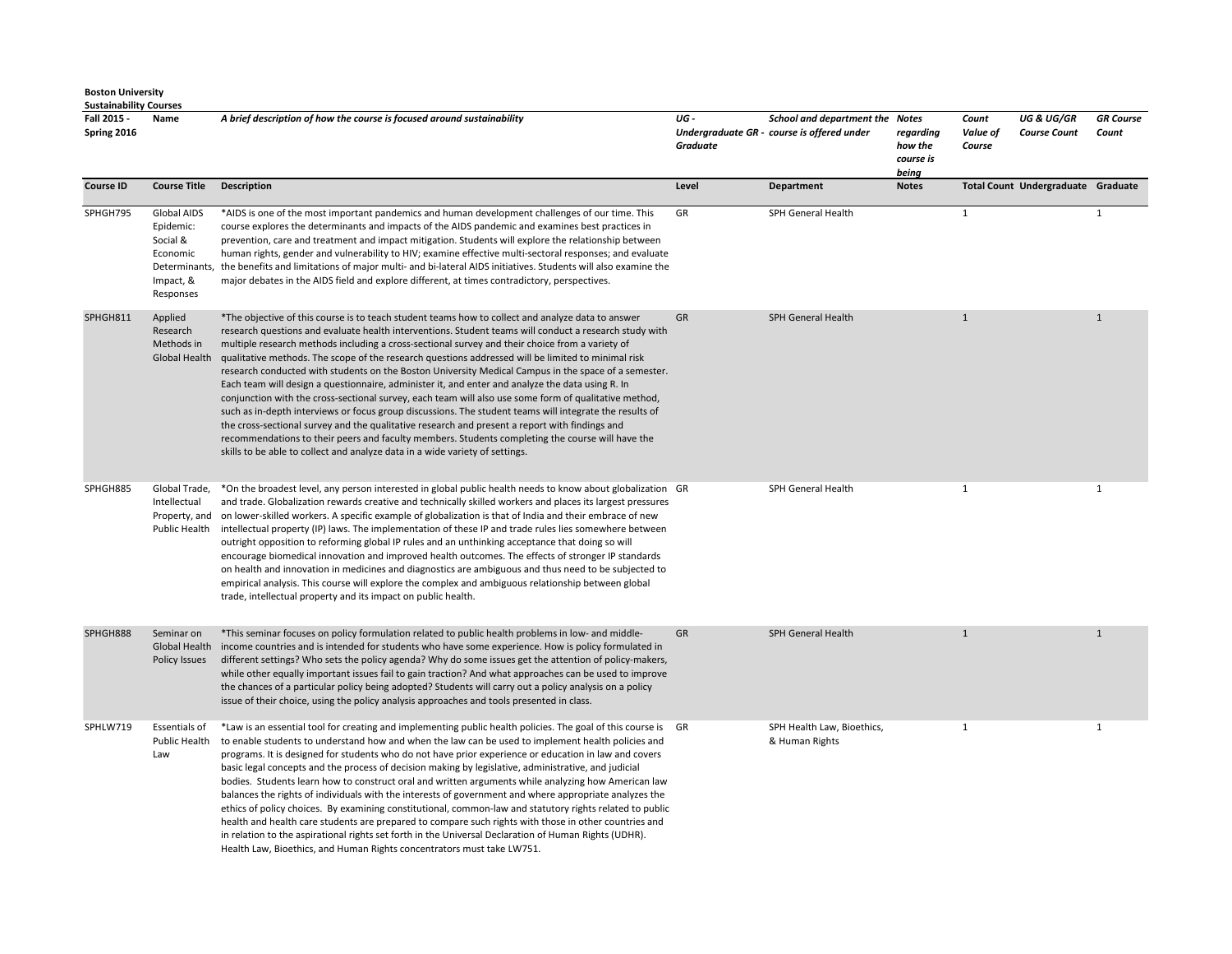| <b>Sustainability Courses</b> |                                                                                             |                                                                                                                                                                                                                                                                                                                                                                                                                                                                                                                                                                                                                                                                                                                                                                                                                                                                                                                                                                                                                                                                                                                                            |                 |                                                                               |                                            |                             |                                              |                           |
|-------------------------------|---------------------------------------------------------------------------------------------|--------------------------------------------------------------------------------------------------------------------------------------------------------------------------------------------------------------------------------------------------------------------------------------------------------------------------------------------------------------------------------------------------------------------------------------------------------------------------------------------------------------------------------------------------------------------------------------------------------------------------------------------------------------------------------------------------------------------------------------------------------------------------------------------------------------------------------------------------------------------------------------------------------------------------------------------------------------------------------------------------------------------------------------------------------------------------------------------------------------------------------------------|-----------------|-------------------------------------------------------------------------------|--------------------------------------------|-----------------------------|----------------------------------------------|---------------------------|
| Fall 2015 -<br>Spring 2016    | Name                                                                                        | A brief description of how the course is focused around sustainability                                                                                                                                                                                                                                                                                                                                                                                                                                                                                                                                                                                                                                                                                                                                                                                                                                                                                                                                                                                                                                                                     | UG-<br>Graduate | School and department the Notes<br>Undergraduate GR - course is offered under | regarding<br>how the<br>course is<br>being | Count<br>Value of<br>Course | <b>UG &amp; UG/GR</b><br><b>Course Count</b> | <b>GR</b> Course<br>Count |
| <b>Course ID</b>              | <b>Course Title</b>                                                                         | <b>Description</b>                                                                                                                                                                                                                                                                                                                                                                                                                                                                                                                                                                                                                                                                                                                                                                                                                                                                                                                                                                                                                                                                                                                         | Level           | <b>Department</b>                                                             | <b>Notes</b>                               |                             | Total Count Undergraduate Graduate           |                           |
| SPHGH795                      | Global AIDS<br>Epidemic:<br>Social &<br>Economic<br>Determinants,<br>Impact, &<br>Responses | *AIDS is one of the most important pandemics and human development challenges of our time. This<br>course explores the determinants and impacts of the AIDS pandemic and examines best practices in<br>prevention, care and treatment and impact mitigation. Students will explore the relationship between<br>human rights, gender and vulnerability to HIV; examine effective multi-sectoral responses; and evaluate<br>the benefits and limitations of major multi- and bi-lateral AIDS initiatives. Students will also examine the<br>major debates in the AIDS field and explore different, at times contradictory, perspectives.                                                                                                                                                                                                                                                                                                                                                                                                                                                                                                     | GR              | SPH General Health                                                            |                                            | $\mathbf{1}$                |                                              | $\mathbf{1}$              |
| SPHGH811                      | Applied<br>Research<br>Methods in<br>Global Health                                          | *The objective of this course is to teach student teams how to collect and analyze data to answer<br>research questions and evaluate health interventions. Student teams will conduct a research study with<br>multiple research methods including a cross-sectional survey and their choice from a variety of<br>qualitative methods. The scope of the research questions addressed will be limited to minimal risk<br>research conducted with students on the Boston University Medical Campus in the space of a semester.<br>Each team will design a questionnaire, administer it, and enter and analyze the data using R. In<br>conjunction with the cross-sectional survey, each team will also use some form of qualitative method,<br>such as in-depth interviews or focus group discussions. The student teams will integrate the results of<br>the cross-sectional survey and the qualitative research and present a report with findings and<br>recommendations to their peers and faculty members. Students completing the course will have the<br>skills to be able to collect and analyze data in a wide variety of settings. | GR              | SPH General Health                                                            |                                            | $\mathbf{1}$                |                                              | $\mathbf{1}$              |
| SPHGH885                      | Global Trade,<br>Intellectual<br>Property, and                                              | *On the broadest level, any person interested in global public health needs to know about globalization GR<br>and trade. Globalization rewards creative and technically skilled workers and places its largest pressures<br>on lower-skilled workers. A specific example of globalization is that of India and their embrace of new<br>Public Health intellectual property (IP) laws. The implementation of these IP and trade rules lies somewhere between<br>outright opposition to reforming global IP rules and an unthinking acceptance that doing so will<br>encourage biomedical innovation and improved health outcomes. The effects of stronger IP standards<br>on health and innovation in medicines and diagnostics are ambiguous and thus need to be subjected to<br>empirical analysis. This course will explore the complex and ambiguous relationship between global<br>trade, intellectual property and its impact on public health.                                                                                                                                                                                       |                 | SPH General Health                                                            |                                            | $\mathbf{1}$                |                                              | $\mathbf{1}$              |
| SPHGH888                      | Seminar on<br><b>Global Health</b><br>Policy Issues                                         | *This seminar focuses on policy formulation related to public health problems in low- and middle-<br>income countries and is intended for students who have some experience. How is policy formulated in<br>different settings? Who sets the policy agenda? Why do some issues get the attention of policy-makers,<br>while other equally important issues fail to gain traction? And what approaches can be used to improve<br>the chances of a particular policy being adopted? Students will carry out a policy analysis on a policy<br>issue of their choice, using the policy analysis approaches and tools presented in class.                                                                                                                                                                                                                                                                                                                                                                                                                                                                                                       | GR              | SPH General Health                                                            |                                            | $\mathbf{1}$                |                                              | $\mathbf{1}$              |
| SPHLW719                      | <b>Essentials of</b><br>Public Health<br>Law                                                | *Law is an essential tool for creating and implementing public health policies. The goal of this course is GR<br>to enable students to understand how and when the law can be used to implement health policies and<br>programs. It is designed for students who do not have prior experience or education in law and covers<br>basic legal concepts and the process of decision making by legislative, administrative, and judicial<br>bodies. Students learn how to construct oral and written arguments while analyzing how American law<br>balances the rights of individuals with the interests of government and where appropriate analyzes the<br>ethics of policy choices. By examining constitutional, common-law and statutory rights related to public<br>health and health care students are prepared to compare such rights with those in other countries and<br>in relation to the aspirational rights set forth in the Universal Declaration of Human Rights (UDHR).<br>Health Law, Bioethics, and Human Rights concentrators must take LW751.                                                                              |                 | SPH Health Law, Bioethics,<br>& Human Rights                                  |                                            | $\mathbf{1}$                |                                              | $\mathbf{1}$              |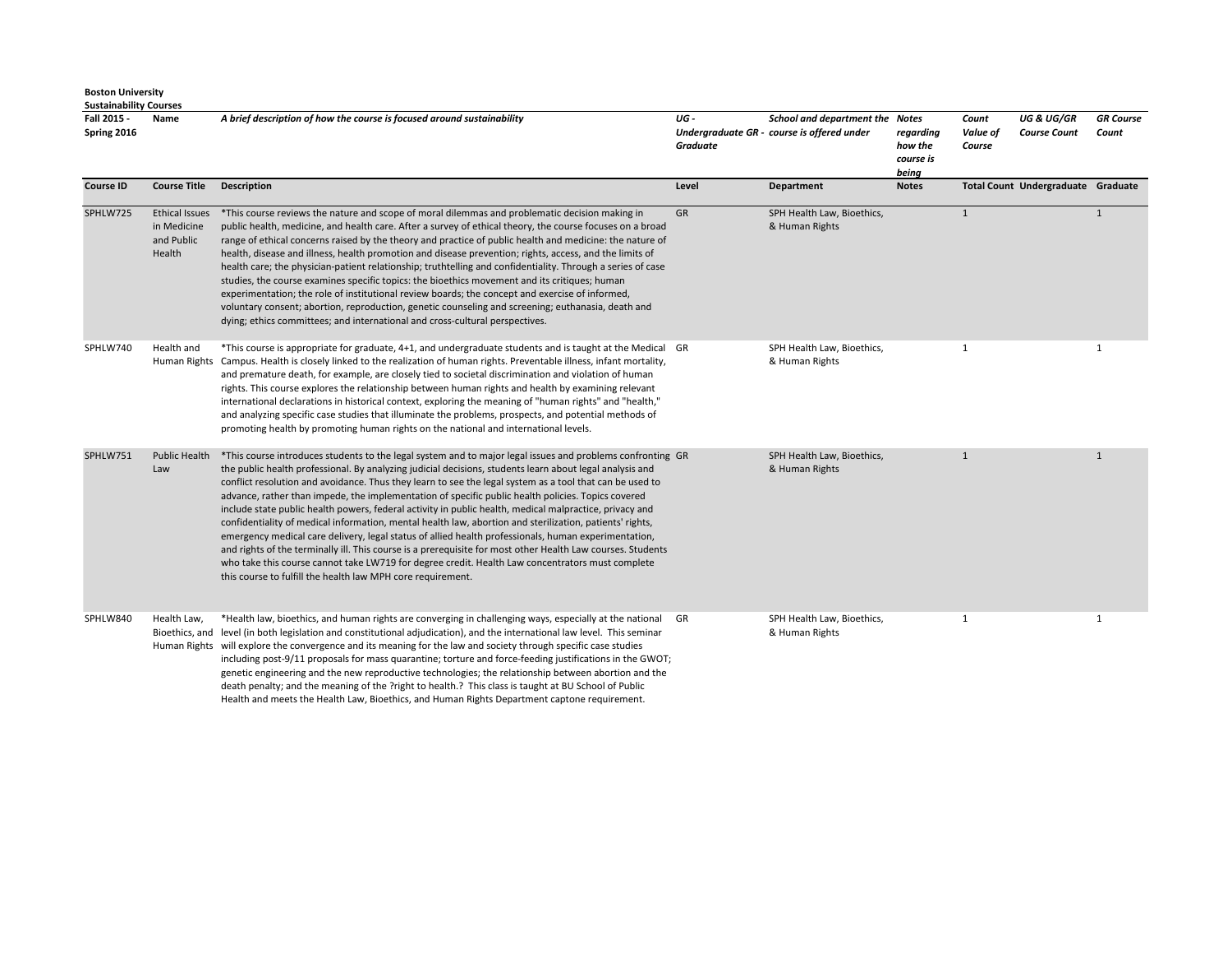**Sustainability Courses** 

| .<br>Fall 2015 -<br>Spring 2016 | Name                                                         | A brief description of how the course is focused around sustainability                                                                                                                                                                                                                                                                                                                                                                                                                                                                                                                                                                                                                                                                                                                                                                                                                                                                                                                                                                                    | UG -<br><b>Graduate</b> | School and department the Notes<br>Undergraduate GR - course is offered under | regarding<br>how the<br>course is<br>being | Count<br>Value of<br>Course | <b>UG &amp; UG/GR</b><br><b>Course Count</b> | <b>GR</b> Course<br>Count |
|---------------------------------|--------------------------------------------------------------|-----------------------------------------------------------------------------------------------------------------------------------------------------------------------------------------------------------------------------------------------------------------------------------------------------------------------------------------------------------------------------------------------------------------------------------------------------------------------------------------------------------------------------------------------------------------------------------------------------------------------------------------------------------------------------------------------------------------------------------------------------------------------------------------------------------------------------------------------------------------------------------------------------------------------------------------------------------------------------------------------------------------------------------------------------------|-------------------------|-------------------------------------------------------------------------------|--------------------------------------------|-----------------------------|----------------------------------------------|---------------------------|
| <b>Course ID</b>                | <b>Course Title</b>                                          | <b>Description</b>                                                                                                                                                                                                                                                                                                                                                                                                                                                                                                                                                                                                                                                                                                                                                                                                                                                                                                                                                                                                                                        | Level                   | <b>Department</b>                                                             | <b>Notes</b>                               |                             | Total Count Undergraduate Graduate           |                           |
| SPHLW725                        | <b>Ethical Issues</b><br>in Medicine<br>and Public<br>Health | *This course reviews the nature and scope of moral dilemmas and problematic decision making in<br>public health, medicine, and health care. After a survey of ethical theory, the course focuses on a broad<br>range of ethical concerns raised by the theory and practice of public health and medicine: the nature of<br>health, disease and illness, health promotion and disease prevention; rights, access, and the limits of<br>health care; the physician-patient relationship; truthtelling and confidentiality. Through a series of case<br>studies, the course examines specific topics: the bioethics movement and its critiques; human<br>experimentation; the role of institutional review boards; the concept and exercise of informed,<br>voluntary consent; abortion, reproduction, genetic counseling and screening; euthanasia, death and<br>dying; ethics committees; and international and cross-cultural perspectives.                                                                                                               | GR                      | SPH Health Law, Bioethics,<br>& Human Rights                                  |                                            | $\mathbf{1}$                |                                              | 1                         |
| SPHLW740                        | Health and<br>Human Rights                                   | *This course is appropriate for graduate, 4+1, and undergraduate students and is taught at the Medical GR<br>Campus. Health is closely linked to the realization of human rights. Preventable illness, infant mortality,<br>and premature death, for example, are closely tied to societal discrimination and violation of human<br>rights. This course explores the relationship between human rights and health by examining relevant<br>international declarations in historical context, exploring the meaning of "human rights" and "health,"<br>and analyzing specific case studies that illuminate the problems, prospects, and potential methods of<br>promoting health by promoting human rights on the national and international levels.                                                                                                                                                                                                                                                                                                       |                         | SPH Health Law, Bioethics,<br>& Human Rights                                  |                                            | 1                           |                                              | $\mathbf{1}$              |
| SPHLW751                        | <b>Public Health</b><br>Law                                  | *This course introduces students to the legal system and to major legal issues and problems confronting GR<br>the public health professional. By analyzing judicial decisions, students learn about legal analysis and<br>conflict resolution and avoidance. Thus they learn to see the legal system as a tool that can be used to<br>advance, rather than impede, the implementation of specific public health policies. Topics covered<br>include state public health powers, federal activity in public health, medical malpractice, privacy and<br>confidentiality of medical information, mental health law, abortion and sterilization, patients' rights,<br>emergency medical care delivery, legal status of allied health professionals, human experimentation,<br>and rights of the terminally ill. This course is a prerequisite for most other Health Law courses. Students<br>who take this course cannot take LW719 for degree credit. Health Law concentrators must complete<br>this course to fulfill the health law MPH core requirement. |                         | SPH Health Law, Bioethics,<br>& Human Rights                                  |                                            | 1                           |                                              | $\mathbf{1}$              |
| SPHLW840                        | Health Law,<br>Bioethics, and                                | *Health law, bioethics, and human rights are converging in challenging ways, especially at the national GR<br>level (in both legislation and constitutional adjudication), and the international law level. This seminar<br>Human Rights will explore the convergence and its meaning for the law and society through specific case studies<br>including post-9/11 proposals for mass quarantine; torture and force-feeding justifications in the GWOT;<br>genetic engineering and the new reproductive technologies; the relationship between abortion and the                                                                                                                                                                                                                                                                                                                                                                                                                                                                                           |                         | SPH Health Law, Bioethics,<br>& Human Rights                                  |                                            | 1                           |                                              | $\mathbf{1}$              |

death penalty; and the meaning of the ?right to health.? This class is taught at BU School of Public Health and meets the Health Law, Bioethics, and Human Rights Department captone requirement.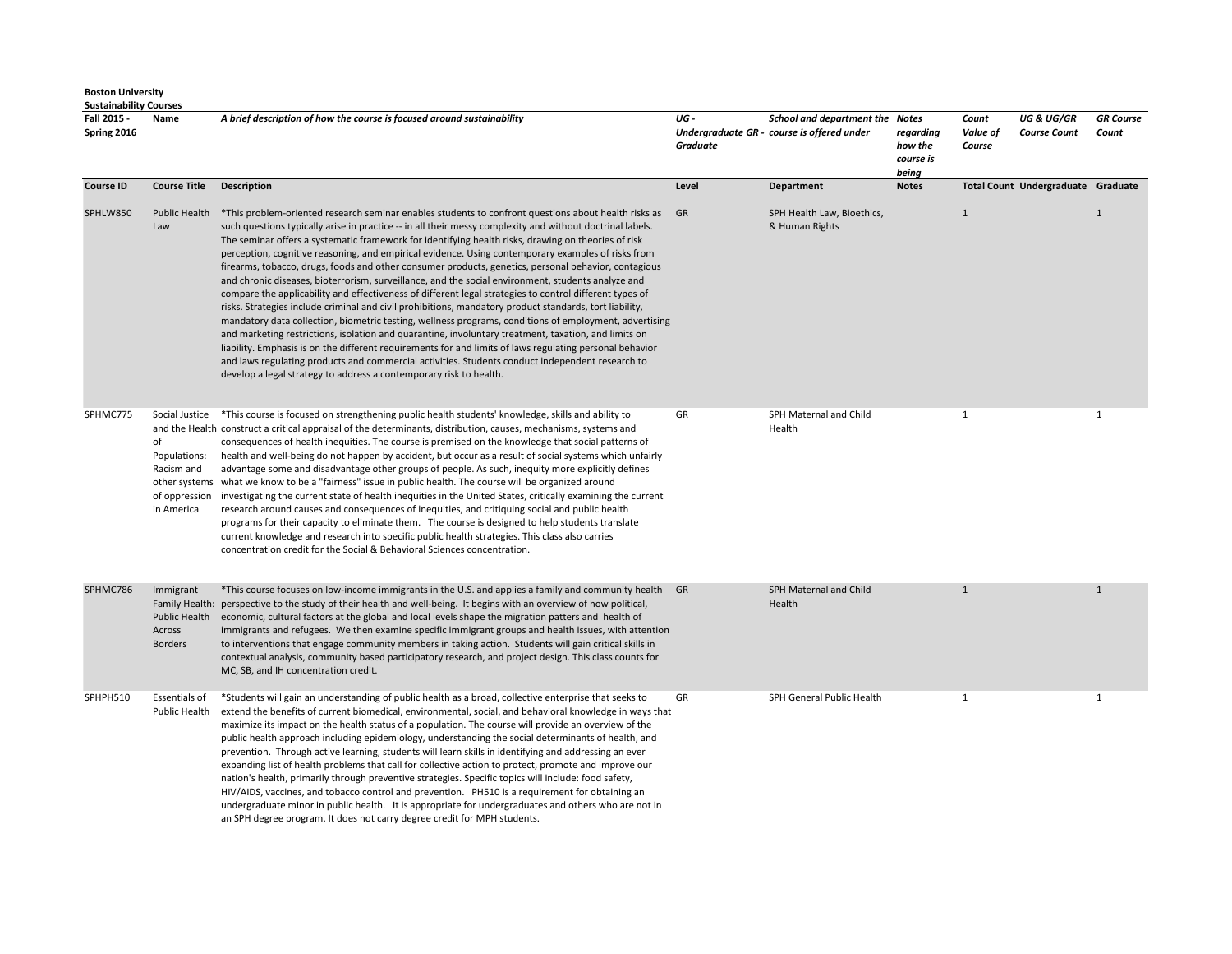| <b>Boston University</b>      |
|-------------------------------|
| <b>Sustainability Courses</b> |

**Fall 2015 - Spring 2016 Name** *A brief description of how the course is focused around sustainability UG - Undergraduate GR - course is offered under Graduate School and department the Notes regarding how the course is being Count Value of Course UG & UG/GR Course Count GR Course Count*  **Course ID Course Title Description Course Title Description Course In the Count Undergraduate Graduate Craduate Craduate Craduate Craduate Craduate Craduate Craduate Craduate Craduate Craduate** SPHLW850 Public Health \*This problem-oriented research seminar enables students to confront questions about health risks as Law such questions typically arise in practice -- in all their messy complexity and without doctrinal labels. The seminar offers a systematic framework for identifying health risks, drawing on theories of risk perception, cognitive reasoning, and empirical evidence. Using contemporary examples of risks from firearms, tobacco, drugs, foods and other consumer products, genetics, personal behavior, contagious and chronic diseases, bioterrorism, surveillance, and the social environment, students analyze and compare the applicability and effectiveness of different legal strategies to control different types of risks. Strategies include criminal and civil prohibitions, mandatory product standards, tort liability, mandatory data collection, biometric testing, wellness programs, conditions of employment, advertising and marketing restrictions, isolation and quarantine, involuntary treatment, taxation, and limits on liability. Emphasis is on the different requirements for and limits of laws regulating personal behavior and laws regulating products and commercial activities. Students conduct independent research to develop a legal strategy to address a contemporary risk to health. SPH Health Law, Bioethics, & Human Rights 1 1 SPHMC775 Social Justice \*This course is focused on strengthening public health students' knowledge, skills and ability to and the Health construct a critical appraisal of the determinants, distribution, causes, mechanisms, systems and of Populations: Racism and other systems what we know to be a "fairness" issue in public health. The course will be organized around of oppression investigating the current state of health inequities in the United States, critically examining the current in America consequences of health inequities. The course is premised on the knowledge that social patterns of health and well-being do not happen by accident, but occur as a result of social systems which unfairly advantage some and disadvantage other groups of people. As such, inequity more explicitly defines research around causes and consequences of inequities, and critiquing social and public health programs for their capacity to eliminate them. The course is designed to help students translate current knowledge and research into specific public health strategies. This class also carries concentration credit for the Social & Behavioral Sciences concentration. GR SPH Maternal and Child Health 1 1 SPHMC786 Immigrant Family Health: perspective to the study of their health and well-being. It begins with an overview of how political, Public Health Across Borders \*This course focuses on low-income immigrants in the U.S. and applies a family and community health economic, cultural factors at the global and local levels shape the migration patters and health of immigrants and refugees. We then examine specific immigrant groups and health issues, with attention to interventions that engage community members in taking action. Students will gain critical skills in contextual analysis, community based participatory research, and project design. This class counts for MC, SB, and IH concentration credit. SPH Maternal and Child Health 1 1 SPHPH510 Essentials of Public Health \*Students will gain an understanding of public health as a broad, collective enterprise that seeks to extend the benefits of current biomedical, environmental, social, and behavioral knowledge in ways that maximize its impact on the health status of a population. The course will provide an overview of the public health approach including epidemiology, understanding the social determinants of health, and prevention. Through active learning, students will learn skills in identifying and addressing an ever expanding list of health problems that call for collective action to protect, promote and improve our nation's health, primarily through preventive strategies. Specific topics will include: food safety, HIV/AIDS, vaccines, and tobacco control and prevention. PH510 is a requirement for obtaining an undergraduate minor in public health. It is appropriate for undergraduates and others who are not in GR SPH General Public Health 1 1

an SPH degree program. It does not carry degree credit for MPH students.